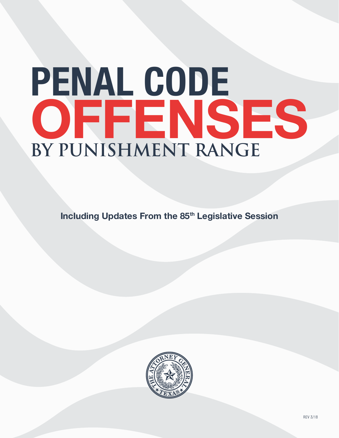# **BY PUNISHMENT RANGE PENAL CODE OFFENSES**

**Including Updates From the 85<sup>th</sup> Legislative Session** 

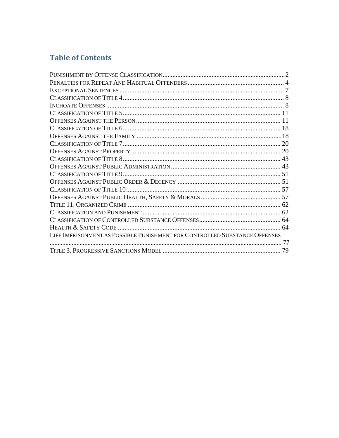# **Table of Contents**

| LIFE IMPRISONMENT AS POSSIBLE PUNISHMENT FOR CONTROLLED SUBSTANCE OFFENSES |  |
|----------------------------------------------------------------------------|--|
|                                                                            |  |
|                                                                            |  |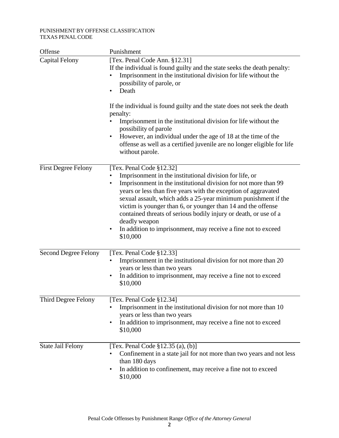#### PUNISHMENT BY OFFENSE CLASSIFICATION TEXAS PENAL CODE

| Offense                     | Punishment                                                                                                                                                                                                                                                                                                                                                                                                                                                                                                                             |
|-----------------------------|----------------------------------------------------------------------------------------------------------------------------------------------------------------------------------------------------------------------------------------------------------------------------------------------------------------------------------------------------------------------------------------------------------------------------------------------------------------------------------------------------------------------------------------|
| <b>Capital Felony</b>       | [Tex. Penal Code Ann. §12.31]<br>If the individual is found guilty and the state seeks the death penalty:<br>Imprisonment in the institutional division for life without the<br>$\bullet$<br>possibility of parole, or<br>Death<br>$\bullet$                                                                                                                                                                                                                                                                                           |
|                             | If the individual is found guilty and the state does not seek the death<br>penalty:<br>Imprisonment in the institutional division for life without the<br>$\bullet$<br>possibility of parole<br>However, an individual under the age of 18 at the time of the<br>٠<br>offense as well as a certified juvenile are no longer eligible for life<br>without parole.                                                                                                                                                                       |
| <b>First Degree Felony</b>  | [Tex. Penal Code §12.32]<br>Imprisonment in the institutional division for life, or<br>Imprisonment in the institutional division for not more than 99<br>٠<br>years or less than five years with the exception of aggravated<br>sexual assault, which adds a 25-year minimum punishment if the<br>victim is younger than 6, or younger than 14 and the offense<br>contained threats of serious bodily injury or death, or use of a<br>deadly weapon<br>In addition to imprisonment, may receive a fine not to exceed<br>٠<br>\$10,000 |
| <b>Second Degree Felony</b> | [Tex. Penal Code §12.33]<br>Imprisonment in the institutional division for not more than 20<br>$\bullet$<br>years or less than two years<br>In addition to imprisonment, may receive a fine not to exceed<br>٠<br>\$10,000                                                                                                                                                                                                                                                                                                             |
| Third Degree Felony         | [Tex. Penal Code §12.34]<br>Imprisonment in the institutional division for not more than 10<br>years or less than two years<br>In addition to imprisonment, may receive a fine not to exceed<br>٠<br>\$10,000                                                                                                                                                                                                                                                                                                                          |
| <b>State Jail Felony</b>    | [Tex. Penal Code $\S 12.35$ (a), (b)]<br>Confinement in a state jail for not more than two years and not less<br>$\bullet$<br>than 180 days<br>In addition to confinement, may receive a fine not to exceed<br>$\bullet$<br>\$10,000                                                                                                                                                                                                                                                                                                   |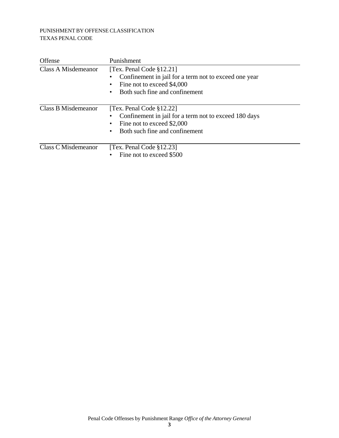## PUNISHMENT BY OFFENSE CLASSIFICATION TEXAS PENAL CODE

| Offense             | Punishment                                                                                                                                                       |
|---------------------|------------------------------------------------------------------------------------------------------------------------------------------------------------------|
| Class A Misdemeanor | [Tex. Penal Code $\S 12.21$ ]<br>Confinement in jail for a term not to exceed one year<br>Fine not to exceed \$4,000<br>٠<br>Both such fine and confinement<br>٠ |
| Class B Misdemeanor | [Tex. Penal Code $§12.22]$ ]<br>Confinement in jail for a term not to exceed 180 days<br>Fine not to exceed \$2,000<br>٠<br>Both such fine and confinement<br>٠  |
| Class C Misdemeanor | [Tex. Penal Code $\S 12.23$ ]<br>Fine not to exceed \$500                                                                                                        |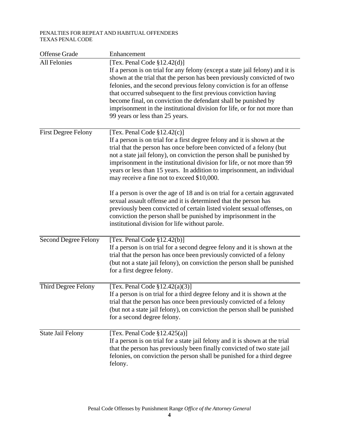#### PENALTIES FOR REPEAT AND HABITUAL OFFENDERS TEXAS PENAL CODE

| <b>Offense Grade</b>        | Enhancement                                                                                                                                                                                                                                                                                                                                                                                                                                                                                                                                                                                                                                                                                                                                                                                                          |
|-----------------------------|----------------------------------------------------------------------------------------------------------------------------------------------------------------------------------------------------------------------------------------------------------------------------------------------------------------------------------------------------------------------------------------------------------------------------------------------------------------------------------------------------------------------------------------------------------------------------------------------------------------------------------------------------------------------------------------------------------------------------------------------------------------------------------------------------------------------|
| <b>All Felonies</b>         | [Tex. Penal Code §12.42(d)]<br>If a person is on trial for any felony (except a state jail felony) and it is<br>shown at the trial that the person has been previously convicted of two<br>felonies, and the second previous felony conviction is for an offense<br>that occurred subsequent to the first previous conviction having<br>become final, on conviction the defendant shall be punished by<br>imprisonment in the institutional division for life, or for not more than<br>99 years or less than 25 years.                                                                                                                                                                                                                                                                                               |
| <b>First Degree Felony</b>  | [Tex. Penal Code $$12.42(c)$ ]<br>If a person is on trial for a first degree felony and it is shown at the<br>trial that the person has once before been convicted of a felony (but<br>not a state jail felony), on conviction the person shall be punished by<br>imprisonment in the institutional division for life, or not more than 99<br>years or less than 15 years. In addition to imprisonment, an individual<br>may receive a fine not to exceed \$10,000.<br>If a person is over the age of 18 and is on trial for a certain aggravated<br>sexual assault offense and it is determined that the person has<br>previously been convicted of certain listed violent sexual offenses, on<br>conviction the person shall be punished by imprisonment in the<br>institutional division for life without parole. |
| <b>Second Degree Felony</b> | [Tex. Penal Code $$12.42(b)]$<br>If a person is on trial for a second degree felony and it is shown at the<br>trial that the person has once been previously convicted of a felony<br>(but not a state jail felony), on conviction the person shall be punished<br>for a first degree felony.                                                                                                                                                                                                                                                                                                                                                                                                                                                                                                                        |
| Third Degree Felony         | [Tex. Penal Code $\S 12.42(a)(3)$ ]<br>If a person is on trial for a third degree felony and it is shown at the<br>trial that the person has once been previously convicted of a felony<br>(but not a state jail felony), on conviction the person shall be punished<br>for a second degree felony.                                                                                                                                                                                                                                                                                                                                                                                                                                                                                                                  |
| <b>State Jail Felony</b>    | [Tex. Penal Code $\S 12.425(a)$ ]<br>If a person is on trial for a state jail felony and it is shown at the trial<br>that the person has previously been finally convicted of two state jail<br>felonies, on conviction the person shall be punished for a third degree<br>felony.                                                                                                                                                                                                                                                                                                                                                                                                                                                                                                                                   |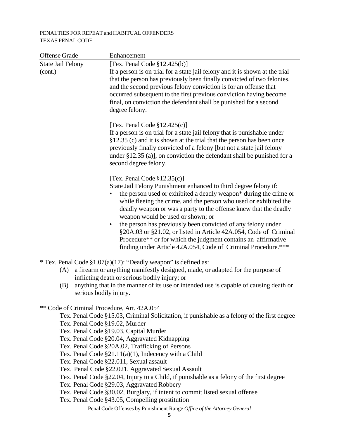### PENALTIES FOR REPEAT and HABITUAL OFFENDERS TEXAS PENAL CODE

| <b>Offense Grade</b>                        | Enhancement                                                                                                                                      |
|---------------------------------------------|--------------------------------------------------------------------------------------------------------------------------------------------------|
| <b>State Jail Felony</b>                    | [Tex. Penal Code $\S 12.425(b)$ ]                                                                                                                |
| (cont.)                                     | If a person is on trial for a state jail felony and it is shown at the trial                                                                     |
|                                             | that the person has previously been finally convicted of two felonies,                                                                           |
|                                             | and the second previous felony conviction is for an offense that                                                                                 |
|                                             | occurred subsequent to the first previous conviction having become<br>final, on conviction the defendant shall be punished for a second          |
|                                             | degree felony.                                                                                                                                   |
|                                             |                                                                                                                                                  |
|                                             | [Tex. Penal Code $\S 12.425(c)$ ]                                                                                                                |
|                                             | If a person is on trial for a state jail felony that is punishable under                                                                         |
|                                             | §12.35 (c) and it is shown at the trial that the person has been once                                                                            |
|                                             | previously finally convicted of a felony [but not a state jail felony                                                                            |
|                                             | under $\S 12.35$ (a)], on conviction the defendant shall be punished for a                                                                       |
|                                             | second degree felony.                                                                                                                            |
|                                             | [Tex. Penal Code $\S 12.35(c)$ ]                                                                                                                 |
|                                             | State Jail Felony Punishment enhanced to third degree felony if:                                                                                 |
|                                             | the person used or exhibited a deadly weapon* during the crime or                                                                                |
|                                             | while fleeing the crime, and the person who used or exhibited the                                                                                |
|                                             | deadly weapon or was a party to the offense knew that the deadly<br>weapon would be used or shown; or                                            |
|                                             | the person has previously been convicted of any felony under<br>$\bullet$                                                                        |
|                                             | §20A.03 or §21.02, or listed in Article 42A.054, Code of Criminal                                                                                |
|                                             | Procedure** or for which the judgment contains an affirmative                                                                                    |
|                                             | finding under Article 42A.054, Code of Criminal Procedure.***                                                                                    |
|                                             |                                                                                                                                                  |
| (A)                                         | * Tex. Penal Code §1.07(a)(17): "Deadly weapon" is defined as:<br>a firearm or anything manifestly designed, made, or adapted for the purpose of |
|                                             | inflicting death or serious bodily injury; or                                                                                                    |
| (B)                                         | anything that in the manner of its use or intended use is capable of causing death or                                                            |
| serious bodily injury.                      |                                                                                                                                                  |
|                                             |                                                                                                                                                  |
| ** Code of Criminal Procedure, Art. 42A.054 |                                                                                                                                                  |
| Tex. Penal Code §19.02, Murder              | Tex. Penal Code §15.03, Criminal Solicitation, if punishable as a felony of the first degree                                                     |
|                                             | Tex. Penal Code §19.03, Capital Murder                                                                                                           |
|                                             | Tex. Penal Code §20.04, Aggravated Kidnapping                                                                                                    |
|                                             | Tex. Penal Code §20A.02, Trafficking of Persons                                                                                                  |
|                                             | Tex. Penal Code $\S21.11(a)(1)$ , Indecency with a Child                                                                                         |
|                                             | Tex. Penal Code §22.011, Sexual assault                                                                                                          |
|                                             | Tex. Penal Code §22.021, Aggravated Sexual Assault                                                                                               |
|                                             | Tex. Penal Code §22.04, Injury to a Child, if punishable as a felony of the first degree<br>Tex. Penal Code §29.03, Aggravated Robbery           |
|                                             | Tex. Penal Code §30.02, Burglary, if intent to commit listed sexual offense                                                                      |
|                                             | Tex. Penal Code §43.05, Compelling prostitution                                                                                                  |

Penal Code Offenses by Punishment Range *Office of the Attorney General*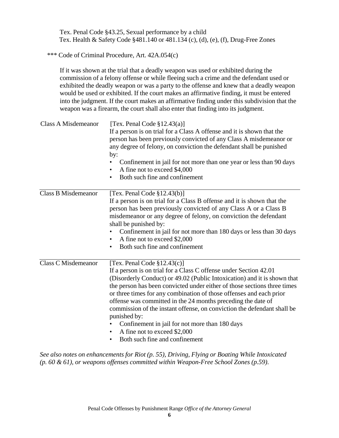Tex. Penal Code §43.25, Sexual performance by a child Tex. Health & Safety Code §481.140 or 481.134 (c), (d), (e), (f), Drug-Free Zones

\*\*\* Code of Criminal Procedure, Art. 42A.054(c)

If it was shown at the trial that a deadly weapon was used or exhibited during the commission of a felony offense or while fleeing such a crime and the defendant used or exhibited the deadly weapon or was a party to the offense and knew that a deadly weapon would be used or exhibited. If the court makes an affirmative finding, it must be entered into the judgment. If the court makes an affirmative finding under this subdivision that the weapon was a firearm, the court shall also enter that finding into its judgment.

| <b>Class A Misdemeanor</b> | [Tex. Penal Code $\S 12.43(a)$ ]<br>If a person is on trial for a Class A offense and it is shown that the<br>person has been previously convicted of any Class A misdemeanor or<br>any degree of felony, on conviction the defendant shall be punished<br>by:<br>Confinement in jail for not more than one year or less than 90 days<br>٠<br>A fine not to exceed \$4,000<br>٠<br>Both such fine and confinement<br>٠                                                                                                                                                                                                |
|----------------------------|-----------------------------------------------------------------------------------------------------------------------------------------------------------------------------------------------------------------------------------------------------------------------------------------------------------------------------------------------------------------------------------------------------------------------------------------------------------------------------------------------------------------------------------------------------------------------------------------------------------------------|
| <b>Class B Misdemeanor</b> | [Tex. Penal Code $$12.43(b)]$<br>If a person is on trial for a Class B offense and it is shown that the<br>person has been previously convicted of any Class A or a Class B<br>misdemeanor or any degree of felony, on conviction the defendant<br>shall be punished by:<br>Confinement in jail for not more than 180 days or less than 30 days<br>$\bullet$<br>A fine not to exceed \$2,000<br>٠<br>Both such fine and confinement<br>$\bullet$                                                                                                                                                                      |
| <b>Class C Misdemeanor</b> | [Tex. Penal Code $$12.43(c)]$<br>If a person is on trial for a Class C offense under Section 42.01<br>(Disorderly Conduct) or 49.02 (Public Intoxication) and it is shown that<br>the person has been convicted under either of those sections three times<br>or three times for any combination of those offenses and each prior<br>offense was committed in the 24 months preceding the date of<br>commission of the instant offense, on conviction the defendant shall be<br>punished by:<br>Confinement in jail for not more than 180 days<br>A fine not to exceed \$2,000<br>Both such fine and confinement<br>٠ |

*See also notes on enhancements for Riot (p. 55), Driving, Flying or Boating While Intoxicated (p. 60 & 61), or weapons offenses committed within Weapon-Free School Zones (p.59)*.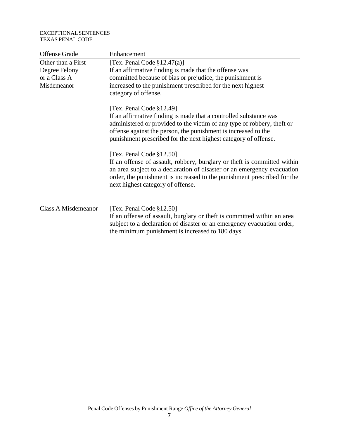#### EXCEPTIONAL SENTENCES TEXAS PENAL CODE

| Offense Grade              | Enhancement                                                                                                                                                                                                                                                                                     |
|----------------------------|-------------------------------------------------------------------------------------------------------------------------------------------------------------------------------------------------------------------------------------------------------------------------------------------------|
| Other than a First         | [Tex. Penal Code $\S 12.47(a)$ ]                                                                                                                                                                                                                                                                |
| Degree Felony              | If an affirmative finding is made that the offense was                                                                                                                                                                                                                                          |
| or a Class A               | committed because of bias or prejudice, the punishment is                                                                                                                                                                                                                                       |
| Misdemeanor                | increased to the punishment prescribed for the next highest<br>category of offense.                                                                                                                                                                                                             |
|                            | [Tex. Penal Code §12.49]                                                                                                                                                                                                                                                                        |
|                            | If an affirmative finding is made that a controlled substance was<br>administered or provided to the victim of any type of robbery, theft or<br>offense against the person, the punishment is increased to the<br>punishment prescribed for the next highest category of offense.               |
|                            | [Tex. Penal Code §12.50]<br>If an offense of assault, robbery, burglary or theft is committed within<br>an area subject to a declaration of disaster or an emergency evacuation<br>order, the punishment is increased to the punishment prescribed for the<br>next highest category of offense. |
| <b>Class A Misdemeanor</b> | [Tex. Penal Code §12.50]                                                                                                                                                                                                                                                                        |
|                            | If an offense of assault, burglary or theft is committed within an area<br>subject to a declaration of disaster or an emergency evacuation order,                                                                                                                                               |
|                            | the minimum punishment is increased to 180 days.                                                                                                                                                                                                                                                |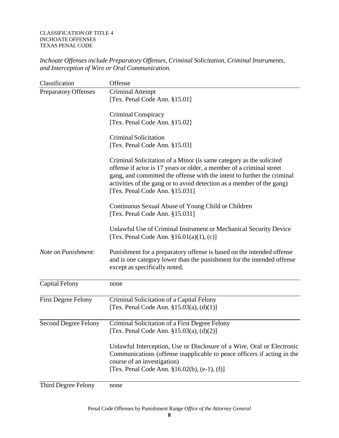#### CLASSIFICATION OF TITLE 4 INCHOATE OFFENSES TEXAS PENAL CODE

*Inchoate Offenses include Preparatory Offenses, Criminal Solicitation, Criminal Instruments, and Interception of Wire or Oral Communication.*

| Classification              | Offense                                                                                                                                                                                                                                                                                                                           |
|-----------------------------|-----------------------------------------------------------------------------------------------------------------------------------------------------------------------------------------------------------------------------------------------------------------------------------------------------------------------------------|
| <b>Preparatory Offenses</b> | <b>Criminal Attempt</b>                                                                                                                                                                                                                                                                                                           |
|                             | [Tex. Penal Code Ann. §15.01]                                                                                                                                                                                                                                                                                                     |
|                             | Criminal Conspiracy                                                                                                                                                                                                                                                                                                               |
|                             | [Tex. Penal Code Ann. §15.02]                                                                                                                                                                                                                                                                                                     |
|                             | <b>Criminal Solicitation</b>                                                                                                                                                                                                                                                                                                      |
|                             | [Tex. Penal Code Ann. §15.03]                                                                                                                                                                                                                                                                                                     |
|                             | Criminal Solicitation of a Minor (is same category as the solicited<br>offense if actor is 17 years or older, a member of a criminal street<br>gang, and committed the offense with the intent to further the criminal<br>activities of the gang or to avoid detection as a member of the gang)<br>[Tex. Penal Code Ann. §15.031] |
|                             | Continuous Sexual Abuse of Young Child or Children<br>[Tex. Penal Code Ann. §15.031]                                                                                                                                                                                                                                              |
|                             | Unlawful Use of Criminal Instrument or Mechanical Security Device<br>[Tex. Penal Code Ann. $$16.01(a)(1), (c)]$                                                                                                                                                                                                                   |
| Note on Punishment:         | Punishment for a preparatory offense is based on the intended offense<br>and is one category lower than the punishment for the intended offense<br>except as specifically noted.                                                                                                                                                  |
| <b>Capital Felony</b>       | none                                                                                                                                                                                                                                                                                                                              |
| <b>First Degree Felony</b>  | Criminal Solicitation of a Capital Felony<br>[Tex. Penal Code Ann. $\S 15.03(a)$ , (d)(1)]                                                                                                                                                                                                                                        |
| <b>Second Degree Felony</b> | Criminal Solicitation of a First Degree Felony<br>[Tex. Penal Code Ann. §15.03(a), (d)(2)]                                                                                                                                                                                                                                        |
|                             | Unlawful Interception, Use or Disclosure of a Wire, Oral or Electronic<br>Communications (offense inapplicable to peace officers if acting in the<br>course of an investigation)<br>[Tex. Penal Code Ann. $\S 16.02(b)$ , (e-1), (f)]                                                                                             |
|                             |                                                                                                                                                                                                                                                                                                                                   |

Third Degree Felony none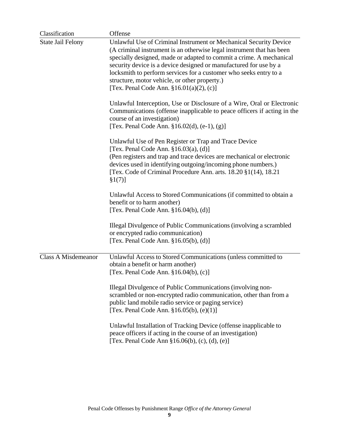| Classification           | Offense                                                                                                                                                                                                                                                                                                                                                                                                                                                     |
|--------------------------|-------------------------------------------------------------------------------------------------------------------------------------------------------------------------------------------------------------------------------------------------------------------------------------------------------------------------------------------------------------------------------------------------------------------------------------------------------------|
| <b>State Jail Felony</b> | Unlawful Use of Criminal Instrument or Mechanical Security Device<br>(A criminal instrument is an otherwise legal instrument that has been<br>specially designed, made or adapted to commit a crime. A mechanical<br>security device is a device designed or manufactured for use by a<br>locksmith to perform services for a customer who seeks entry to a<br>structure, motor vehicle, or other property.)<br>[Tex. Penal Code Ann. $§16.01(a)(2)$ , (c)] |
|                          | Unlawful Interception, Use or Disclosure of a Wire, Oral or Electronic<br>Communications (offense inapplicable to peace officers if acting in the<br>course of an investigation)<br>[Tex. Penal Code Ann. $\S 16.02(d)$ , (e-1), (g)]                                                                                                                                                                                                                       |
|                          | Unlawful Use of Pen Register or Trap and Trace Device<br>[Tex. Penal Code Ann. $§16.03(a)$ , (d)]<br>(Pen registers and trap and trace devices are mechanical or electronic<br>devices used in identifying outgoing/incoming phone numbers.)<br>[Tex. Code of Criminal Procedure Ann. arts. $18.20 \xi(14)$ , $18.21$<br>§1(7)]                                                                                                                             |
|                          | Unlawful Access to Stored Communications (if committed to obtain a<br>benefit or to harm another)<br>[Tex. Penal Code Ann. $\S16.04(b)$ , (d)]                                                                                                                                                                                                                                                                                                              |
|                          | Illegal Divulgence of Public Communications (involving a scrambled<br>or encrypted radio communication)<br>[Tex. Penal Code Ann. $\S16.05(b)$ , (d)]                                                                                                                                                                                                                                                                                                        |
| Class A Misdemeanor      | Unlawful Access to Stored Communications (unless committed to<br>obtain a benefit or harm another)<br>[Tex. Penal Code Ann. $\S16.04(b)$ , (c)]<br>Illegal Divulgence of Public Communications (involving non-                                                                                                                                                                                                                                              |
|                          | scrambled or non-encrypted radio communication, other than from a<br>public land mobile radio service or paging service)<br>[Tex. Penal Code Ann. $$16.05(b), (e)(1)]$                                                                                                                                                                                                                                                                                      |
|                          | Unlawful Installation of Tracking Device (offense inapplicable to<br>peace officers if acting in the course of an investigation)<br>[Tex. Penal Code Ann §16.06(b), (c), (d), (e)]                                                                                                                                                                                                                                                                          |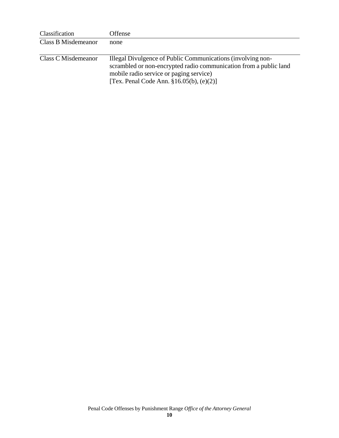| Classification      | Offense                                                           |
|---------------------|-------------------------------------------------------------------|
| Class B Misdemeanor | none                                                              |
|                     |                                                                   |
| Class C Misdemeanor | Illegal Divulgence of Public Communications (involving non-       |
|                     | scrambled or non-encrypted radio communication from a public land |
|                     | mobile radio service or paging service)                           |
|                     | [Tex. Penal Code Ann. $§16.05(b)$ , $(e)(2)$ ]                    |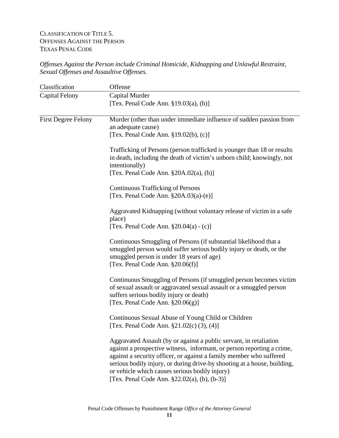# CLASSIFICATION OF TITLE 5. OFFENSES AGAINST THE PERSON TEXAS PENAL CODE

*Offenses Against the Person include Criminal Homicide, Kidnapping and Unlawful Restraint, Sexual Offenses and Assaultive Offenses.*

| Classification             | Offense                                                                                                                                                                                                                                                                                                                                                                                           |
|----------------------------|---------------------------------------------------------------------------------------------------------------------------------------------------------------------------------------------------------------------------------------------------------------------------------------------------------------------------------------------------------------------------------------------------|
| <b>Capital Felony</b>      | Capital Murder<br>[Tex. Penal Code Ann. $\S 19.03(a)$ , (b)]                                                                                                                                                                                                                                                                                                                                      |
| <b>First Degree Felony</b> | Murder (other than under immediate influence of sudden passion from<br>an adequate cause)<br>[Tex. Penal Code Ann. §19.02(b), (c)]                                                                                                                                                                                                                                                                |
|                            | Trafficking of Persons (person trafficked is younger than 18 or results<br>in death, including the death of victim's unborn child; knowingly, not<br>intentionally)<br>[Tex. Penal Code Ann. §20A.02(a), (b)]                                                                                                                                                                                     |
|                            | <b>Continuous Trafficking of Persons</b><br>[Tex. Penal Code Ann. $\S 20A.03(a)-(e)$ ]                                                                                                                                                                                                                                                                                                            |
|                            | Aggravated Kidnapping (without voluntary release of victim in a safe<br>place)<br>[Tex. Penal Code Ann. $\S 20.04(a) - (c)$ ]                                                                                                                                                                                                                                                                     |
|                            | Continuous Smuggling of Persons (if substantial likelihood that a<br>smuggled person would suffer serious bodily injury or death, or the<br>smuggled person is under 18 years of age)<br>[Tex. Penal Code Ann. $\S 20.06(f)$ ]                                                                                                                                                                    |
|                            | Continuous Smuggling of Persons (if smuggled person becomes victim<br>of sexual assault or aggravated sexual assault or a smuggled person<br>suffers serious bodily injury or death)<br>[Tex. Penal Code Ann. $\S20.06(g)$ ]                                                                                                                                                                      |
|                            | Continuous Sexual Abuse of Young Child or Children<br>[Tex. Penal Code Ann. $\S21.02(c)$ (3), (4)]                                                                                                                                                                                                                                                                                                |
|                            | Aggravated Assault (by or against a public servant, in retaliation<br>against a prospective witness, informant, or person reporting a crime,<br>against a security officer, or against a family member who suffered<br>serious bodily injury, or during drive-by shooting at a house, building,<br>or vehicle which causes serious bodily injury)<br>[Tex. Penal Code Ann. §22.02(a), (b), (b-3)] |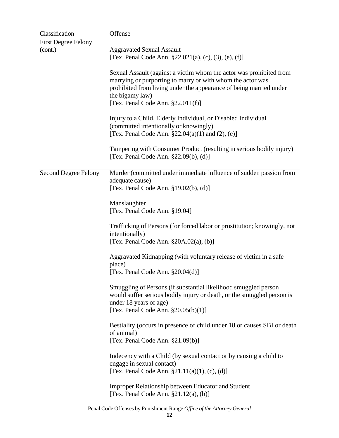| Classification              | Offense                                                                                                                                                                                                                                                            |
|-----------------------------|--------------------------------------------------------------------------------------------------------------------------------------------------------------------------------------------------------------------------------------------------------------------|
| <b>First Degree Felony</b>  |                                                                                                                                                                                                                                                                    |
| (cont.)                     | <b>Aggravated Sexual Assault</b><br>[Tex. Penal Code Ann. §22.021(a), (c), (3), (e), (f)]                                                                                                                                                                          |
|                             | Sexual Assault (against a victim whom the actor was prohibited from<br>marrying or purporting to marry or with whom the actor was<br>prohibited from living under the appearance of being married under<br>the bigamy law)<br>[Tex. Penal Code Ann. $§22.011(f)$ ] |
|                             | Injury to a Child, Elderly Individual, or Disabled Individual<br>(committed intentionally or knowingly)<br>[Tex. Penal Code Ann. $\S 22.04(a)(1)$ and $(2)$ , (e)]                                                                                                 |
|                             | Tampering with Consumer Product (resulting in serious bodily injury)<br>[Tex. Penal Code Ann. $\S 22.09(b)$ , (d)]                                                                                                                                                 |
| <b>Second Degree Felony</b> | Murder (committed under immediate influence of sudden passion from<br>adequate cause)<br>[Tex. Penal Code Ann. $\S 19.02(b)$ , (d)]                                                                                                                                |
|                             | Manslaughter<br>[Tex. Penal Code Ann. §19.04]                                                                                                                                                                                                                      |
|                             | Trafficking of Persons (for forced labor or prostitution; knowingly, not<br>intentionally)<br>[Tex. Penal Code Ann. $\S 20A.02(a)$ , (b)]                                                                                                                          |
|                             | Aggravated Kidnapping (with voluntary release of victim in a safe<br>place)<br>[Tex. Penal Code Ann. $\S 20.04(d)$ ]                                                                                                                                               |
|                             | Smuggling of Persons (if substantial likelihood smuggled person<br>would suffer serious bodily injury or death, or the smuggled person is<br>under 18 years of age)<br>[Tex. Penal Code Ann. $\S 20.05(b)(1)$ ]                                                    |
|                             | Bestiality (occurs in presence of child under 18 or causes SBI or death<br>of animal)<br>[Tex. Penal Code Ann. §21.09(b)]                                                                                                                                          |
|                             | Indecency with a Child (by sexual contact or by causing a child to<br>engage in sexual contact)<br>[Tex. Penal Code Ann. $\S 21.11(a)(1)$ , (c), (d)]                                                                                                              |
|                             | Improper Relationship between Educator and Student<br>[Tex. Penal Code Ann. $\S21.12(a)$ , (b)]                                                                                                                                                                    |
|                             | Penal Code Offenses by Punishment Range Office of the Attorney General                                                                                                                                                                                             |

**12**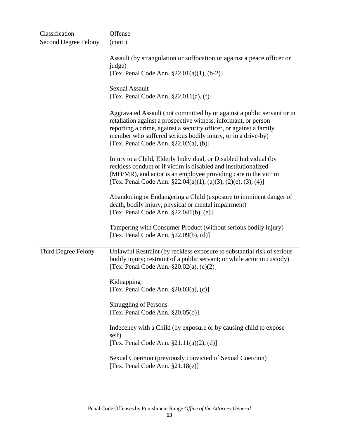| Classification              | Offense                                                                                                                                                                                                                                                                                                                       |
|-----------------------------|-------------------------------------------------------------------------------------------------------------------------------------------------------------------------------------------------------------------------------------------------------------------------------------------------------------------------------|
| <b>Second Degree Felony</b> | (cont.)                                                                                                                                                                                                                                                                                                                       |
|                             | Assault (by strangulation or suffocation or against a peace officer or<br>judge)                                                                                                                                                                                                                                              |
|                             | [Tex. Penal Code Ann. $\S 22.01(a)(1)$ , (b-2)]                                                                                                                                                                                                                                                                               |
|                             | <b>Sexual Assault</b><br>[Tex. Penal Code Ann. $\S 22.011(a)$ , (f)]                                                                                                                                                                                                                                                          |
|                             | Aggravated Assault (not committed by or against a public servant or in<br>retaliation against a prospective witness, informant, or person<br>reporting a crime, against a security officer, or against a family<br>member who suffered serious bodily injury, or in a drive-by)<br>[Tex. Penal Code Ann. $\S 22.02(a)$ , (b)] |
|                             | Injury to a Child, Elderly Individual, or Disabled Individual (by<br>reckless conduct or if victim is disabled and institutionalized<br>(MH/MR), and actor is an employee providing care to the victim<br>[Tex. Penal Code Ann. $\S 22.04(a)(1)$ , (a)(3), (2)(e), (3), (4)]                                                  |
|                             | Abandoning or Endangering a Child (exposure to imminent danger of<br>death, bodily injury, physical or mental impairment)<br>[Tex. Penal Code Ann. §22.041(b), (e)]                                                                                                                                                           |
|                             | Tampering with Consumer Product (without serious bodily injury)<br>[Tex. Penal Code Ann. $\S22.09(b)$ , (d)]                                                                                                                                                                                                                  |
| Third Degree Felony         | Unlawful Restraint (by reckless exposure to substantial risk of serious<br>bodily injury; restraint of a public servant; or while actor in custody)<br>[Tex. Penal Code Ann. $\S 20.02(a)$ , (c)(2)]                                                                                                                          |
|                             | Kidnapping<br>[Tex. Penal Code Ann. $\S 20.03(a)$ , (c)]                                                                                                                                                                                                                                                                      |
|                             | <b>Smuggling of Persons</b><br>[Tex. Penal Code Ann. $\S 20.05(b)$ ]                                                                                                                                                                                                                                                          |
|                             | Indecency with a Child (by exposure or by causing child to expose<br>self)<br>[Tex. Penal Code Ann. $\S 21.11(a)(2), (d)$ ]                                                                                                                                                                                                   |
|                             | Sexual Coercion (previously convicted of Sexual Coercion)<br>[Tex. Penal Code Ann. $§21.18(e)]$                                                                                                                                                                                                                               |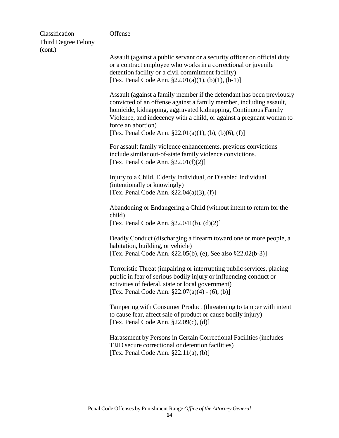| Classification      | Offense                                                                                                                                                                                                                                                                                                                                                               |
|---------------------|-----------------------------------------------------------------------------------------------------------------------------------------------------------------------------------------------------------------------------------------------------------------------------------------------------------------------------------------------------------------------|
| Third Degree Felony |                                                                                                                                                                                                                                                                                                                                                                       |
| (cont.)             |                                                                                                                                                                                                                                                                                                                                                                       |
|                     | Assault (against a public servant or a security officer on official duty                                                                                                                                                                                                                                                                                              |
|                     | or a contract employee who works in a correctional or juvenile                                                                                                                                                                                                                                                                                                        |
|                     | detention facility or a civil commitment facility)                                                                                                                                                                                                                                                                                                                    |
|                     | [Tex. Penal Code Ann. $\S 22.01(a)(1)$ , (b)(1), (b-1)]                                                                                                                                                                                                                                                                                                               |
|                     | Assault (against a family member if the defendant has been previously<br>convicted of an offense against a family member, including assault,<br>homicide, kidnapping, aggravated kidnapping, Continuous Family<br>Violence, and indecency with a child, or against a pregnant woman to<br>force an abortion)<br>[Tex. Penal Code Ann. §22.01(a)(1), (b), (b)(6), (f)] |
|                     | For assault family violence enhancements, previous convictions<br>include similar out-of-state family violence convictions.<br>[Tex. Penal Code Ann. $§22.01(f)(2)]$                                                                                                                                                                                                  |
|                     | Injury to a Child, Elderly Individual, or Disabled Individual<br>(intentionally or knowingly)                                                                                                                                                                                                                                                                         |
|                     | [Tex. Penal Code Ann. $\S 22.04(a)(3)$ , (f)]                                                                                                                                                                                                                                                                                                                         |
|                     | Abandoning or Endangering a Child (without intent to return for the<br>child)<br>[Tex. Penal Code Ann. $\S 22.041(b)$ , (d)(2)]                                                                                                                                                                                                                                       |
|                     | Deadly Conduct (discharging a firearm toward one or more people, a<br>habitation, building, or vehicle)                                                                                                                                                                                                                                                               |
|                     | [Tex. Penal Code Ann. §22.05(b), (e), See also §22.02(b-3)]                                                                                                                                                                                                                                                                                                           |
|                     | Terroristic Threat (impairing or interrupting public services, placing<br>public in fear of serious bodily injury or influencing conduct or<br>activities of federal, state or local government)<br>[Tex. Penal Code Ann. $\S 22.07(a)(4) - (6)$ , (b)]                                                                                                               |
|                     | Tampering with Consumer Product (threatening to tamper with intent<br>to cause fear, affect sale of product or cause bodily injury)<br>[Tex. Penal Code Ann. $\S22.09(c)$ , (d)]                                                                                                                                                                                      |
|                     | Harassment by Persons in Certain Correctional Facilities (includes<br>TJJD secure correctional or detention facilities)<br>[Tex. Penal Code Ann. $\S 22.11(a)$ , (b)]                                                                                                                                                                                                 |
|                     |                                                                                                                                                                                                                                                                                                                                                                       |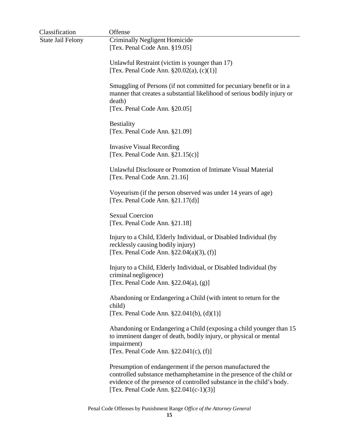| Classification           | Offense                                                                                                                                                                                                                                               |
|--------------------------|-------------------------------------------------------------------------------------------------------------------------------------------------------------------------------------------------------------------------------------------------------|
| <b>State Jail Felony</b> | Criminally Negligent Homicide<br>[Tex. Penal Code Ann. §19.05]                                                                                                                                                                                        |
|                          | Unlawful Restraint (victim is younger than 17)<br>[Tex. Penal Code Ann. $\S 20.02(a)$ , (c)(1)]                                                                                                                                                       |
|                          | Smuggling of Persons (if not committed for pecuniary benefit or in a<br>manner that creates a substantial likelihood of serious bodily injury or<br>death)<br>[Tex. Penal Code Ann. §20.05]                                                           |
|                          | <b>Bestiality</b><br>[Tex. Penal Code Ann. §21.09]                                                                                                                                                                                                    |
|                          | <b>Invasive Visual Recording</b><br>[Tex. Penal Code Ann. $§21.15(c)$ ]                                                                                                                                                                               |
|                          | Unlawful Disclosure or Promotion of Intimate Visual Material<br>[Tex. Penal Code Ann. 21.16]                                                                                                                                                          |
|                          | Voyeurism (if the person observed was under 14 years of age)<br>[Tex. Penal Code Ann. $\S21.17(d)$ ]                                                                                                                                                  |
|                          | <b>Sexual Coercion</b><br>[Tex. Penal Code Ann. §21.18]                                                                                                                                                                                               |
|                          | Injury to a Child, Elderly Individual, or Disabled Individual (by<br>recklessly causing bodily injury)<br>[Tex. Penal Code Ann. $\S 22.04(a)(3)$ , (f)]                                                                                               |
|                          | Injury to a Child, Elderly Individual, or Disabled Individual (by<br>criminal negligence)<br>[Tex. Penal Code Ann. $\S 22.04(a)$ , $(g)$ ]                                                                                                            |
|                          | Abandoning or Endangering a Child (with intent to return for the<br>child)<br>[Tex. Penal Code Ann. $\S 22.041(b)$ , (d)(1)]                                                                                                                          |
|                          | Abandoning or Endangering a Child (exposing a child younger than 15<br>to imminent danger of death, bodily injury, or physical or mental<br>impairment)<br>[Tex. Penal Code Ann. $§22.041(c)$ , (f)]                                                  |
|                          | Presumption of endangerment if the person manufactured the<br>controlled substance methamphetamine in the presence of the child or<br>evidence of the presence of controlled substance in the child's body.<br>[Tex. Penal Code Ann. §22.041(c-1)(3)] |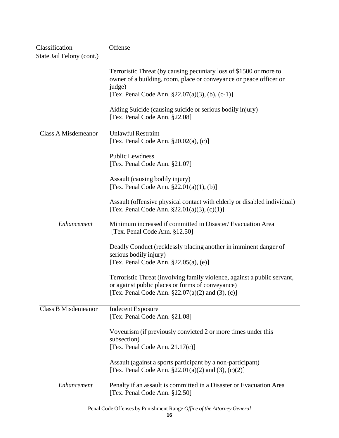| Classification             | Offense                                                                                                                      |
|----------------------------|------------------------------------------------------------------------------------------------------------------------------|
| State Jail Felony (cont.)  |                                                                                                                              |
|                            |                                                                                                                              |
|                            | Terroristic Threat (by causing pecuniary loss of \$1500 or more to                                                           |
|                            | owner of a building, room, place or conveyance or peace officer or                                                           |
|                            | judge)                                                                                                                       |
|                            | [Tex. Penal Code Ann. $\S 22.07(a)(3)$ , (b), (c-1)]                                                                         |
|                            | Aiding Suicide (causing suicide or serious bodily injury)<br>[Tex. Penal Code Ann. §22.08]                                   |
| <b>Class A Misdemeanor</b> | <b>Unlawful Restraint</b>                                                                                                    |
|                            | [Tex. Penal Code Ann. $\S 20.02(a)$ , (c)]                                                                                   |
|                            |                                                                                                                              |
|                            | <b>Public Lewdness</b>                                                                                                       |
|                            | [Tex. Penal Code Ann. §21.07]                                                                                                |
|                            | Assault (causing bodily injury)                                                                                              |
|                            | [Tex. Penal Code Ann. $\S 22.01(a)(1)$ , (b)]                                                                                |
|                            |                                                                                                                              |
|                            | Assault (offensive physical contact with elderly or disabled individual)                                                     |
|                            | [Tex. Penal Code Ann. $\S 22.01(a)(3)$ , (c)(1)]                                                                             |
| Enhancement                | Minimum increased if committed in Disaster/Evacuation Area<br>[Tex. Penal Code Ann. §12.50]                                  |
|                            | Deadly Conduct (recklessly placing another in imminent danger of<br>serious bodily injury)                                   |
|                            | [Tex. Penal Code Ann. $\S 22.05(a)$ , (e)]                                                                                   |
|                            |                                                                                                                              |
|                            | Terroristic Threat (involving family violence, against a public servant,<br>or against public places or forms of conveyance) |
|                            | [Tex. Penal Code Ann. $§22.07(a)(2)$ and (3), (c)]                                                                           |
| <b>Class B Misdemeanor</b> | <b>Indecent Exposure</b>                                                                                                     |
|                            | [Tex. Penal Code Ann. §21.08]                                                                                                |
|                            |                                                                                                                              |
|                            | Voyeurism (if previously convicted 2 or more times under this                                                                |
|                            | subsection)                                                                                                                  |
|                            | [Tex. Penal Code Ann. $21.17(c)$ ]                                                                                           |
|                            | Assault (against a sports participant by a non-participant)                                                                  |
|                            | [Tex. Penal Code Ann. $\S 22.01(a)(2)$ and (3), (c)(2)]                                                                      |
|                            |                                                                                                                              |
| Enhancement                | Penalty if an assault is committed in a Disaster or Evacuation Area<br>[Tex. Penal Code Ann. §12.50]                         |
|                            | Penal Code Offenses by Punishment Range Office of the Attorney General                                                       |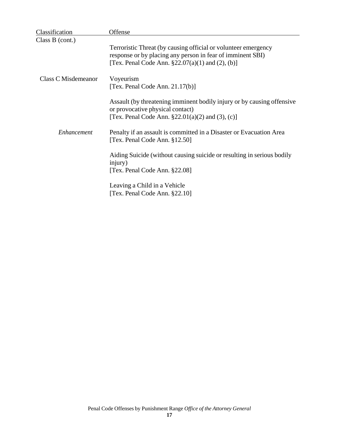| Classification      | Offense                                                                                                                                                                                    |
|---------------------|--------------------------------------------------------------------------------------------------------------------------------------------------------------------------------------------|
| Class B (cont.)     | Terroristic Threat (by causing official or volunteer emergency<br>response or by placing any person in fear of imminent SBI)<br>[Tex. Penal Code Ann. $\S 22.07(a)(1)$ and $(2)$ , $(b)$ ] |
| Class C Misdemeanor | Voyeurism<br>[Tex. Penal Code Ann. $21.17(b)$ ]                                                                                                                                            |
|                     | Assault (by threatening imminent bodily injury or by causing offensive<br>or provocative physical contact)<br>[Tex. Penal Code Ann. $\S 22.01(a)(2)$ and (3), (c)]                         |
| Enhancement         | Penalty if an assault is committed in a Disaster or Evacuation Area<br>[Tex. Penal Code Ann. §12.50]                                                                                       |
|                     | Aiding Suicide (without causing suicide or resulting in serious bodily<br>injury)<br>[Tex. Penal Code Ann. §22.08]                                                                         |
|                     | Leaving a Child in a Vehicle<br>[Tex. Penal Code Ann. §22.10]                                                                                                                              |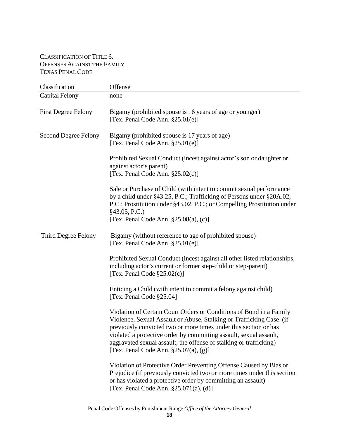# CLASSIFICATION OF TITLE 6. OFFENSES AGAINST THE FAMILY TEXAS PENAL CODE

| Classification              | Offense                                                                                                                                                                                                                                                                                                                                                                                                  |
|-----------------------------|----------------------------------------------------------------------------------------------------------------------------------------------------------------------------------------------------------------------------------------------------------------------------------------------------------------------------------------------------------------------------------------------------------|
| <b>Capital Felony</b>       | none                                                                                                                                                                                                                                                                                                                                                                                                     |
| <b>First Degree Felony</b>  | Bigamy (prohibited spouse is 16 years of age or younger)<br>[Tex. Penal Code Ann. $§25.01(e)$ ]                                                                                                                                                                                                                                                                                                          |
| <b>Second Degree Felony</b> | Bigamy (prohibited spouse is 17 years of age)<br>[Tex. Penal Code Ann. $\S 25.01(e)$ ]                                                                                                                                                                                                                                                                                                                   |
|                             | Prohibited Sexual Conduct (incest against actor's son or daughter or<br>against actor's parent)<br>[Tex. Penal Code Ann. $§25.02(c)$ ]                                                                                                                                                                                                                                                                   |
|                             | Sale or Purchase of Child (with intent to commit sexual performance<br>by a child under §43.25, P.C.; Trafficking of Persons under §20A.02,<br>P.C.; Prostitution under §43.02, P.C.; or Compelling Prostitution under<br>§43.05, P.C.)<br>[Tex. Penal Code Ann. $\S 25.08(a)$ , (c)]                                                                                                                    |
| Third Degree Felony         | Bigamy (without reference to age of prohibited spouse)<br>[Tex. Penal Code Ann. $§25.01(e)]$                                                                                                                                                                                                                                                                                                             |
|                             | Prohibited Sexual Conduct (incest against all other listed relationships,<br>including actor's current or former step-child or step-parent)<br>[Tex. Penal Code $\S25.02(c)$ ]                                                                                                                                                                                                                           |
|                             | Enticing a Child (with intent to commit a felony against child)<br>[Tex. Penal Code §25.04]                                                                                                                                                                                                                                                                                                              |
|                             | Violation of Certain Court Orders or Conditions of Bond in a Family<br>Violence, Sexual Assault or Abuse, Stalking or Trafficking Case (if<br>previously convicted two or more times under this section or has<br>violated a protective order by committing assault, sexual assault,<br>aggravated sexual assault, the offense of stalking or trafficking)<br>[Tex. Penal Code Ann. $\S 25.07(a)$ , (g)] |
|                             | Violation of Protective Order Preventing Offense Caused by Bias or<br>Prejudice (if previously convicted two or more times under this section<br>or has violated a protective order by committing an assault)<br>[Tex. Penal Code Ann. $\S 25.071(a)$ , (d)]                                                                                                                                             |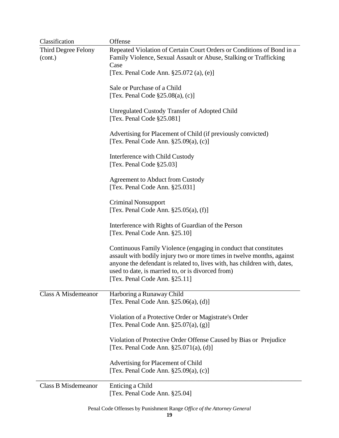| Classification                 | Offense                                                                                                                                                                                                                                                                                                       |
|--------------------------------|---------------------------------------------------------------------------------------------------------------------------------------------------------------------------------------------------------------------------------------------------------------------------------------------------------------|
| Third Degree Felony<br>(cont.) | Repeated Violation of Certain Court Orders or Conditions of Bond in a<br>Family Violence, Sexual Assault or Abuse, Stalking or Trafficking<br>Case                                                                                                                                                            |
|                                | [Tex. Penal Code Ann. §25.072 (a), (e)]                                                                                                                                                                                                                                                                       |
|                                | Sale or Purchase of a Child<br>[Tex. Penal Code $\S25.08(a)$ , (c)]                                                                                                                                                                                                                                           |
|                                | <b>Unregulated Custody Transfer of Adopted Child</b><br>[Tex. Penal Code §25.081]                                                                                                                                                                                                                             |
|                                | Advertising for Placement of Child (if previously convicted)<br>[Tex. Penal Code Ann. $\S 25.09(a)$ , (c)]                                                                                                                                                                                                    |
|                                | Interference with Child Custody<br>[Tex. Penal Code §25.03]                                                                                                                                                                                                                                                   |
|                                | Agreement to Abduct from Custody<br>[Tex. Penal Code Ann. §25.031]                                                                                                                                                                                                                                            |
|                                | <b>Criminal Nonsupport</b><br>[Tex. Penal Code Ann. $\S 25.05(a)$ , (f)]                                                                                                                                                                                                                                      |
|                                | Interference with Rights of Guardian of the Person<br>[Tex. Penal Code Ann. §25.10]                                                                                                                                                                                                                           |
|                                | Continuous Family Violence (engaging in conduct that constitutes<br>assault with bodily injury two or more times in twelve months, against<br>anyone the defendant is related to, lives with, has children with, dates,<br>used to date, is married to, or is divorced from)<br>[Tex. Penal Code Ann. §25.11] |
| Class A Misdemeanor            | Harboring a Runaway Child<br>[Tex. Penal Code Ann. $\S 25.06(a)$ , (d)]                                                                                                                                                                                                                                       |
|                                | Violation of a Protective Order or Magistrate's Order<br>[Tex. Penal Code Ann. $\S 25.07(a)$ , (g)]                                                                                                                                                                                                           |
|                                | Violation of Protective Order Offense Caused by Bias or Prejudice<br>[Tex. Penal Code Ann. $\S 25.071(a)$ , (d)]                                                                                                                                                                                              |
|                                | Advertising for Placement of Child<br>[Tex. Penal Code Ann. $\S 25.09(a)$ , (c)]                                                                                                                                                                                                                              |
| <b>Class B Misdemeanor</b>     | Enticing a Child<br>[Tex. Penal Code Ann. §25.04]                                                                                                                                                                                                                                                             |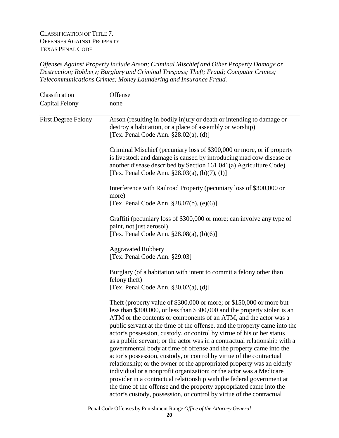# CLASSIFICATION OF TITLE 7. OFFENSES AGAINST PROPERTY TEXAS PENAL CODE

*Offenses Against Property include Arson; Criminal Mischief and Other Property Damage or Destruction; Robbery; Burglary and Criminal Trespass; Theft; Fraud; Computer Crimes; Telecommunications Crimes; Money Laundering and Insurance Fraud.*

| Classification             | Offense                                                                                                                                                                                                                                                                                                                                                                                                                                                                                                                                                                                                                                                                                                                                                                                                                                                                                                                                                                            |
|----------------------------|------------------------------------------------------------------------------------------------------------------------------------------------------------------------------------------------------------------------------------------------------------------------------------------------------------------------------------------------------------------------------------------------------------------------------------------------------------------------------------------------------------------------------------------------------------------------------------------------------------------------------------------------------------------------------------------------------------------------------------------------------------------------------------------------------------------------------------------------------------------------------------------------------------------------------------------------------------------------------------|
| <b>Capital Felony</b>      | none                                                                                                                                                                                                                                                                                                                                                                                                                                                                                                                                                                                                                                                                                                                                                                                                                                                                                                                                                                               |
| <b>First Degree Felony</b> | Arson (resulting in bodily injury or death or intending to damage or<br>destroy a habitation, or a place of assembly or worship)<br>[Tex. Penal Code Ann. $\S 28.02(a)$ , (d)]                                                                                                                                                                                                                                                                                                                                                                                                                                                                                                                                                                                                                                                                                                                                                                                                     |
|                            | Criminal Mischief (pecuniary loss of \$300,000 or more, or if property<br>is livestock and damage is caused by introducing mad cow disease or<br>another disease described by Section 161.041(a) Agriculture Code)<br>[Tex. Penal Code Ann. $\S 28.03(a)$ , (b)(7), (I)]                                                                                                                                                                                                                                                                                                                                                                                                                                                                                                                                                                                                                                                                                                           |
|                            | Interference with Railroad Property (pecuniary loss of \$300,000 or<br>more)<br>[Tex. Penal Code Ann. $§28.07(b)$ , $(e)(6)$ ]                                                                                                                                                                                                                                                                                                                                                                                                                                                                                                                                                                                                                                                                                                                                                                                                                                                     |
|                            | Graffiti (pecuniary loss of \$300,000 or more; can involve any type of<br>paint, not just aerosol)<br>[Tex. Penal Code Ann. $\S 28.08(a)$ , (b)(6)]                                                                                                                                                                                                                                                                                                                                                                                                                                                                                                                                                                                                                                                                                                                                                                                                                                |
|                            | <b>Aggravated Robbery</b><br>[Tex. Penal Code Ann. §29.03]                                                                                                                                                                                                                                                                                                                                                                                                                                                                                                                                                                                                                                                                                                                                                                                                                                                                                                                         |
|                            | Burglary (of a habitation with intent to commit a felony other than<br>felony theft)<br>[Tex. Penal Code Ann. $\S 30.02(a)$ , (d)]                                                                                                                                                                                                                                                                                                                                                                                                                                                                                                                                                                                                                                                                                                                                                                                                                                                 |
|                            | Theft (property value of \$300,000 or more; or \$150,000 or more but<br>less than \$300,000, or less than \$300,000 and the property stolen is an<br>ATM or the contents or components of an ATM, and the actor was a<br>public servant at the time of the offense, and the property came into the<br>actor's possession, custody, or control by virtue of his or her status<br>as a public servant; or the actor was in a contractual relationship with a<br>governmental body at time of offense and the property came into the<br>actor's possession, custody, or control by virtue of the contractual<br>relationship; or the owner of the appropriated property was an elderly<br>individual or a nonprofit organization; or the actor was a Medicare<br>provider in a contractual relationship with the federal government at<br>the time of the offense and the property appropriated came into the<br>actor's custody, possession, or control by virtue of the contractual |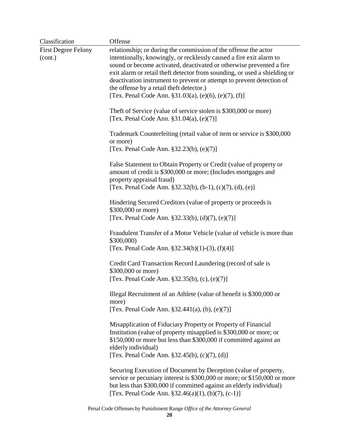| Classification                        | Offense                                                                                                                                                                                                                                                                                                                                                                                                                                                                       |
|---------------------------------------|-------------------------------------------------------------------------------------------------------------------------------------------------------------------------------------------------------------------------------------------------------------------------------------------------------------------------------------------------------------------------------------------------------------------------------------------------------------------------------|
| <b>First Degree Felony</b><br>(cont.) | relationship; or during the commission of the offense the actor<br>intentionally, knowingly, or recklessly caused a fire exit alarm to<br>sound or become activated, deactivated or otherwise prevented a fire<br>exit alarm or retail theft detector from sounding, or used a shielding or<br>deactivation instrument to prevent or attempt to prevent detection of<br>the offense by a retail theft detector.)<br>[Tex. Penal Code Ann. $\S31.03(a)$ , (e)(6), (e)(7), (f)] |
|                                       | Theft of Service (value of service stolen is \$300,000 or more)<br>[Tex. Penal Code Ann. $§31.04(a)$ , (e)(7)]                                                                                                                                                                                                                                                                                                                                                                |
|                                       | Trademark Counterfeiting (retail value of item or service is \$300,000<br>or more)<br>[Tex. Penal Code Ann. $$32.23(b), (e)(7)]$                                                                                                                                                                                                                                                                                                                                              |
|                                       | False Statement to Obtain Property or Credit (value of property or<br>amount of credit is \$300,000 or more; (Includes mortgages and<br>property appraisal fraud)<br>[Tex. Penal Code Ann. $\S 32.32(b)$ , (b-1), (c)(7), (d), (e)]                                                                                                                                                                                                                                           |
|                                       | Hindering Secured Creditors (value of property or proceeds is<br>\$300,000 or more)<br>[Tex. Penal Code Ann. $$32.33(b), (d)(7), (e)(7)]$                                                                                                                                                                                                                                                                                                                                     |
|                                       | Fraudulent Transfer of a Motor Vehicle (value of vehicle is more than<br>\$300,000)<br>[Tex. Penal Code Ann. $\S 32.34(b)(1)-(3)$ , (f)(4)]                                                                                                                                                                                                                                                                                                                                   |
|                                       | Credit Card Transaction Record Laundering (record of sale is<br>\$300,000 or more)<br>[Tex. Penal Code Ann. $§32.35(b)$ , (c), (e)(7)]                                                                                                                                                                                                                                                                                                                                        |
|                                       | Illegal Recruitment of an Athlete (value of benefit is \$300,000 or<br>more)<br>[Tex. Penal Code Ann. $\S 32.441(a)$ , (b), (e)(7)]                                                                                                                                                                                                                                                                                                                                           |
|                                       | Misapplication of Fiduciary Property or Property of Financial<br>Institution (value of property misapplied is \$300,000 or more; or<br>\$150,000 or more but less than \$300,000 if committed against an<br>elderly individual)<br>[Tex. Penal Code Ann. §32.45(b), (c)(7), (d)]                                                                                                                                                                                              |
|                                       | Securing Execution of Document by Deception (value of property,<br>service or pecuniary interest is \$300,000 or more; or \$150,000 or more<br>but less than \$300,000 if committed against an elderly individual)<br>[Tex. Penal Code Ann. $$32.46(a)(1), (b)(7), (c-1)]$                                                                                                                                                                                                    |

Penal Code Offenses by Punishment Range *Office of the Attorney General*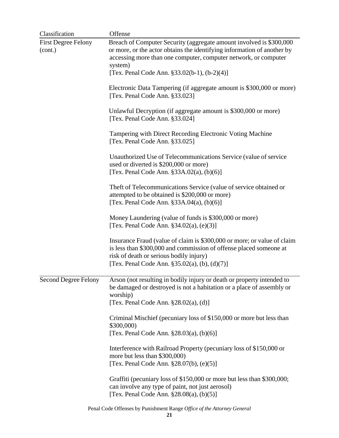| Classification                        | Offense                                                                                                                                                                                                                                                                      |
|---------------------------------------|------------------------------------------------------------------------------------------------------------------------------------------------------------------------------------------------------------------------------------------------------------------------------|
| <b>First Degree Felony</b><br>(cont.) | Breach of Computer Security (aggregate amount involved is \$300,000<br>or more, or the actor obtains the identifying information of another by<br>accessing more than one computer, computer network, or computer<br>system)<br>[Tex. Penal Code Ann. §33.02(b-1), (b-2)(4)] |
|                                       | Electronic Data Tampering (if aggregate amount is \$300,000 or more)<br>[Tex. Penal Code Ann. §33.023]                                                                                                                                                                       |
|                                       | Unlawful Decryption (if aggregate amount is \$300,000 or more)<br>[Tex. Penal Code Ann. §33.024]                                                                                                                                                                             |
|                                       | Tampering with Direct Recording Electronic Voting Machine<br>[Tex. Penal Code Ann. §33.025]                                                                                                                                                                                  |
|                                       | Unauthorized Use of Telecommunications Service (value of service<br>used or diverted is \$200,000 or more)<br>[Tex. Penal Code Ann. $\S 33A.02(a)$ , (b)(6)]                                                                                                                 |
|                                       | Theft of Telecommunications Service (value of service obtained or<br>attempted to be obtained is \$200,000 or more)<br>[Tex. Penal Code Ann. $\S 33A.04(a)$ , (b)(6)]                                                                                                        |
|                                       | Money Laundering (value of funds is \$300,000 or more)<br>[Tex. Penal Code Ann. $§34.02(a)$ , $(e)(3)$ ]                                                                                                                                                                     |
|                                       | Insurance Fraud (value of claim is \$300,000 or more; or value of claim<br>is less than \$300,000 and commission of offense placed someone at<br>risk of death or serious bodily injury)<br>[Tex. Penal Code Ann. $§35.02(a)$ , (b), (d)(7)]                                 |
| Second Degree Felony                  | Arson (not resulting in bodily injury or death or property intended to<br>be damaged or destroyed is not a habitation or a place of assembly or<br>worship)<br>[Tex. Penal Code Ann. $\S 28.02(a)$ , (d)]                                                                    |
|                                       | Criminal Mischief (pecuniary loss of \$150,000 or more but less than<br>\$300,000<br>[Tex. Penal Code Ann. §28.03(a), (b)(6)]                                                                                                                                                |
|                                       | Interference with Railroad Property (pecuniary loss of \$150,000 or<br>more but less than \$300,000)<br>[Tex. Penal Code Ann. §28.07(b), (e)(5)]                                                                                                                             |
|                                       | Graffiti (pecuniary loss of \$150,000 or more but less than \$300,000;<br>can involve any type of paint, not just aerosol)<br>[Tex. Penal Code Ann. $\S 28.08(a)$ , (b)(5)]                                                                                                  |
|                                       |                                                                                                                                                                                                                                                                              |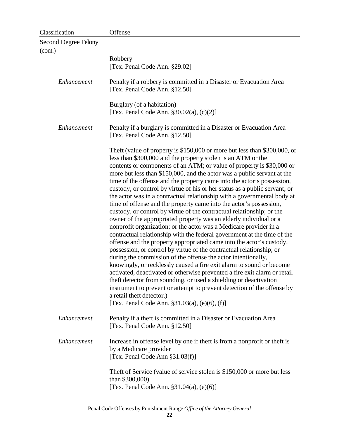| Classification                  | Offense                                                                                                                                                                                                                                                                                                                                                                                                                                                                                                                                                                                                                                                                                                                                                                                                                                                                                                                                                                                                                                                                                                                                                                                                                                                                                                                                                                                                                                                                                                      |
|---------------------------------|--------------------------------------------------------------------------------------------------------------------------------------------------------------------------------------------------------------------------------------------------------------------------------------------------------------------------------------------------------------------------------------------------------------------------------------------------------------------------------------------------------------------------------------------------------------------------------------------------------------------------------------------------------------------------------------------------------------------------------------------------------------------------------------------------------------------------------------------------------------------------------------------------------------------------------------------------------------------------------------------------------------------------------------------------------------------------------------------------------------------------------------------------------------------------------------------------------------------------------------------------------------------------------------------------------------------------------------------------------------------------------------------------------------------------------------------------------------------------------------------------------------|
| Second Degree Felony<br>(cont.) |                                                                                                                                                                                                                                                                                                                                                                                                                                                                                                                                                                                                                                                                                                                                                                                                                                                                                                                                                                                                                                                                                                                                                                                                                                                                                                                                                                                                                                                                                                              |
|                                 | Robbery                                                                                                                                                                                                                                                                                                                                                                                                                                                                                                                                                                                                                                                                                                                                                                                                                                                                                                                                                                                                                                                                                                                                                                                                                                                                                                                                                                                                                                                                                                      |
|                                 | [Tex. Penal Code Ann. §29.02]                                                                                                                                                                                                                                                                                                                                                                                                                                                                                                                                                                                                                                                                                                                                                                                                                                                                                                                                                                                                                                                                                                                                                                                                                                                                                                                                                                                                                                                                                |
| Enhancement                     | Penalty if a robbery is committed in a Disaster or Evacuation Area<br>[Tex. Penal Code Ann. §12.50]                                                                                                                                                                                                                                                                                                                                                                                                                                                                                                                                                                                                                                                                                                                                                                                                                                                                                                                                                                                                                                                                                                                                                                                                                                                                                                                                                                                                          |
|                                 | Burglary (of a habitation)<br>[Tex. Penal Code Ann. $\S 30.02(a)$ , (c)(2)]                                                                                                                                                                                                                                                                                                                                                                                                                                                                                                                                                                                                                                                                                                                                                                                                                                                                                                                                                                                                                                                                                                                                                                                                                                                                                                                                                                                                                                  |
| Enhancement                     | Penalty if a burglary is committed in a Disaster or Evacuation Area<br>[Tex. Penal Code Ann. §12.50]                                                                                                                                                                                                                                                                                                                                                                                                                                                                                                                                                                                                                                                                                                                                                                                                                                                                                                                                                                                                                                                                                                                                                                                                                                                                                                                                                                                                         |
|                                 | Theft (value of property is \$150,000 or more but less than \$300,000, or<br>less than \$300,000 and the property stolen is an ATM or the<br>contents or components of an ATM; or value of property is \$30,000 or<br>more but less than \$150,000, and the actor was a public servant at the<br>time of the offense and the property came into the actor's possession,<br>custody, or control by virtue of his or her status as a public servant; or<br>the actor was in a contractual relationship with a governmental body at<br>time of offense and the property came into the actor's possession,<br>custody, or control by virtue of the contractual relationship; or the<br>owner of the appropriated property was an elderly individual or a<br>nonprofit organization; or the actor was a Medicare provider in a<br>contractual relationship with the federal government at the time of the<br>offense and the property appropriated came into the actor's custody,<br>possession, or control by virtue of the contractual relationship; or<br>during the commission of the offense the actor intentionally,<br>knowingly, or recklessly caused a fire exit alarm to sound or become<br>activated, deactivated or otherwise prevented a fire exit alarm or retail<br>theft detector from sounding, or used a shielding or deactivation<br>instrument to prevent or attempt to prevent detection of the offense by<br>a retail theft detector.)<br>[Tex. Penal Code Ann. $\S31.03(a)$ , (e)(6), (f)] |
| Enhancement                     | Penalty if a theft is committed in a Disaster or Evacuation Area<br>[Tex. Penal Code Ann. §12.50]                                                                                                                                                                                                                                                                                                                                                                                                                                                                                                                                                                                                                                                                                                                                                                                                                                                                                                                                                                                                                                                                                                                                                                                                                                                                                                                                                                                                            |
| Enhancement                     | Increase in offense level by one if theft is from a nonprofit or theft is<br>by a Medicare provider<br>[Tex. Penal Code Ann $\S 31.03(f)$ ]                                                                                                                                                                                                                                                                                                                                                                                                                                                                                                                                                                                                                                                                                                                                                                                                                                                                                                                                                                                                                                                                                                                                                                                                                                                                                                                                                                  |
|                                 | Theft of Service (value of service stolen is \$150,000 or more but less<br>than \$300,000)<br>[Tex. Penal Code Ann. §31.04(a), (e)(6)]                                                                                                                                                                                                                                                                                                                                                                                                                                                                                                                                                                                                                                                                                                                                                                                                                                                                                                                                                                                                                                                                                                                                                                                                                                                                                                                                                                       |
|                                 |                                                                                                                                                                                                                                                                                                                                                                                                                                                                                                                                                                                                                                                                                                                                                                                                                                                                                                                                                                                                                                                                                                                                                                                                                                                                                                                                                                                                                                                                                                              |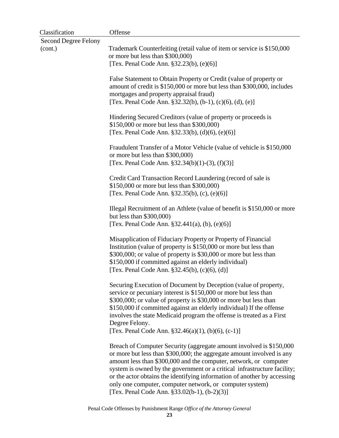| Classification                         | Offense                                                                                                                                                                                                                                                                                                                                                                                                                                                                               |
|----------------------------------------|---------------------------------------------------------------------------------------------------------------------------------------------------------------------------------------------------------------------------------------------------------------------------------------------------------------------------------------------------------------------------------------------------------------------------------------------------------------------------------------|
| <b>Second Degree Felony</b><br>(cont.) | Trademark Counterfeiting (retail value of item or service is \$150,000<br>or more but less than \$300,000)<br>[Tex. Penal Code Ann. §32.23(b), (e)(6)]                                                                                                                                                                                                                                                                                                                                |
|                                        | False Statement to Obtain Property or Credit (value of property or<br>amount of credit is \$150,000 or more but less than \$300,000, includes<br>mortgages and property appraisal fraud)<br>[Tex. Penal Code Ann. $§32.32(b)$ , (b-1), (c)(6), (d), (e)]                                                                                                                                                                                                                              |
|                                        | Hindering Secured Creditors (value of property or proceeds is<br>\$150,000 or more but less than \$300,000)<br>[Tex. Penal Code Ann. $§32.33(b)$ , (d)(6), (e)(6)]                                                                                                                                                                                                                                                                                                                    |
|                                        | Fraudulent Transfer of a Motor Vehicle (value of vehicle is \$150,000<br>or more but less than \$300,000)<br>[Tex. Penal Code Ann. $\S 32.34(b)(1)-(3)$ , (f)(3)]                                                                                                                                                                                                                                                                                                                     |
|                                        | Credit Card Transaction Record Laundering (record of sale is<br>\$150,000 or more but less than \$300,000)<br>[Tex. Penal Code Ann. §32.35(b), (c), (e)(6)]                                                                                                                                                                                                                                                                                                                           |
|                                        | Illegal Recruitment of an Athlete (value of benefit is \$150,000 or more<br>but less than \$300,000)<br>[Tex. Penal Code Ann. $§32.441(a)$ , (b), (e)(6)]                                                                                                                                                                                                                                                                                                                             |
|                                        | Misapplication of Fiduciary Property or Property of Financial<br>Institution (value of property is \$150,000 or more but less than<br>\$300,000; or value of property is \$30,000 or more but less than<br>\$150,000 if committed against an elderly individual)<br>[Tex. Penal Code Ann. §32.45(b), (c)(6), (d)]                                                                                                                                                                     |
|                                        | Securing Execution of Document by Deception (value of property,<br>service or pecuniary interest is \$150,000 or more but less than<br>\$300,000; or value of property is \$30,000 or more but less than<br>\$150,000 if committed against an elderly individual) If the offense<br>involves the state Medicaid program the offense is treated as a First<br>Degree Felony.<br>[Tex. Penal Code Ann. $$32.46(a)(1), (b)(6), (c-1)]$                                                   |
|                                        | Breach of Computer Security (aggregate amount involved is \$150,000<br>or more but less than \$300,000; the aggregate amount involved is any<br>amount less than \$300,000 and the computer, network, or computer<br>system is owned by the government or a critical infrastructure facility;<br>or the actor obtains the identifying information of another by accessing<br>only one computer, computer network, or computer system)<br>[Tex. Penal Code Ann. §33.02(b-1), (b-2)(3)] |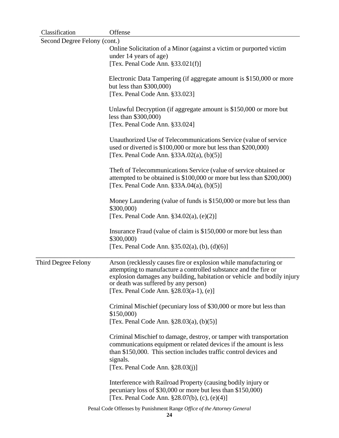| Classification               | Offense                                                                                                                                     |
|------------------------------|---------------------------------------------------------------------------------------------------------------------------------------------|
| Second Degree Felony (cont.) |                                                                                                                                             |
|                              | Online Solicitation of a Minor (against a victim or purported victim                                                                        |
|                              | under 14 years of age)                                                                                                                      |
|                              | [Tex. Penal Code Ann. $§33.021(f)$ ]                                                                                                        |
|                              | Electronic Data Tampering (if aggregate amount is \$150,000 or more                                                                         |
|                              | but less than \$300,000)                                                                                                                    |
|                              | [Tex. Penal Code Ann. §33.023]                                                                                                              |
|                              |                                                                                                                                             |
|                              | Unlawful Decryption (if aggregate amount is \$150,000 or more but                                                                           |
|                              | less than $$300,000$                                                                                                                        |
|                              | [Tex. Penal Code Ann. §33.024]                                                                                                              |
|                              | Unauthorized Use of Telecommunications Service (value of service                                                                            |
|                              | used or diverted is \$100,000 or more but less than \$200,000)                                                                              |
|                              | [Tex. Penal Code Ann. $\S 33A.02(a)$ , (b)(5)]                                                                                              |
|                              | Theft of Telecommunications Service (value of service obtained or                                                                           |
|                              | attempted to be obtained is \$100,000 or more but less than \$200,000)                                                                      |
|                              | [Tex. Penal Code Ann. $\S 33A.04(a)$ , (b)(5)]                                                                                              |
|                              | Money Laundering (value of funds is \$150,000 or more but less than                                                                         |
|                              | \$300,000)                                                                                                                                  |
|                              | [Tex. Penal Code Ann. $§34.02(a)$ , (e)(2)]                                                                                                 |
|                              | Insurance Fraud (value of claim is \$150,000 or more but less than                                                                          |
|                              | \$300,000)                                                                                                                                  |
|                              | [Tex. Penal Code Ann. $\S 35.02(a)$ , (b), (d)(6)]                                                                                          |
|                              |                                                                                                                                             |
| <b>Third Degree Felony</b>   | Arson (recklessly causes fire or explosion while manufacturing or                                                                           |
|                              | attempting to manufacture a controlled substance and the fire or<br>explosion damages any building, habitation or vehicle and bodily injury |
|                              | or death was suffered by any person)                                                                                                        |
|                              | [Tex. Penal Code Ann. $§28.03(a-1)$ , (e)]                                                                                                  |
|                              | Criminal Mischief (pecuniary loss of \$30,000 or more but less than                                                                         |
|                              | \$150,000                                                                                                                                   |
|                              | [Tex. Penal Code Ann. $\S 28.03(a)$ , (b)(5)]                                                                                               |
|                              | Criminal Mischief to damage, destroy, or tamper with transportation                                                                         |
|                              | communications equipment or related devices if the amount is less                                                                           |
|                              | than \$150,000. This section includes traffic control devices and                                                                           |
|                              | signals.                                                                                                                                    |
|                              | [Tex. Penal Code Ann. $\S 28.03(j)$ ]                                                                                                       |
|                              | Interference with Railroad Property (causing bodily injury or                                                                               |
|                              | pecuniary loss of \$30,000 or more but less than \$150,000)                                                                                 |
|                              | [Tex. Penal Code Ann. $\S 28.07(b)$ , (c), (e)(4)]                                                                                          |
|                              | Penal Code Offenses by Punishment Range Office of the Attorney General                                                                      |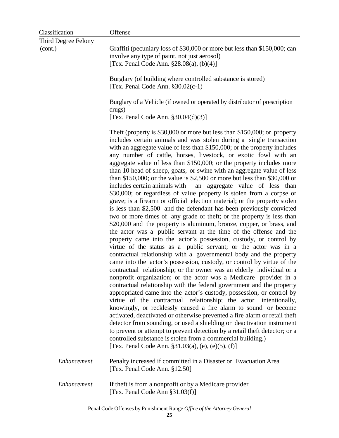| Classification      | Offense                                                                                                                                                                                                                                                                                                                                                                                                                                                                                                                                                                                                                                                                                                                                                                                                                                                                                                                                                                                                                                                                                                                                                                                                                                                                                                                                                                                                                                                                                                                                                                                                                                                                                                                                                                                                                                                                                                                                                                                                                                                                                        |  |
|---------------------|------------------------------------------------------------------------------------------------------------------------------------------------------------------------------------------------------------------------------------------------------------------------------------------------------------------------------------------------------------------------------------------------------------------------------------------------------------------------------------------------------------------------------------------------------------------------------------------------------------------------------------------------------------------------------------------------------------------------------------------------------------------------------------------------------------------------------------------------------------------------------------------------------------------------------------------------------------------------------------------------------------------------------------------------------------------------------------------------------------------------------------------------------------------------------------------------------------------------------------------------------------------------------------------------------------------------------------------------------------------------------------------------------------------------------------------------------------------------------------------------------------------------------------------------------------------------------------------------------------------------------------------------------------------------------------------------------------------------------------------------------------------------------------------------------------------------------------------------------------------------------------------------------------------------------------------------------------------------------------------------------------------------------------------------------------------------------------------------|--|
| Third Degree Felony |                                                                                                                                                                                                                                                                                                                                                                                                                                                                                                                                                                                                                                                                                                                                                                                                                                                                                                                                                                                                                                                                                                                                                                                                                                                                                                                                                                                                                                                                                                                                                                                                                                                                                                                                                                                                                                                                                                                                                                                                                                                                                                |  |
| (cont.)             | Graffiti (pecuniary loss of \$30,000 or more but less than \$150,000; can<br>involve any type of paint, not just aerosol)<br>[Tex. Penal Code Ann. $\S 28.08(a)$ , (b)(4)]                                                                                                                                                                                                                                                                                                                                                                                                                                                                                                                                                                                                                                                                                                                                                                                                                                                                                                                                                                                                                                                                                                                                                                                                                                                                                                                                                                                                                                                                                                                                                                                                                                                                                                                                                                                                                                                                                                                     |  |
|                     | Burglary (of building where controlled substance is stored)<br>[Tex. Penal Code Ann. $\S 30.02(c-1)$ ]                                                                                                                                                                                                                                                                                                                                                                                                                                                                                                                                                                                                                                                                                                                                                                                                                                                                                                                                                                                                                                                                                                                                                                                                                                                                                                                                                                                                                                                                                                                                                                                                                                                                                                                                                                                                                                                                                                                                                                                         |  |
|                     | Burglary of a Vehicle (if owned or operated by distributor of prescription<br>drugs)<br>[Tex. Penal Code Ann. $\S 30.04(d)(3)$ ]                                                                                                                                                                                                                                                                                                                                                                                                                                                                                                                                                                                                                                                                                                                                                                                                                                                                                                                                                                                                                                                                                                                                                                                                                                                                                                                                                                                                                                                                                                                                                                                                                                                                                                                                                                                                                                                                                                                                                               |  |
|                     | The ft (property is $$30,000$ or more but less than $$150,000$ ; or property<br>includes certain animals and was stolen during a single transaction<br>with an aggregate value of less than \$150,000; or the property includes<br>any number of cattle, horses, livestock, or exotic fowl with an<br>aggregate value of less than \$150,000; or the property includes more<br>than 10 head of sheep, goats, or swine with an aggregate value of less<br>than \$150,000; or the value is \$2,500 or more but less than \$30,000 or<br>includes certain animals with<br>an aggregate value of less than<br>\$30,000; or regardless of value property is stolen from a corpse or<br>grave; is a firearm or official election material; or the property stolen<br>is less than \$2,500 and the defendant has been previously convicted<br>two or more times of any grade of theft; or the property is less than<br>\$20,000 and the property is aluminum, bronze, copper, or brass, and<br>the actor was a public servant at the time of the offense and the<br>property came into the actor's possession, custody, or control by<br>virtue of the status as a public servant; or the actor was in a<br>contractual relationship with a governmental body and the property<br>came into the actor's possession, custody, or control by virtue of the<br>contractual relationship; or the owner was an elderly individual or a<br>nonprofit organization; or the actor was a Medicare provider in a<br>contractual relationship with the federal government and the property<br>appropriated came into the actor's custody, possession, or control by<br>virtue of the contractual relationship; the actor intentionally,<br>knowingly, or recklessly caused a fire alarm to sound or become<br>activated, deactivated or otherwise prevented a fire alarm or retail theft<br>detector from sounding, or used a shielding or deactivation instrument<br>to prevent or attempt to prevent detection by a retail theft detector; or a<br>controlled substance is stolen from a commercial building.) |  |
|                     | [Tex. Penal Code Ann. $\S31.03(a)$ , (e), (e)(5), (f)]                                                                                                                                                                                                                                                                                                                                                                                                                                                                                                                                                                                                                                                                                                                                                                                                                                                                                                                                                                                                                                                                                                                                                                                                                                                                                                                                                                                                                                                                                                                                                                                                                                                                                                                                                                                                                                                                                                                                                                                                                                         |  |
| Enhancement         | Penalty increased if committed in a Disaster or Evacuation Area<br>[Tex. Penal Code Ann. §12.50]                                                                                                                                                                                                                                                                                                                                                                                                                                                                                                                                                                                                                                                                                                                                                                                                                                                                                                                                                                                                                                                                                                                                                                                                                                                                                                                                                                                                                                                                                                                                                                                                                                                                                                                                                                                                                                                                                                                                                                                               |  |
| Enhancement         | If the ft is from a nonprofit or by a Medicare provider<br>[Tex. Penal Code Ann §31.03(f)]                                                                                                                                                                                                                                                                                                                                                                                                                                                                                                                                                                                                                                                                                                                                                                                                                                                                                                                                                                                                                                                                                                                                                                                                                                                                                                                                                                                                                                                                                                                                                                                                                                                                                                                                                                                                                                                                                                                                                                                                     |  |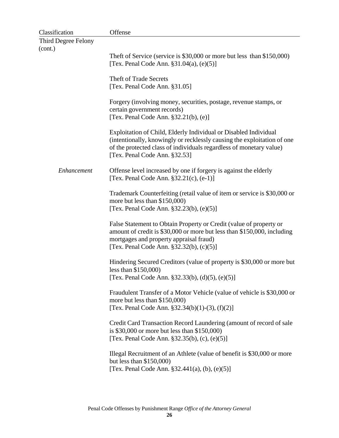| Classification      | Offense                                                                                                                                                                                                                                             |
|---------------------|-----------------------------------------------------------------------------------------------------------------------------------------------------------------------------------------------------------------------------------------------------|
| Third Degree Felony |                                                                                                                                                                                                                                                     |
| (cont.)             |                                                                                                                                                                                                                                                     |
|                     | Theft of Service (service is \$30,000 or more but less than \$150,000)<br>[Tex. Penal Code Ann. $\S 31.04(a)$ , (e)(5)]                                                                                                                             |
|                     | <b>Theft of Trade Secrets</b><br>[Tex. Penal Code Ann. §31.05]                                                                                                                                                                                      |
|                     | Forgery (involving money, securities, postage, revenue stamps, or<br>certain government records)<br>[Tex. Penal Code Ann. $§32.21(b)$ , (e)]                                                                                                        |
|                     | Exploitation of Child, Elderly Individual or Disabled Individual<br>(intentionally, knowingly or recklessly causing the exploitation of one<br>of the protected class of individuals regardless of monetary value)<br>[Tex. Penal Code Ann. §32.53] |
| Enhancement         | Offense level increased by one if forgery is against the elderly<br>[Tex. Penal Code Ann. $$32.21(c), (e-1)]$                                                                                                                                       |
|                     | Trademark Counterfeiting (retail value of item or service is \$30,000 or<br>more but less than \$150,000)<br>[Tex. Penal Code Ann. §32.23(b), (e)(5)]                                                                                               |
|                     | False Statement to Obtain Property or Credit (value of property or<br>amount of credit is \$30,000 or more but less than \$150,000, including<br>mortgages and property appraisal fraud)<br>[Tex. Penal Code Ann. $§32.32(b)$ , (c)(5)]             |
|                     | Hindering Secured Creditors (value of property is \$30,000 or more but<br>less than $$150,000$<br>[Tex. Penal Code Ann. §32.33(b), (d)(5), (e)(5)]                                                                                                  |
|                     | Fraudulent Transfer of a Motor Vehicle (value of vehicle is \$30,000 or<br>more but less than \$150,000)<br>[Tex. Penal Code Ann. §32.34(b)(1)-(3), (f)(2)]                                                                                         |
|                     | Credit Card Transaction Record Laundering (amount of record of sale<br>is $$30,000$ or more but less than $$150,000$ )<br>[Tex. Penal Code Ann. §32.35(b), (c), (e)(5)]                                                                             |
|                     | Illegal Recruitment of an Athlete (value of benefit is \$30,000 or more<br>but less than \$150,000)<br>[Tex. Penal Code Ann. $\S 32.441(a)$ , (b), (e)(5)]                                                                                          |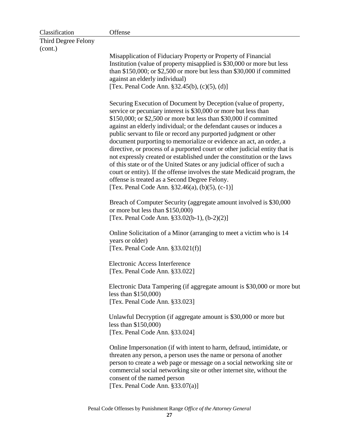| Classification      | Offense                                                                                                                                                                                                                                                                                                                                                                                                                                                                                                                                                                                                                                                                                                                                                                                                                                             |  |  |
|---------------------|-----------------------------------------------------------------------------------------------------------------------------------------------------------------------------------------------------------------------------------------------------------------------------------------------------------------------------------------------------------------------------------------------------------------------------------------------------------------------------------------------------------------------------------------------------------------------------------------------------------------------------------------------------------------------------------------------------------------------------------------------------------------------------------------------------------------------------------------------------|--|--|
| Third Degree Felony |                                                                                                                                                                                                                                                                                                                                                                                                                                                                                                                                                                                                                                                                                                                                                                                                                                                     |  |  |
| (cont.)             |                                                                                                                                                                                                                                                                                                                                                                                                                                                                                                                                                                                                                                                                                                                                                                                                                                                     |  |  |
|                     | Misapplication of Fiduciary Property or Property of Financial<br>Institution (value of property misapplied is \$30,000 or more but less<br>than \$150,000; or \$2,500 or more but less than \$30,000 if committed<br>against an elderly individual)<br>[Tex. Penal Code Ann. $§32.45(b)$ , (c)(5), (d)]                                                                                                                                                                                                                                                                                                                                                                                                                                                                                                                                             |  |  |
|                     | Securing Execution of Document by Deception (value of property,<br>service or pecuniary interest is \$30,000 or more but less than<br>\$150,000; or \$2,500 or more but less than \$30,000 if committed<br>against an elderly individual; or the defendant causes or induces a<br>public servant to file or record any purported judgment or other<br>document purporting to memorialize or evidence an act, an order, a<br>directive, or process of a purported court or other judicial entity that is<br>not expressly created or established under the constitution or the laws<br>of this state or of the United States or any judicial officer of such a<br>court or entity). If the offense involves the state Medicaid program, the<br>offense is treated as a Second Degree Felony.<br>[Tex. Penal Code Ann. $\S 32.46(a)$ , (b)(5), (c-1)] |  |  |
|                     | Breach of Computer Security (aggregate amount involved is \$30,000<br>or more but less than \$150,000)<br>[Tex. Penal Code Ann. §33.02(b-1), (b-2)(2)]                                                                                                                                                                                                                                                                                                                                                                                                                                                                                                                                                                                                                                                                                              |  |  |
|                     | Online Solicitation of a Minor (arranging to meet a victim who is 14<br>years or older)<br>[Tex. Penal Code Ann. $§33.021(f)$ ]                                                                                                                                                                                                                                                                                                                                                                                                                                                                                                                                                                                                                                                                                                                     |  |  |
|                     | Electronic Access Interference<br>[Tex. Penal Code Ann. §33.022]                                                                                                                                                                                                                                                                                                                                                                                                                                                                                                                                                                                                                                                                                                                                                                                    |  |  |
|                     | Electronic Data Tampering (if aggregate amount is \$30,000 or more but<br>less than $$150,000$<br>[Tex. Penal Code Ann. §33.023]                                                                                                                                                                                                                                                                                                                                                                                                                                                                                                                                                                                                                                                                                                                    |  |  |
|                     | Unlawful Decryption (if aggregate amount is \$30,000 or more but<br>less than $$150,000$<br>[Tex. Penal Code Ann. §33.024]                                                                                                                                                                                                                                                                                                                                                                                                                                                                                                                                                                                                                                                                                                                          |  |  |
|                     | Online Impersonation (if with intent to harm, defraud, intimidate, or<br>threaten any person, a person uses the name or persona of another<br>person to create a web page or message on a social networking site or<br>commercial social networking site or other internet site, without the<br>consent of the named person<br>[Tex. Penal Code Ann. $§33.07(a)$ ]                                                                                                                                                                                                                                                                                                                                                                                                                                                                                  |  |  |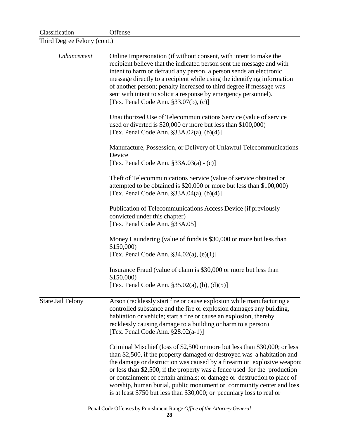| Classification              | Offense                                                                                                                                                                                                                                                                                                                                                                                                                                                                                                                                  |  |  |
|-----------------------------|------------------------------------------------------------------------------------------------------------------------------------------------------------------------------------------------------------------------------------------------------------------------------------------------------------------------------------------------------------------------------------------------------------------------------------------------------------------------------------------------------------------------------------------|--|--|
| Third Degree Felony (cont.) |                                                                                                                                                                                                                                                                                                                                                                                                                                                                                                                                          |  |  |
| Enhancement                 | Online Impersonation (if without consent, with intent to make the<br>recipient believe that the indicated person sent the message and with<br>intent to harm or defraud any person, a person sends an electronic<br>message directly to a recipient while using the identifying information<br>of another person; penalty increased to third degree if message was<br>sent with intent to solicit a response by emergency personnel).<br>[Tex. Penal Code Ann. $\S 33.07(b)$ , (c)]                                                      |  |  |
|                             | Unauthorized Use of Telecommunications Service (value of service<br>used or diverted is \$20,000 or more but less than \$100,000)<br>[Tex. Penal Code Ann. $\S 33A.02(a)$ , (b)(4)]                                                                                                                                                                                                                                                                                                                                                      |  |  |
|                             | Manufacture, Possession, or Delivery of Unlawful Telecommunications<br>Device<br>[Tex. Penal Code Ann. $§33A.03(a) - (c)]$                                                                                                                                                                                                                                                                                                                                                                                                               |  |  |
|                             | Theft of Telecommunications Service (value of service obtained or<br>attempted to be obtained is \$20,000 or more but less than \$100,000)<br>[Tex. Penal Code Ann. $\S 33A.04(a)$ , (b)(4)]                                                                                                                                                                                                                                                                                                                                             |  |  |
|                             | Publication of Telecommunications Access Device (if previously<br>convicted under this chapter)<br>[Tex. Penal Code Ann. §33A.05]                                                                                                                                                                                                                                                                                                                                                                                                        |  |  |
|                             | Money Laundering (value of funds is \$30,000 or more but less than<br>\$150,000                                                                                                                                                                                                                                                                                                                                                                                                                                                          |  |  |
|                             | [Tex. Penal Code Ann. $§34.02(a)$ , (e)(1)]                                                                                                                                                                                                                                                                                                                                                                                                                                                                                              |  |  |
|                             | Insurance Fraud (value of claim is \$30,000 or more but less than<br>\$150,000)                                                                                                                                                                                                                                                                                                                                                                                                                                                          |  |  |
|                             | [Tex. Penal Code Ann. $\S 35.02(a)$ , (b), (d)(5)]                                                                                                                                                                                                                                                                                                                                                                                                                                                                                       |  |  |
| <b>State Jail Felony</b>    | Arson (recklessly start fire or cause explosion while manufacturing a<br>controlled substance and the fire or explosion damages any building,<br>habitation or vehicle; start a fire or cause an explosion, thereby<br>recklessly causing damage to a building or harm to a person)<br>[Tex. Penal Code Ann. $§28.02(a-1)]$                                                                                                                                                                                                              |  |  |
|                             | Criminal Mischief (loss of \$2,500 or more but less than \$30,000; or less<br>than \$2,500, if the property damaged or destroyed was a habitation and<br>the damage or destruction was caused by a firearm or explosive weapon;<br>or less than \$2,500, if the property was a fence used for the production<br>or containment of certain animals; or damage or destruction to place of<br>worship, human burial, public monument or community center and loss<br>is at least \$750 but less than \$30,000; or pecuniary loss to real or |  |  |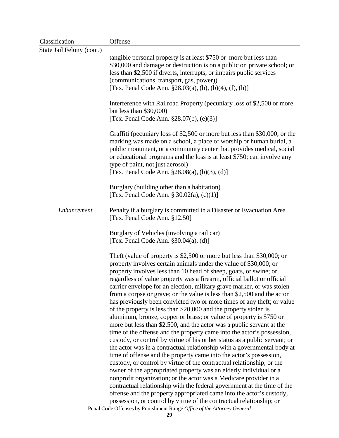| Classification            | Offense                                                                                                                                                                                                                                                                                                                                                                                                                                                                                                                                                                                                                                                                                                                                                                                                                                                                                                                                                                                                                                                                                                                                                                                                                                                                                                                                                                                                                       |
|---------------------------|-------------------------------------------------------------------------------------------------------------------------------------------------------------------------------------------------------------------------------------------------------------------------------------------------------------------------------------------------------------------------------------------------------------------------------------------------------------------------------------------------------------------------------------------------------------------------------------------------------------------------------------------------------------------------------------------------------------------------------------------------------------------------------------------------------------------------------------------------------------------------------------------------------------------------------------------------------------------------------------------------------------------------------------------------------------------------------------------------------------------------------------------------------------------------------------------------------------------------------------------------------------------------------------------------------------------------------------------------------------------------------------------------------------------------------|
| State Jail Felony (cont.) |                                                                                                                                                                                                                                                                                                                                                                                                                                                                                                                                                                                                                                                                                                                                                                                                                                                                                                                                                                                                                                                                                                                                                                                                                                                                                                                                                                                                                               |
|                           | tangible personal property is at least \$750 or more but less than<br>\$30,000 and damage or destruction is on a public or private school; or<br>less than \$2,500 if diverts, interrupts, or impairs public services<br>(communications, transport, gas, power))<br>[Tex. Penal Code Ann. $\S 28.03(a)$ , (b), (b)(4), (f), (h)]                                                                                                                                                                                                                                                                                                                                                                                                                                                                                                                                                                                                                                                                                                                                                                                                                                                                                                                                                                                                                                                                                             |
|                           | Interference with Railroad Property (pecuniary loss of \$2,500 or more<br>but less than $$30,000$<br>[Tex. Penal Code Ann. $\S 28.07(b)$ , (e)(3)]                                                                                                                                                                                                                                                                                                                                                                                                                                                                                                                                                                                                                                                                                                                                                                                                                                                                                                                                                                                                                                                                                                                                                                                                                                                                            |
|                           | Graffiti (pecuniary loss of \$2,500 or more but less than \$30,000; or the<br>marking was made on a school, a place of worship or human burial, a<br>public monument, or a community center that provides medical, social<br>or educational programs and the loss is at least \$750; can involve any<br>type of paint, not just aerosol)<br>[Tex. Penal Code Ann. $\S 28.08(a)$ , (b)(3), (d)]                                                                                                                                                                                                                                                                                                                                                                                                                                                                                                                                                                                                                                                                                                                                                                                                                                                                                                                                                                                                                                |
|                           |                                                                                                                                                                                                                                                                                                                                                                                                                                                                                                                                                                                                                                                                                                                                                                                                                                                                                                                                                                                                                                                                                                                                                                                                                                                                                                                                                                                                                               |
|                           | Burglary (building other than a habitation)<br>[Tex. Penal Code Ann. $\S 30.02(a)$ , (c)(1)]                                                                                                                                                                                                                                                                                                                                                                                                                                                                                                                                                                                                                                                                                                                                                                                                                                                                                                                                                                                                                                                                                                                                                                                                                                                                                                                                  |
| Enhancement               | Penalty if a burglary is committed in a Disaster or Evacuation Area<br>[Tex. Penal Code Ann. §12.50]                                                                                                                                                                                                                                                                                                                                                                                                                                                                                                                                                                                                                                                                                                                                                                                                                                                                                                                                                                                                                                                                                                                                                                                                                                                                                                                          |
|                           | Burglary of Vehicles (involving a rail car)<br>[Tex. Penal Code Ann. $\S 30.04(a)$ , (d)]                                                                                                                                                                                                                                                                                                                                                                                                                                                                                                                                                                                                                                                                                                                                                                                                                                                                                                                                                                                                                                                                                                                                                                                                                                                                                                                                     |
|                           | Theft (value of property is \$2,500 or more but less than \$30,000; or<br>property involves certain animals under the value of \$30,000; or<br>property involves less than 10 head of sheep, goats, or swine; or<br>regardless of value property was a firearm, official ballot or official<br>carrier envelope for an election, military grave marker, or was stolen<br>from a corpse or grave; or the value is less than \$2,500 and the actor<br>has previously been convicted two or more times of any theft; or value<br>of the property is less than \$20,000 and the property stolen is<br>aluminum, bronze, copper or brass; or value of property is \$750 or<br>more but less than \$2,500, and the actor was a public servant at the<br>time of the offense and the property came into the actor's possession,<br>custody, or control by virtue of his or her status as a public servant; or<br>the actor was in a contractual relationship with a governmental body at<br>time of offense and the property came into the actor's possession,<br>custody, or control by virtue of the contractual relationship; or the<br>owner of the appropriated property was an elderly individual or a<br>nonprofit organization; or the actor was a Medicare provider in a<br>contractual relationship with the federal government at the time of the<br>offense and the property appropriated came into the actor's custody, |
|                           | possession, or control by virtue of the contractual relationship; or<br>Penal Code Offenses by Punishment Range Office of the Attorney General                                                                                                                                                                                                                                                                                                                                                                                                                                                                                                                                                                                                                                                                                                                                                                                                                                                                                                                                                                                                                                                                                                                                                                                                                                                                                |
|                           | 29                                                                                                                                                                                                                                                                                                                                                                                                                                                                                                                                                                                                                                                                                                                                                                                                                                                                                                                                                                                                                                                                                                                                                                                                                                                                                                                                                                                                                            |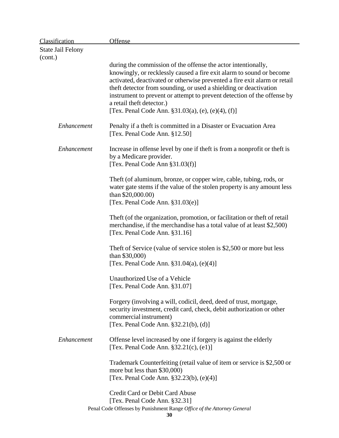| <b>Classification</b>    | <b>Offense</b>                                                                                                                                                                                                                                                                                                                                                                                                                                            |
|--------------------------|-----------------------------------------------------------------------------------------------------------------------------------------------------------------------------------------------------------------------------------------------------------------------------------------------------------------------------------------------------------------------------------------------------------------------------------------------------------|
| <b>State Jail Felony</b> |                                                                                                                                                                                                                                                                                                                                                                                                                                                           |
| (cont.)                  |                                                                                                                                                                                                                                                                                                                                                                                                                                                           |
|                          | during the commission of the offense the actor intentionally,<br>knowingly, or recklessly caused a fire exit alarm to sound or become<br>activated, deactivated or otherwise prevented a fire exit alarm or retail<br>theft detector from sounding, or used a shielding or deactivation<br>instrument to prevent or attempt to prevent detection of the offense by<br>a retail theft detector.)<br>[Tex. Penal Code Ann. $\S31.03(a)$ , (e), (e)(4), (f)] |
| Enhancement              | Penalty if a theft is committed in a Disaster or Evacuation Area<br>[Tex. Penal Code Ann. §12.50]                                                                                                                                                                                                                                                                                                                                                         |
| Enhancement              | Increase in offense level by one if theft is from a nonprofit or theft is<br>by a Medicare provider.<br>[Tex. Penal Code Ann §31.03(f)]                                                                                                                                                                                                                                                                                                                   |
|                          | Theft (of aluminum, bronze, or copper wire, cable, tubing, rods, or<br>water gate stems if the value of the stolen property is any amount less<br>than $$20,000.00$ )<br>[Tex. Penal Code Ann. $§31.03(e)]$                                                                                                                                                                                                                                               |
|                          | Theft (of the organization, promotion, or facilitation or theft of retail<br>merchandise, if the merchandise has a total value of at least \$2,500)<br>[Tex. Penal Code Ann. §31.16]                                                                                                                                                                                                                                                                      |
|                          | Theft of Service (value of service stolen is \$2,500 or more but less<br>than $$30,000$ )<br>[Tex. Penal Code Ann. $§31.04(a)$ , $(e)(4)]$                                                                                                                                                                                                                                                                                                                |
|                          | Unauthorized Use of a Vehicle<br>[Tex. Penal Code Ann. §31.07]                                                                                                                                                                                                                                                                                                                                                                                            |
|                          | Forgery (involving a will, codicil, deed, deed of trust, mortgage,<br>security investment, credit card, check, debit authorization or other<br>commercial instrument)<br>[Tex. Penal Code Ann. $§32.21(b)$ , (d)]                                                                                                                                                                                                                                         |
| Enhancement              | Offense level increased by one if forgery is against the elderly<br>[Tex. Penal Code Ann. $§32.21(c)$ , $(e1)$ ]                                                                                                                                                                                                                                                                                                                                          |
|                          | Trademark Counterfeiting (retail value of item or service is \$2,500 or<br>more but less than \$30,000)<br>[Tex. Penal Code Ann. §32.23(b), (e)(4)]                                                                                                                                                                                                                                                                                                       |
|                          | <b>Credit Card or Debit Card Abuse</b><br>[Tex. Penal Code Ann. §32.31]<br>Penal Code Offenses by Punishment Range Office of the Attorney General                                                                                                                                                                                                                                                                                                         |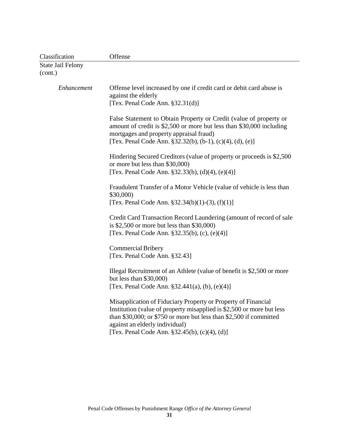| Classification                      | Offense                                                                                                                                                                                                                                                                                            |  |
|-------------------------------------|----------------------------------------------------------------------------------------------------------------------------------------------------------------------------------------------------------------------------------------------------------------------------------------------------|--|
| <b>State Jail Felony</b><br>(cont.) |                                                                                                                                                                                                                                                                                                    |  |
| Enhancement                         | Offense level increased by one if credit card or debit card abuse is<br>against the elderly<br>[Tex. Penal Code Ann. $§32.31(d)]$                                                                                                                                                                  |  |
|                                     | False Statement to Obtain Property or Credit (value of property or<br>amount of credit is \$2,500 or more but less than \$30,000 including<br>mortgages and property appraisal fraud)<br>[Tex. Penal Code Ann. $\S 32.32(b)$ , (b-1), (c)(4), (d), (e)]                                            |  |
|                                     | Hindering Secured Creditors (value of property or proceeds is \$2,500)<br>or more but less than \$30,000)<br>[Tex. Penal Code Ann. $\S 32.33(b)$ , (d)(4), (e)(4)]                                                                                                                                 |  |
|                                     | Fraudulent Transfer of a Motor Vehicle (value of vehicle is less than<br>\$30,000)<br>[Tex. Penal Code Ann. $\S 32.34(b)(1)-(3)$ , (f)(1)]                                                                                                                                                         |  |
|                                     | Credit Card Transaction Record Laundering (amount of record of sale<br>is $$2,500$ or more but less than $$30,000$<br>[Tex. Penal Code Ann. §32.35(b), (c), (e)(4)]                                                                                                                                |  |
|                                     | <b>Commercial Bribery</b><br>[Tex. Penal Code Ann. §32.43]                                                                                                                                                                                                                                         |  |
|                                     | Illegal Recruitment of an Athlete (value of benefit is \$2,500 or more<br>but less than $$30,000$<br>[Tex. Penal Code Ann. $§32.441(a)$ , (b), (e)(4)]                                                                                                                                             |  |
|                                     | Misapplication of Fiduciary Property or Property of Financial<br>Institution (value of property misapplied is \$2,500 or more but less<br>than \$30,000; or \$750 or more but less than \$2,500 if committed<br>against an elderly individual)<br>[Tex. Penal Code Ann. $§32.45(b)$ , (c)(4), (d)] |  |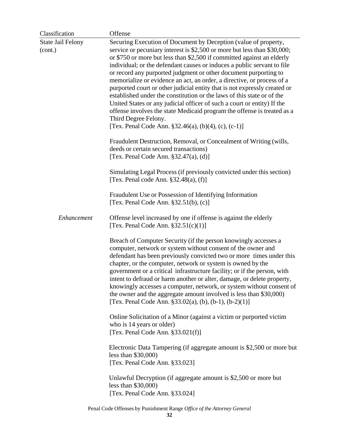| Classification                      | Offense                                                                                                                                                                                                                                                                                                                                                                                                                                                                                                                                                                                                                                                                                                                                                                                                                                                                                                                                                                                                                                                                                                                                                                                                                              |
|-------------------------------------|--------------------------------------------------------------------------------------------------------------------------------------------------------------------------------------------------------------------------------------------------------------------------------------------------------------------------------------------------------------------------------------------------------------------------------------------------------------------------------------------------------------------------------------------------------------------------------------------------------------------------------------------------------------------------------------------------------------------------------------------------------------------------------------------------------------------------------------------------------------------------------------------------------------------------------------------------------------------------------------------------------------------------------------------------------------------------------------------------------------------------------------------------------------------------------------------------------------------------------------|
| <b>State Jail Felony</b><br>(cont.) | Securing Execution of Document by Deception (value of property,<br>service or pecuniary interest is \$2,500 or more but less than \$30,000;<br>or \$750 or more but less than \$2,500 if committed against an elderly<br>individual; or the defendant causes or induces a public servant to file<br>or record any purported judgment or other document purporting to<br>memorialize or evidence an act, an order, a directive, or process of a<br>purported court or other judicial entity that is not expressly created or<br>established under the constitution or the laws of this state or of the<br>United States or any judicial officer of such a court or entity) If the<br>offense involves the state Medicaid program the offense is treated as a<br>Third Degree Felony.<br>[Tex. Penal Code Ann. §32.46(a), (b)(4), (c), (c-1)]<br>Fraudulent Destruction, Removal, or Concealment of Writing (wills,<br>deeds or certain secured transactions)<br>[Tex. Penal Code Ann. $\S 32.47(a)$ , (d)]<br>Simulating Legal Process (if previously convicted under this section)<br>[Tex. Penal code Ann. §32.48(a), (f)]<br>Fraudulent Use or Possession of Identifying Information<br>[Tex. Penal Code Ann. $\S 32.51(b)$ , (c)] |
| Enhancement                         | Offense level increased by one if offense is against the elderly<br>[Tex. Penal Code Ann. $§32.51(c)(1)]$<br>Breach of Computer Security (if the person knowingly accesses a                                                                                                                                                                                                                                                                                                                                                                                                                                                                                                                                                                                                                                                                                                                                                                                                                                                                                                                                                                                                                                                         |
|                                     | computer, network or system without consent of the owner and<br>defendant has been previously convicted two or more times under this<br>chapter, or the computer, network or system is owned by the<br>government or a critical infrastructure facility; or if the person, with<br>intent to defraud or harm another or alter, damage, or delete property,<br>knowingly accesses a computer, network, or system without consent of<br>the owner and the aggregate amount involved is less than \$30,000)<br>[Tex. Penal Code Ann. $\S 33.02(a)$ , (b), (b-1), (b-2)(1)]                                                                                                                                                                                                                                                                                                                                                                                                                                                                                                                                                                                                                                                              |
|                                     | Online Solicitation of a Minor (against a victim or purported victim<br>who is 14 years or older)<br>[Tex. Penal Code Ann. $§33.021(f)$ ]                                                                                                                                                                                                                                                                                                                                                                                                                                                                                                                                                                                                                                                                                                                                                                                                                                                                                                                                                                                                                                                                                            |
|                                     | Electronic Data Tampering (if aggregate amount is \$2,500 or more but<br>less than $$30,000$<br>[Tex. Penal Code Ann. §33.023]                                                                                                                                                                                                                                                                                                                                                                                                                                                                                                                                                                                                                                                                                                                                                                                                                                                                                                                                                                                                                                                                                                       |
|                                     | Unlawful Decryption (if aggregate amount is \$2,500 or more but<br>less than $$30,000$<br>[Tex. Penal Code Ann. §33.024]                                                                                                                                                                                                                                                                                                                                                                                                                                                                                                                                                                                                                                                                                                                                                                                                                                                                                                                                                                                                                                                                                                             |
|                                     |                                                                                                                                                                                                                                                                                                                                                                                                                                                                                                                                                                                                                                                                                                                                                                                                                                                                                                                                                                                                                                                                                                                                                                                                                                      |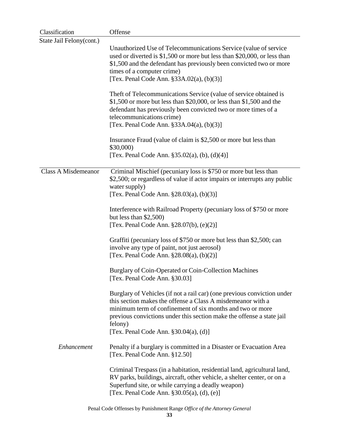| Classification             | Offense                                                                                                                                                                                                                                                                                                                               |  |
|----------------------------|---------------------------------------------------------------------------------------------------------------------------------------------------------------------------------------------------------------------------------------------------------------------------------------------------------------------------------------|--|
| State Jail Felony(cont.)   |                                                                                                                                                                                                                                                                                                                                       |  |
|                            | Unauthorized Use of Telecommunications Service (value of service<br>used or diverted is \$1,500 or more but less than \$20,000, or less than<br>\$1,500 and the defendant has previously been convicted two or more<br>times of a computer crime)                                                                                     |  |
|                            | [Tex. Penal Code Ann. §33A.02(a), (b)(3)]                                                                                                                                                                                                                                                                                             |  |
|                            | Theft of Telecommunications Service (value of service obtained is<br>$$1,500$ or more but less than $$20,000$ , or less than $$1,500$ and the<br>defendant has previously been convicted two or more times of a<br>telecommunications crime)<br>[Tex. Penal Code Ann. $§ 33A.04(a), (b)(3)]$                                          |  |
|                            | Insurance Fraud (value of claim is \$2,500 or more but less than<br>\$30,000)                                                                                                                                                                                                                                                         |  |
|                            | [Tex. Penal Code Ann. $§35.02(a)$ , (b), (d)(4)]                                                                                                                                                                                                                                                                                      |  |
| <b>Class A Misdemeanor</b> | Criminal Mischief (pecuniary loss is \$750 or more but less than<br>\$2,500; or regardless of value if actor impairs or interrupts any public<br>water supply)<br>[Tex. Penal Code Ann. $\S 28.03(a)$ , (b)(3)]                                                                                                                       |  |
|                            |                                                                                                                                                                                                                                                                                                                                       |  |
|                            | Interference with Railroad Property (pecuniary loss of \$750 or more<br>but less than $$2,500$ )<br>[Tex. Penal Code Ann. $\S 28.07(b)$ , (e)(2)]                                                                                                                                                                                     |  |
|                            | Graffiti (pecuniary loss of \$750 or more but less than \$2,500; can<br>involve any type of paint, not just aerosol)<br>[Tex. Penal Code Ann. $\S 28.08(a)$ , (b)(2)]                                                                                                                                                                 |  |
|                            | Burglary of Coin-Operated or Coin-Collection Machines<br>[Tex. Penal Code Ann. §30.03]                                                                                                                                                                                                                                                |  |
|                            | Burglary of Vehicles (if not a rail car) (one previous conviction under<br>this section makes the offense a Class A misdemeanor with a<br>minimum term of confinement of six months and two or more<br>previous convictions under this section make the offense a state jail<br>felony)<br>[Tex. Penal Code Ann. $\S 30.04(a)$ , (d)] |  |
| Enhancement                | Penalty if a burglary is committed in a Disaster or Evacuation Area<br>[Tex. Penal Code Ann. §12.50]                                                                                                                                                                                                                                  |  |
|                            | Criminal Trespass (in a habitation, residential land, agricultural land,<br>RV parks, buildings, aircraft, other vehicle, a shelter center, or on a<br>Superfund site, or while carrying a deadly weapon)<br>[Tex. Penal Code Ann. $\S 30.05(a)$ , (d), (e)]                                                                          |  |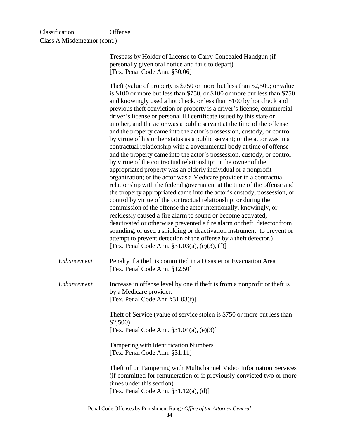| Classification | Offense |
|----------------|---------|
|                |         |

Class A Misdemeanor (cont.)

Trespass by Holder of License to Carry Concealed Handgun (if personally given oral notice and fails to depart) [Tex. Penal Code Ann. §30.06] Theft (value of property is \$750 or more but less than \$2,500; or value is \$100 or more but less than \$750, or \$100 or more but less than \$750 and knowingly used a hot check, or less than \$100 by hot check and previous theft conviction or property is a driver's license, commercial driver's license or personal ID certificate issued by this state or another, and the actor was a public servant at the time of the offense and the property came into the actor's possession, custody, or control by virtue of his or her status as a public servant; or the actor was in a contractual relationship with a governmental body at time of offense and the property came into the actor's possession, custody, or control by virtue of the contractual relationship; or the owner of the appropriated property was an elderly individual or a nonprofit organization; or the actor was a Medicare provider in a contractual relationship with the federal government at the time of the offense and the property appropriated came into the actor's custody, possession, or control by virtue of the contractual relationship; or during the commission of the offense the actor intentionally, knowingly, or recklessly caused a fire alarm to sound or become activated, deactivated or otherwise prevented a fire alarm or theft detector from sounding, or used a shielding or deactivation instrument to prevent or attempt to prevent detection of the offense by a theft detector.) [Tex. Penal Code Ann. §31.03(a), (e)(3), (f)] *Enhancement* Penalty if a theft is committed in a Disaster or Evacuation Area [Tex. Penal Code Ann. §12.50] *Enhancement* Increase in offense level by one if theft is from a nonprofit or theft is by a Medicare provider. [Tex. Penal Code Ann §31.03(f)] Theft of Service (value of service stolen is \$750 or more but less than \$2,500) [Tex. Penal Code Ann. §31.04(a), (e)(3)] Tampering with Identification Numbers [Tex. Penal Code Ann. §31.11] Theft of or Tampering with Multichannel Video Information Services (if committed for remuneration or if previously convicted two or more times under this section)

[Tex. Penal Code Ann. §31.12(a), (d)]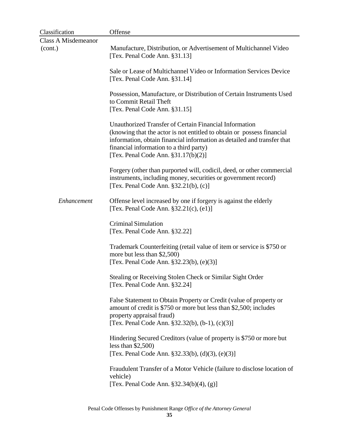| Classification             | Offense                                                                                                                                                                                                                                                                                         |
|----------------------------|-------------------------------------------------------------------------------------------------------------------------------------------------------------------------------------------------------------------------------------------------------------------------------------------------|
| <b>Class A Misdemeanor</b> |                                                                                                                                                                                                                                                                                                 |
| (cont.)                    | Manufacture, Distribution, or Advertisement of Multichannel Video<br>[Tex. Penal Code Ann. §31.13]                                                                                                                                                                                              |
|                            | Sale or Lease of Multichannel Video or Information Services Device<br>[Tex. Penal Code Ann. §31.14]                                                                                                                                                                                             |
|                            | Possession, Manufacture, or Distribution of Certain Instruments Used<br>to Commit Retail Theft<br>[Tex. Penal Code Ann. §31.15]                                                                                                                                                                 |
|                            | Unauthorized Transfer of Certain Financial Information<br>(knowing that the actor is not entitled to obtain or possess financial<br>information, obtain financial information as detailed and transfer that<br>financial information to a third party)<br>[Tex. Penal Code Ann. $§31.17(b)(2)]$ |
|                            | Forgery (other than purported will, codicil, deed, or other commercial<br>instruments, including money, securities or government record)<br>[Tex. Penal Code Ann. $\S 32.21(b)$ , (c)]                                                                                                          |
| Enhancement                | Offense level increased by one if forgery is against the elderly<br>[Tex. Penal Code Ann. $§32.21(c)$ , $(e1)$ ]                                                                                                                                                                                |
|                            | <b>Criminal Simulation</b><br>[Tex. Penal Code Ann. §32.22]                                                                                                                                                                                                                                     |
|                            | Trademark Counterfeiting (retail value of item or service is \$750 or<br>more but less than \$2,500)<br>[Tex. Penal Code Ann. §32.23(b), (e)(3)]                                                                                                                                                |
|                            | Stealing or Receiving Stolen Check or Similar Sight Order<br>[Tex. Penal Code Ann. §32.24]                                                                                                                                                                                                      |
|                            | False Statement to Obtain Property or Credit (value of property or<br>amount of credit is \$750 or more but less than \$2,500; includes<br>property appraisal fraud)<br>[Tex. Penal Code Ann. §32.32(b), (b-1), (c)(3)]                                                                         |
|                            | Hindering Secured Creditors (value of property is \$750 or more but<br>less than $$2,500$ )<br>[Tex. Penal Code Ann. §32.33(b), (d)(3), (e)(3)]                                                                                                                                                 |
|                            | Fraudulent Transfer of a Motor Vehicle (failure to disclose location of<br>vehicle)<br>[Tex. Penal Code Ann. $\S 32.34(b)(4)$ , (g)]                                                                                                                                                            |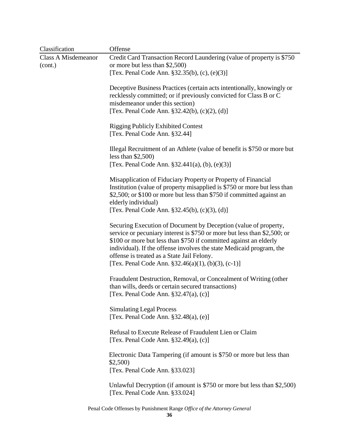| Classification                        | Offense                                                                                                                                                                                                                                                                                                                                                                                        |
|---------------------------------------|------------------------------------------------------------------------------------------------------------------------------------------------------------------------------------------------------------------------------------------------------------------------------------------------------------------------------------------------------------------------------------------------|
| <b>Class A Misdemeanor</b><br>(cont.) | Credit Card Transaction Record Laundering (value of property is \$750<br>or more but less than \$2,500)                                                                                                                                                                                                                                                                                        |
|                                       | [Tex. Penal Code Ann. §32.35(b), (c), (e)(3)]                                                                                                                                                                                                                                                                                                                                                  |
|                                       | Deceptive Business Practices (certain acts intentionally, knowingly or<br>recklessly committed; or if previously convicted for Class B or C<br>misdemeanor under this section)                                                                                                                                                                                                                 |
|                                       | [Tex. Penal Code Ann. $§32.42(b)$ , (c)(2), (d)]                                                                                                                                                                                                                                                                                                                                               |
|                                       | <b>Rigging Publicly Exhibited Contest</b><br>[Tex. Penal Code Ann. §32.44]                                                                                                                                                                                                                                                                                                                     |
|                                       | Illegal Recruitment of an Athlete (value of benefit is \$750 or more but<br>less than $$2,500$ )                                                                                                                                                                                                                                                                                               |
|                                       | [Tex. Penal Code Ann. $\S 32.441(a)$ , (b), (e)(3)]                                                                                                                                                                                                                                                                                                                                            |
|                                       | Misapplication of Fiduciary Property or Property of Financial<br>Institution (value of property misapplied is \$750 or more but less than<br>\$2,500; or \$100 or more but less than \$750 if committed against an<br>elderly individual)<br>[Tex. Penal Code Ann. $§32.45(b)$ , (c)(3), (d)]                                                                                                  |
|                                       | Securing Execution of Document by Deception (value of property,<br>service or pecuniary interest is \$750 or more but less than \$2,500; or<br>\$100 or more but less than \$750 if committed against an elderly<br>individual). If the offense involves the state Medicaid program, the<br>offense is treated as a State Jail Felony.<br>[Tex. Penal Code Ann. $$32.46(a)(1), (b)(3), (c-1)]$ |
|                                       | Fraudulent Destruction, Removal, or Concealment of Writing (other<br>than wills, deeds or certain secured transactions)<br>[Tex. Penal Code Ann. $§32.47(a)$ , (c)]                                                                                                                                                                                                                            |
|                                       | <b>Simulating Legal Process</b><br>[Tex. Penal Code Ann. $§32.48(a)$ , (e)]                                                                                                                                                                                                                                                                                                                    |
|                                       | Refusal to Execute Release of Fraudulent Lien or Claim<br>[Tex. Penal Code Ann. $§32.49(a)$ , (c)]                                                                                                                                                                                                                                                                                             |
|                                       | Electronic Data Tampering (if amount is \$750 or more but less than<br>\$2,500                                                                                                                                                                                                                                                                                                                 |
|                                       | [Tex. Penal Code Ann. §33.023]                                                                                                                                                                                                                                                                                                                                                                 |
|                                       | Unlawful Decryption (if amount is \$750 or more but less than \$2,500)<br>[Tex. Penal Code Ann. §33.024]                                                                                                                                                                                                                                                                                       |
|                                       | Penal Code Offenses by Punishment Range Office of the Attorney General                                                                                                                                                                                                                                                                                                                         |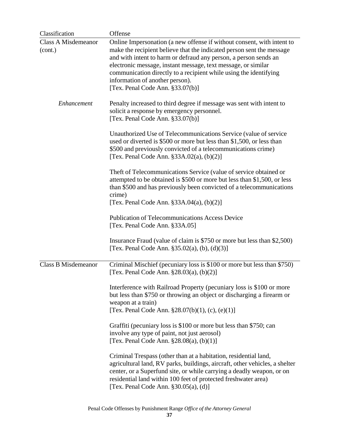| Classification                        | Offense                                                                                                                                                                                                                                                                                                                                                                                                                          |
|---------------------------------------|----------------------------------------------------------------------------------------------------------------------------------------------------------------------------------------------------------------------------------------------------------------------------------------------------------------------------------------------------------------------------------------------------------------------------------|
| <b>Class A Misdemeanor</b><br>(cont.) | Online Impersonation (a new offense if without consent, with intent to<br>make the recipient believe that the indicated person sent the message<br>and with intent to harm or defraud any person, a person sends an<br>electronic message, instant message, text message, or similar<br>communication directly to a recipient while using the identifying<br>information of another person).<br>[Tex. Penal Code Ann. §33.07(b)] |
| Enhancement                           | Penalty increased to third degree if message was sent with intent to<br>solicit a response by emergency personnel.<br>[Tex. Penal Code Ann. §33.07(b)]                                                                                                                                                                                                                                                                           |
|                                       | Unauthorized Use of Telecommunications Service (value of service<br>used or diverted is \$500 or more but less than \$1,500, or less than<br>\$500 and previously convicted of a telecommunications crime)<br>[Tex. Penal Code Ann. $\S 33A.02(a)$ , (b)(2)]                                                                                                                                                                     |
|                                       | Theft of Telecommunications Service (value of service obtained or<br>attempted to be obtained is \$500 or more but less than \$1,500, or less<br>than \$500 and has previously been convicted of a telecommunications<br>crime)<br>[Tex. Penal Code Ann. $§ 33A.04(a), (b)(2)]$                                                                                                                                                  |
|                                       | <b>Publication of Telecommunications Access Device</b><br>[Tex. Penal Code Ann. §33A.05]                                                                                                                                                                                                                                                                                                                                         |
|                                       | Insurance Fraud (value of claim is \$750 or more but less than \$2,500)<br>[Tex. Penal Code Ann. $\S 35.02(a)$ , (b), (d)(3)]                                                                                                                                                                                                                                                                                                    |
| Class B Misdemeanor                   | Criminal Mischief (pecuniary loss is \$100 or more but less than \$750)<br>[Tex. Penal Code Ann. $\S 28.03(a)$ , (b)(2)]                                                                                                                                                                                                                                                                                                         |
|                                       | Interference with Railroad Property (pecuniary loss is \$100 or more<br>but less than \$750 or throwing an object or discharging a firearm or<br>weapon at a train)<br>[Tex. Penal Code Ann. $\S 28.07(b)(1)$ , (c), (e)(1)]                                                                                                                                                                                                     |
|                                       | Graffiti (pecuniary loss is \$100 or more but less than \$750; can<br>involve any type of paint, not just aerosol)<br>[Tex. Penal Code Ann. $§28.08(a)$ , $(b)(1)]$                                                                                                                                                                                                                                                              |
|                                       | Criminal Trespass (other than at a habitation, residential land,<br>agricultural land, RV parks, buildings, aircraft, other vehicles, a shelter<br>center, or a Superfund site, or while carrying a deadly weapon, or on<br>residential land within 100 feet of protected freshwater area)<br>[Tex. Penal Code Ann. $\S 30.05(a)$ , (d)]                                                                                         |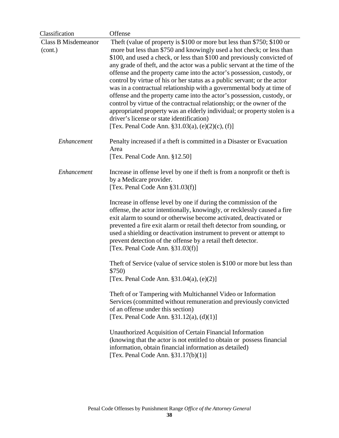| <b>Class B Misdemeanor</b><br>Theft (value of property is \$100 or more but less than \$750; \$100 or<br>more but less than \$750 and knowingly used a hot check; or less than<br>(cont.)<br>\$100, and used a check, or less than \$100 and previously convicted of<br>any grade of theft, and the actor was a public servant at the time of the<br>offense and the property came into the actor's possession, custody, or<br>control by virtue of his or her status as a public servant; or the actor<br>was in a contractual relationship with a governmental body at time of<br>offense and the property came into the actor's possession, custody, or<br>control by virtue of the contractual relationship; or the owner of the<br>driver's license or state identification)<br>[Tex. Penal Code Ann. $\S31.03(a)$ , (e)(2)(c), (f)]<br>Enhancement<br>Penalty increased if a theft is committed in a Disaster or Evacuation<br>Area<br>[Tex. Penal Code Ann. §12.50]<br>Enhancement<br>Increase in offense level by one if theft is from a nonprofit or theft is<br>by a Medicare provider.<br>[Tex. Penal Code Ann $\S 31.03(f)$ ]<br>Increase in offense level by one if during the commission of the<br>offense, the actor intentionally, knowingly, or recklessly caused a fire<br>exit alarm to sound or otherwise become activated, deactivated or<br>prevented a fire exit alarm or retail theft detector from sounding, or<br>used a shielding or deactivation instrument to prevent or attempt to<br>prevent detection of the offense by a retail theft detector.<br>[Tex. Penal Code Ann. $§31.03(f)$ ]<br>Theft of Service (value of service stolen is \$100 or more but less than<br>\$750)<br>[Tex. Penal Code Ann. $§31.04(a)$ , $(e)(2)]$<br>Theft of or Tampering with Multichannel Video or Information<br>Services (committed without remuneration and previously convicted<br>of an offense under this section)<br>[Tex. Penal Code Ann. $\S 31.12(a)$ , (d)(1)]<br>Unauthorized Acquisition of Certain Financial Information<br>(knowing that the actor is not entitled to obtain or possess financial<br>information, obtain financial information as detailed)<br>[Tex. Penal Code Ann. $§31.17(b)(1)]$ | Classification | Offense                                                                  |
|-------------------------------------------------------------------------------------------------------------------------------------------------------------------------------------------------------------------------------------------------------------------------------------------------------------------------------------------------------------------------------------------------------------------------------------------------------------------------------------------------------------------------------------------------------------------------------------------------------------------------------------------------------------------------------------------------------------------------------------------------------------------------------------------------------------------------------------------------------------------------------------------------------------------------------------------------------------------------------------------------------------------------------------------------------------------------------------------------------------------------------------------------------------------------------------------------------------------------------------------------------------------------------------------------------------------------------------------------------------------------------------------------------------------------------------------------------------------------------------------------------------------------------------------------------------------------------------------------------------------------------------------------------------------------------------------------------------------------------------------------------------------------------------------------------------------------------------------------------------------------------------------------------------------------------------------------------------------------------------------------------------------------------------------------------------------------------------------------------------------------------------------------------------------------------------------------------------------------------------|----------------|--------------------------------------------------------------------------|
|                                                                                                                                                                                                                                                                                                                                                                                                                                                                                                                                                                                                                                                                                                                                                                                                                                                                                                                                                                                                                                                                                                                                                                                                                                                                                                                                                                                                                                                                                                                                                                                                                                                                                                                                                                                                                                                                                                                                                                                                                                                                                                                                                                                                                                     |                | appropriated property was an elderly individual; or property stolen is a |
|                                                                                                                                                                                                                                                                                                                                                                                                                                                                                                                                                                                                                                                                                                                                                                                                                                                                                                                                                                                                                                                                                                                                                                                                                                                                                                                                                                                                                                                                                                                                                                                                                                                                                                                                                                                                                                                                                                                                                                                                                                                                                                                                                                                                                                     |                |                                                                          |
|                                                                                                                                                                                                                                                                                                                                                                                                                                                                                                                                                                                                                                                                                                                                                                                                                                                                                                                                                                                                                                                                                                                                                                                                                                                                                                                                                                                                                                                                                                                                                                                                                                                                                                                                                                                                                                                                                                                                                                                                                                                                                                                                                                                                                                     |                |                                                                          |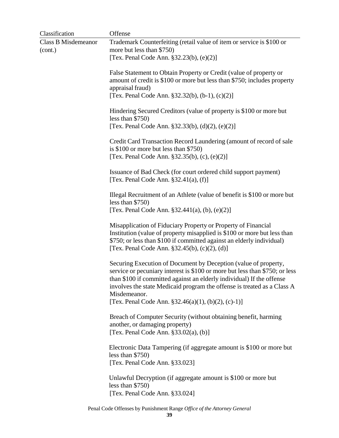| Classification                        | Offense                                                                                                                                                                                                                                                                                                                                                                        |
|---------------------------------------|--------------------------------------------------------------------------------------------------------------------------------------------------------------------------------------------------------------------------------------------------------------------------------------------------------------------------------------------------------------------------------|
| <b>Class B Misdemeanor</b><br>(cont.) | Trademark Counterfeiting (retail value of item or service is \$100 or<br>more but less than \$750)<br>[Tex. Penal Code Ann. §32.23(b), (e)(2)]                                                                                                                                                                                                                                 |
|                                       | False Statement to Obtain Property or Credit (value of property or<br>amount of credit is \$100 or more but less than \$750; includes property<br>appraisal fraud)<br>[Tex. Penal Code Ann. §32.32(b), (b-1), (c)(2)]                                                                                                                                                          |
|                                       | Hindering Secured Creditors (value of property is \$100 or more but<br>less than $$750$ )<br>[Tex. Penal Code Ann. §32.33(b), (d)(2), (e)(2)]                                                                                                                                                                                                                                  |
|                                       | Credit Card Transaction Record Laundering (amount of record of sale<br>is $$100$ or more but less than $$750)$<br>[Tex. Penal Code Ann. $§32.35(b)$ , (c), (e)(2)]                                                                                                                                                                                                             |
|                                       | Issuance of Bad Check (for court ordered child support payment)<br>[Tex. Penal Code Ann. $§32.41(a)$ , (f)]                                                                                                                                                                                                                                                                    |
|                                       | Illegal Recruitment of an Athlete (value of benefit is \$100 or more but<br>less than $$750$ )<br>[Tex. Penal Code Ann. $\S 32.441(a)$ , (b), (e)(2)]                                                                                                                                                                                                                          |
|                                       | Misapplication of Fiduciary Property or Property of Financial<br>Institution (value of property misapplied is \$100 or more but less than<br>\$750; or less than \$100 if committed against an elderly individual)<br>[Tex. Penal Code Ann. $§32.45(b)$ , (c)(2), (d)]                                                                                                         |
|                                       | Securing Execution of Document by Deception (value of property,<br>service or pecuniary interest is \$100 or more but less than \$750; or less<br>than \$100 if committed against an elderly individual) If the offense<br>involves the state Medicaid program the offense is treated as a Class A<br>Misdemeanor.<br>[Tex. Penal Code Ann. $\S 32.46(a)(1)$ , (b)(2), (c)-1)] |
|                                       | Breach of Computer Security (without obtaining benefit, harming<br>another, or damaging property)<br>[Tex. Penal Code Ann. $§33.02(a)$ , (b)]                                                                                                                                                                                                                                  |
|                                       | Electronic Data Tampering (if aggregate amount is \$100 or more but<br>less than $$750)$<br>[Tex. Penal Code Ann. §33.023]                                                                                                                                                                                                                                                     |
|                                       | Unlawful Decryption (if aggregate amount is \$100 or more but<br>less than $$750)$<br>[Tex. Penal Code Ann. §33.024]                                                                                                                                                                                                                                                           |
|                                       |                                                                                                                                                                                                                                                                                                                                                                                |

Penal Code Offenses by Punishment Range *Office of the Attorney General*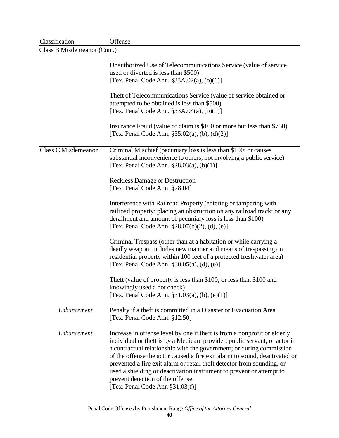| Classification              | Offense                                                                                                                                                                                                                                                                                                                                                                                                                                                                                                                                   |
|-----------------------------|-------------------------------------------------------------------------------------------------------------------------------------------------------------------------------------------------------------------------------------------------------------------------------------------------------------------------------------------------------------------------------------------------------------------------------------------------------------------------------------------------------------------------------------------|
| Class B Misdemeanor (Cont.) |                                                                                                                                                                                                                                                                                                                                                                                                                                                                                                                                           |
|                             | Unauthorized Use of Telecommunications Service (value of service                                                                                                                                                                                                                                                                                                                                                                                                                                                                          |
|                             | used or diverted is less than \$500)                                                                                                                                                                                                                                                                                                                                                                                                                                                                                                      |
|                             | [Tex. Penal Code Ann. $§33A.02(a)$ , (b)(1)]                                                                                                                                                                                                                                                                                                                                                                                                                                                                                              |
|                             |                                                                                                                                                                                                                                                                                                                                                                                                                                                                                                                                           |
|                             | Theft of Telecommunications Service (value of service obtained or                                                                                                                                                                                                                                                                                                                                                                                                                                                                         |
|                             | attempted to be obtained is less than \$500)<br>[Tex. Penal Code Ann. $§ 33A.04(a), (b)(1)]$                                                                                                                                                                                                                                                                                                                                                                                                                                              |
|                             |                                                                                                                                                                                                                                                                                                                                                                                                                                                                                                                                           |
|                             | Insurance Fraud (value of claim is \$100 or more but less than \$750)<br>[Tex. Penal Code Ann. $\S 35.02(a)$ , (b), (d)(2)]                                                                                                                                                                                                                                                                                                                                                                                                               |
| <b>Class C Misdemeanor</b>  | Criminal Mischief (pecuniary loss is less than \$100; or causes<br>substantial inconvenience to others, not involving a public service)<br>[Tex. Penal Code Ann. $\S 28.03(a)$ , (b)(1)]                                                                                                                                                                                                                                                                                                                                                  |
|                             | <b>Reckless Damage or Destruction</b><br>[Tex. Penal Code Ann. §28.04]                                                                                                                                                                                                                                                                                                                                                                                                                                                                    |
|                             | Interference with Railroad Property (entering or tampering with<br>railroad property; placing an obstruction on any railroad track; or any<br>derailment and amount of pecuniary loss is less than \$100)<br>[Tex. Penal Code Ann. §28.07(b)(2), (d), (e)]                                                                                                                                                                                                                                                                                |
|                             | Criminal Trespass (other than at a habitation or while carrying a<br>deadly weapon, includes new manner and means of trespassing on<br>residential property within 100 feet of a protected freshwater area)<br>[Tex. Penal Code Ann. $\S 30.05(a)$ , (d), (e)]                                                                                                                                                                                                                                                                            |
|                             | Theft (value of property is less than \$100; or less than \$100 and<br>knowingly used a hot check)<br>[Tex. Penal Code Ann. $§31.03(a)$ , (b), (e)(1)]                                                                                                                                                                                                                                                                                                                                                                                    |
| Enhancement                 | Penalty if a theft is committed in a Disaster or Evacuation Area<br>[Tex. Penal Code Ann. §12.50]                                                                                                                                                                                                                                                                                                                                                                                                                                         |
| Enhancement                 | Increase in offense level by one if theft is from a nonprofit or elderly<br>individual or theft is by a Medicare provider, public servant, or actor in<br>a contractual relationship with the government; or during commission<br>of the offense the actor caused a fire exit alarm to sound, deactivated or<br>prevented a fire exit alarm or retail theft detector from sounding, or<br>used a shielding or deactivation instrument to prevent or attempt to<br>prevent detection of the offense.<br>[Tex. Penal Code Ann $§31.03(f)$ ] |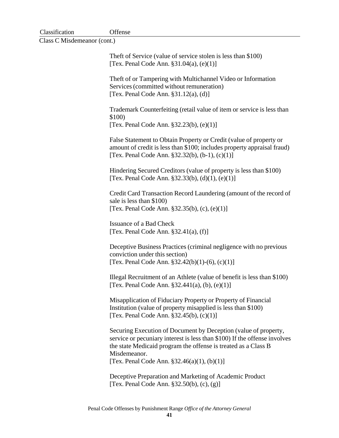| Classification | Offense |
|----------------|---------|
|----------------|---------|

Class C Misdemeanor (cont.)

| The ft of Service (value of service stolen is less than \$100)<br>[Tex. Penal Code Ann. $§31.04(a)$ , (e)(1)]                                                                                                                  |
|--------------------------------------------------------------------------------------------------------------------------------------------------------------------------------------------------------------------------------|
| Theft of or Tampering with Multichannel Video or Information<br>Services (committed without remuneration)<br>[Tex. Penal Code Ann. $\S31.12(a)$ , (d)]                                                                         |
| Trademark Counterfeiting (retail value of item or service is less than<br>\$100)<br>[Tex. Penal Code Ann. $§32.23(b)$ , $(e)(1)]$                                                                                              |
| False Statement to Obtain Property or Credit (value of property or<br>amount of credit is less than \$100; includes property appraisal fraud)<br>[Tex. Penal Code Ann. $\S 32.32(b)$ , (b-1), (c)(1)]                          |
| Hindering Secured Creditors (value of property is less than \$100)<br>[Tex. Penal Code Ann. $§32.33(b)$ , (d)(1), (e)(1)]                                                                                                      |
| Credit Card Transaction Record Laundering (amount of the record of<br>sale is less than \$100)<br>[Tex. Penal Code Ann. $§32.35(b)$ , (c), (e)(1)]                                                                             |
| <b>Issuance of a Bad Check</b><br>[Tex. Penal Code Ann. $§32.41(a)$ , (f)]                                                                                                                                                     |
| Deceptive Business Practices (criminal negligence with no previous<br>conviction under this section)<br>[Tex. Penal Code Ann. $\S 32.42(b)(1)-(6)$ , (c)(1)]                                                                   |
| Illegal Recruitment of an Athlete (value of benefit is less than \$100)<br>[Tex. Penal Code Ann. $\S 32.441(a)$ , (b), (e)(1)]                                                                                                 |
| Misapplication of Fiduciary Property or Property of Financial<br>Institution (value of property misapplied is less than \$100)<br>[Tex. Penal Code Ann. $§32.45(b)$ , (c)(1)]                                                  |
| Securing Execution of Document by Deception (value of property,<br>service or pecuniary interest is less than \$100) If the offense involves<br>the state Medicaid program the offense is treated as a Class B<br>Misdemeanor. |
| [Tex. Penal Code Ann. $\S 32.46(a)(1)$ , (b)(1)]                                                                                                                                                                               |

Deceptive Preparation and Marketing of Academic Product [Tex. Penal Code Ann. §32.50(b), (c), (g)]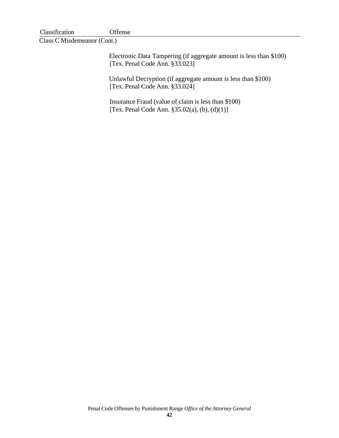| Classification | Offense |
|----------------|---------|
|----------------|---------|

Class C Misdemeanor (Cont.)

Electronic Data Tampering (if aggregate amount is less than \$100) [Tex. Penal Code Ann. §33.023]

Unlawful Decryption (if aggregate amount is less than \$100) [Tex. Penal Code Ann. §33.024]

Insurance Fraud (value of claim is less than \$100) [Tex. Penal Code Ann. §35.02(a), (b), (d)(1)]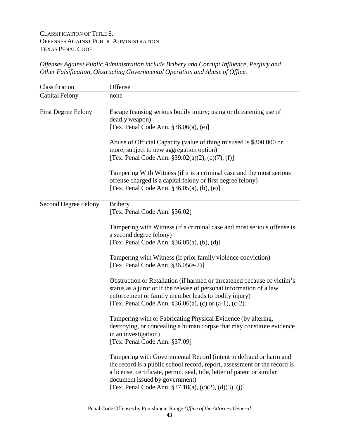## CLASSIFICATION OF TITLE 8. OFFENSES AGAINST PUBLIC ADMINISTRATION TEXAS PENAL CODE

## *Offenses Against Public Administration include Bribery and Corrupt Influence, Perjury and Other Falsification, Obstructing Governmental Operation and Abuse of Office.*

| Classification              | Offense                                                                                                                                                                                                                                                                                                               |
|-----------------------------|-----------------------------------------------------------------------------------------------------------------------------------------------------------------------------------------------------------------------------------------------------------------------------------------------------------------------|
| <b>Capital Felony</b>       | none                                                                                                                                                                                                                                                                                                                  |
| <b>First Degree Felony</b>  | Escape (causing serious bodily injury; using or threatening use of<br>deadly weapon)<br>[Tex. Penal Code Ann. §38.06(a), (e)]                                                                                                                                                                                         |
|                             | Abuse of Official Capacity (value of thing misused is \$300,000 or<br>more; subject to new aggregation option)<br>[Tex. Penal Code Ann. $\S 39.02(a)(2)$ , (c)(7), (f)]                                                                                                                                               |
|                             | Tampering With Witness (if it is a criminal case and the most serious<br>offense charged is a capital felony or first degree felony)<br>[Tex. Penal Code Ann. $§36.05(a)$ , (b), (e)]                                                                                                                                 |
| <b>Second Degree Felony</b> | <b>Bribery</b><br>[Tex. Penal Code Ann. §36.02]                                                                                                                                                                                                                                                                       |
|                             | Tampering with Witness (if a criminal case and most serious offense is<br>a second degree felony)<br>[Tex. Penal Code Ann. $\S 36.05(a)$ , (b), (d)]                                                                                                                                                                  |
|                             | Tampering with Witness (if prior family violence conviction)<br>[Tex. Penal Code Ann. §36.05(e-2)]                                                                                                                                                                                                                    |
|                             | Obstruction or Retaliation (if harmed or threatened because of victim's<br>status as a juror or if the release of personal information of a law<br>enforcement or family member leads to bodily injury)<br>[Tex. Penal Code Ann. $$36.06(a)$ , (c) or $(a-1)$ , (c-2)]                                                |
|                             | Tampering with or Fabricating Physical Evidence (by altering,<br>destroying, or concealing a human corpse that may constitute evidence<br>in an investigation)<br>[Tex. Penal Code Ann. §37.09]                                                                                                                       |
|                             | Tampering with Governmental Record (intent to defraud or harm and<br>the record is a public school record, report, assessment or the record is<br>a license, certificate, permit, seal, title, letter of patent or similar<br>document issued by government)<br>[Tex. Penal Code Ann. §37.10(a), (c)(2), (d)(3), (j)] |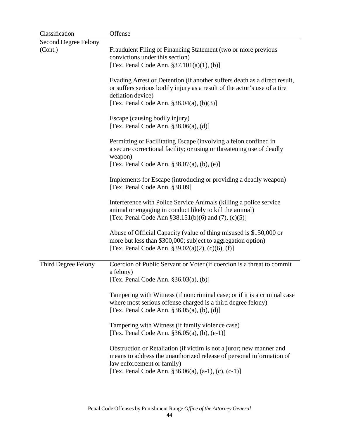| Classification              | Offense                                                                                                                                                                                                                               |
|-----------------------------|---------------------------------------------------------------------------------------------------------------------------------------------------------------------------------------------------------------------------------------|
| <b>Second Degree Felony</b> |                                                                                                                                                                                                                                       |
| (Cont.)                     | Fraudulent Filing of Financing Statement (two or more previous<br>convictions under this section)                                                                                                                                     |
|                             | [Tex. Penal Code Ann. $\S 37.101(a)(1)$ , (b)]                                                                                                                                                                                        |
|                             | Evading Arrest or Detention (if another suffers death as a direct result,<br>or suffers serious bodily injury as a result of the actor's use of a tire<br>deflation device)                                                           |
|                             | [Tex. Penal Code Ann. §38.04(a), (b)(3)]                                                                                                                                                                                              |
|                             | Escape (causing bodily injury)<br>[Tex. Penal Code Ann. $$38.06(a), (d)]$                                                                                                                                                             |
|                             | Permitting or Facilitating Escape (involving a felon confined in<br>a secure correctional facility; or using or threatening use of deadly<br>weapon)<br>[Tex. Penal Code Ann. $$38.07(a), (b), (e)]$                                  |
|                             | Implements for Escape (introducing or providing a deadly weapon)<br>[Tex. Penal Code Ann. §38.09]                                                                                                                                     |
|                             | Interference with Police Service Animals (killing a police service<br>animal or engaging in conduct likely to kill the animal)<br>[Tex. Penal Code Ann $$38.151(b)(6)$ and $(7), (c)(5)$ ]                                            |
|                             | Abuse of Official Capacity (value of thing misused is \$150,000 or<br>more but less than \$300,000; subject to aggregation option)<br>[Tex. Penal Code Ann. $\S 39.02(a)(2)$ , (c)(6), (f)]                                           |
| Third Degree Felony         | Coercion of Public Servant or Voter (if coercion is a threat to commit<br>a felony)<br>[Tex. Penal Code Ann. §36.03(a), (b)]                                                                                                          |
|                             | Tampering with Witness (if noncriminal case; or if it is a criminal case<br>where most serious offense charged is a third degree felony)<br>[Tex. Penal Code Ann. $§36.05(a)$ , (b), (d)]                                             |
|                             | Tampering with Witness (if family violence case)<br>[Tex. Penal Code Ann. §36.05(a), (b), (e-1)]                                                                                                                                      |
|                             | Obstruction or Retaliation (if victim is not a juror; new manner and<br>means to address the unauthorized release of personal information of<br>law enforcement or family)<br>[Tex. Penal Code Ann. $$36.06(a), (a-1), (c), (c-1)]$ ] |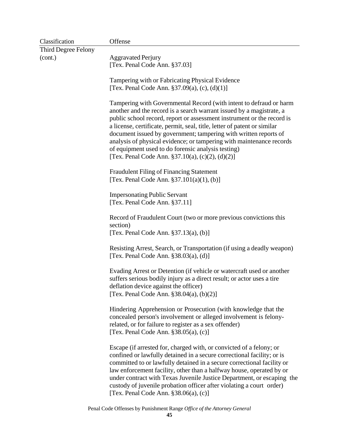| Classification      | Offense                                                                                                                                                                                                                                                                                                                                                                                                                                                                                                                                                |
|---------------------|--------------------------------------------------------------------------------------------------------------------------------------------------------------------------------------------------------------------------------------------------------------------------------------------------------------------------------------------------------------------------------------------------------------------------------------------------------------------------------------------------------------------------------------------------------|
| Third Degree Felony |                                                                                                                                                                                                                                                                                                                                                                                                                                                                                                                                                        |
| (cont.)             | <b>Aggravated Perjury</b><br>[Tex. Penal Code Ann. §37.03]                                                                                                                                                                                                                                                                                                                                                                                                                                                                                             |
|                     | Tampering with or Fabricating Physical Evidence<br>[Tex. Penal Code Ann. $$37.09(a), (c), (d)(1)]$                                                                                                                                                                                                                                                                                                                                                                                                                                                     |
|                     | Tampering with Governmental Record (with intent to defraud or harm<br>another and the record is a search warrant issued by a magistrate, a<br>public school record, report or assessment instrument or the record is<br>a license, certificate, permit, seal, title, letter of patent or similar<br>document issued by government; tampering with written reports of<br>analysis of physical evidence; or tampering with maintenance records<br>of equipment used to do forensic analysis testing)<br>[Tex. Penal Code Ann. §37.10(a), (c)(2), (d)(2)] |
|                     | <b>Fraudulent Filing of Financing Statement</b><br>[Tex. Penal Code Ann. $\S 37.101(a)(1)$ , (b)]                                                                                                                                                                                                                                                                                                                                                                                                                                                      |
|                     | <b>Impersonating Public Servant</b><br>[Tex. Penal Code Ann. §37.11]                                                                                                                                                                                                                                                                                                                                                                                                                                                                                   |
|                     | Record of Fraudulent Court (two or more previous convictions this<br>section)<br>[Tex. Penal Code Ann. $\S 37.13(a)$ , (b)]                                                                                                                                                                                                                                                                                                                                                                                                                            |
|                     | Resisting Arrest, Search, or Transportation (if using a deadly weapon)<br>[Tex. Penal Code Ann. $§38.03(a)$ , (d)]                                                                                                                                                                                                                                                                                                                                                                                                                                     |
|                     | Evading Arrest or Detention (if vehicle or watercraft used or another<br>suffers serious bodily injury as a direct result; or actor uses a tire<br>deflation device against the officer)<br>[Tex. Penal Code Ann. $§38.04(a), (b)(2)]$                                                                                                                                                                                                                                                                                                                 |
|                     | Hindering Apprehension or Prosecution (with knowledge that the<br>concealed person's involvement or alleged involvement is felony-<br>related, or for failure to register as a sex offender)<br>[Tex. Penal Code Ann. $§38.05(a)$ , (c)]                                                                                                                                                                                                                                                                                                               |
|                     | Escape (if arrested for, charged with, or convicted of a felony; or<br>confined or lawfully detained in a secure correctional facility; or is<br>committed to or lawfully detained in a secure correctional facility or<br>law enforcement facility, other than a halfway house, operated by or<br>under contract with Texas Juvenile Justice Department, or escaping the<br>custody of juvenile probation officer after violating a court order)<br>[Tex. Penal Code Ann. $$38.06(a), (c)]$                                                           |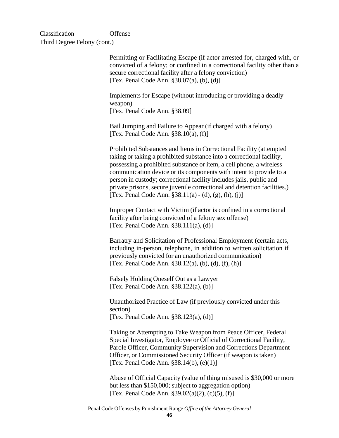| Classification | Offense |
|----------------|---------|
|                |         |

Third Degree Felony (cont.)

Permitting or Facilitating Escape (if actor arrested for, charged with, or convicted of a felony; or confined in a correctional facility other than a secure correctional facility after a felony conviction) [Tex. Penal Code Ann. §38.07(a), (b), (d)] Implements for Escape (without introducing or providing a deadly weapon) [Tex. Penal Code Ann. §38.09] Bail Jumping and Failure to Appear (if charged with a felony) [Tex. Penal Code Ann. §38.10(a), (f)] Prohibited Substances and Items in Correctional Facility (attempted taking or taking a prohibited substance into a correctional facility, possessing a prohibited substance or item, a cell phone, a wireless communication device or its components with intent to provide to a person in custody; correctional facility includes jails, public and private prisons, secure juvenile correctional and detention facilities.) [Tex. Penal Code Ann.  $§ 38.11(a) - (d), (g), (h), (i)$ ] Improper Contact with Victim (if actor is confined in a correctional facility after being convicted of a felony sex offense) [Tex. Penal Code Ann. §38.111(a), (d)] Barratry and Solicitation of Professional Employment (certain acts, including in-person, telephone, in addition to written solicitation if previously convicted for an unauthorized communication) [Tex. Penal Code Ann. §38.12(a), (b), (d), (f), (h)] Falsely Holding Oneself Out as a Lawyer [Tex. Penal Code Ann. §38.122(a), (b)] Unauthorized Practice of Law (if previously convicted under this section) [Tex. Penal Code Ann. §38.123(a), (d)] Taking or Attempting to Take Weapon from Peace Officer, Federal Special Investigator, Employee or Official of Correctional Facility, Parole Officer, Community Supervision and Corrections Department Officer, or Commissioned Security Officer (if weapon is taken) [Tex. Penal Code Ann. §38.14(b), (e)(1)] Abuse of Official Capacity (value of thing misused is \$30,000 or more but less than \$150,000; subject to aggregation option)

Penal Code Offenses by Punishment Range *Office of the Attorney General*

[Tex. Penal Code Ann. §39.02(a)(2), (c)(5), (f)]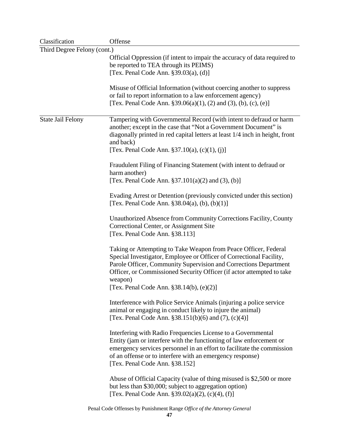| Classification              | Offense                                                                      |
|-----------------------------|------------------------------------------------------------------------------|
| Third Degree Felony (cont.) |                                                                              |
|                             | Official Oppression (if intent to impair the accuracy of data required to    |
|                             | be reported to TEA through its PEIMS)                                        |
|                             | [Tex. Penal Code Ann. $\S 39.03(a)$ , (d)]                                   |
|                             |                                                                              |
|                             | Misuse of Official Information (without coercing another to suppress         |
|                             | or fail to report information to a law enforcement agency)                   |
|                             | [Tex. Penal Code Ann. $\S 39.06(a)(1)$ , (2) and (3), (b), (c), (e)]         |
|                             |                                                                              |
| <b>State Jail Felony</b>    | Tampering with Governmental Record (with intent to defraud or harm           |
|                             | another; except in the case that "Not a Government Document" is              |
|                             | diagonally printed in red capital letters at least 1/4 inch in height, front |
|                             | and back)                                                                    |
|                             | [Tex. Penal Code Ann. $\S 37.10(a)$ , (c)(1), (j)]                           |
|                             |                                                                              |
|                             | Fraudulent Filing of Financing Statement (with intent to defraud or          |
|                             | harm another)                                                                |
|                             | [Tex. Penal Code Ann. $\S 37.101(a)(2)$ and (3), (b)]                        |
|                             |                                                                              |
|                             | Evading Arrest or Detention (previously convicted under this section)        |
|                             | [Tex. Penal Code Ann. $§38.04(a)$ , (b), (b)(1)]                             |
|                             |                                                                              |
|                             | Unauthorized Absence from Community Corrections Facility, County             |
|                             | Correctional Center, or Assignment Site                                      |
|                             | [Tex. Penal Code Ann. §38.113]                                               |
|                             |                                                                              |
|                             | Taking or Attempting to Take Weapon from Peace Officer, Federal              |
|                             | Special Investigator, Employee or Officer of Correctional Facility,          |
|                             | Parole Officer, Community Supervision and Corrections Department             |
|                             | Officer, or Commissioned Security Officer (if actor attempted to take        |
|                             | weapon)                                                                      |
|                             | [Tex. Penal Code Ann. §38.14(b), (e)(2)]                                     |
|                             | Interference with Police Service Animals (injuring a police service          |
|                             | animal or engaging in conduct likely to injure the animal)                   |
|                             | [Tex. Penal Code Ann. §38.151(b)(6) and (7), (c)(4)]                         |
|                             |                                                                              |
|                             | Interfering with Radio Frequencies License to a Governmental                 |
|                             | Entity (jam or interfere with the functioning of law enforcement or          |
|                             | emergency services personnel in an effort to facilitate the commission       |
|                             | of an offense or to interfere with an emergency response)                    |
|                             | [Tex. Penal Code Ann. §38.152]                                               |
|                             |                                                                              |
|                             | Abuse of Official Capacity (value of thing misused is \$2,500 or more        |
|                             | but less than \$30,000; subject to aggregation option)                       |
|                             | [Tex. Penal Code Ann. $\S 39.02(a)(2)$ , (c)(4), (f)]                        |
|                             | Penal Code Offenses by Punishment Range Office of the Attorney General       |
|                             |                                                                              |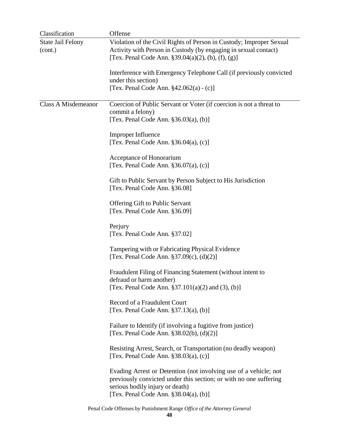| Classification                      | Offense                                                                                                                                                                                                             |
|-------------------------------------|---------------------------------------------------------------------------------------------------------------------------------------------------------------------------------------------------------------------|
| <b>State Jail Felony</b><br>(cont.) | Violation of the Civil Rights of Person in Custody; Improper Sexual<br>Activity with Person in Custody (by engaging in sexual contact)<br>[Tex. Penal Code Ann. $\S 39.04(a)(2)$ , (b), (f), (g)]                   |
|                                     | Interference with Emergency Telephone Call (if previously convicted<br>under this section)<br>[Tex. Penal Code Ann. $§42.062(a) - (c)]$                                                                             |
| <b>Class A Misdemeanor</b>          | Coercion of Public Servant or Voter (if coercion is not a threat to<br>commit a felony)<br>[Tex. Penal Code Ann. $\S 36.03(a)$ , (b)]                                                                               |
|                                     | Improper Influence<br>[Tex. Penal Code Ann. $§36.04(a)$ , (c)]                                                                                                                                                      |
|                                     | Acceptance of Honorarium<br>[Tex. Penal Code Ann. §36.07(a), (c)]                                                                                                                                                   |
|                                     | Gift to Public Servant by Person Subject to His Jurisdiction<br>[Tex. Penal Code Ann. §36.08]                                                                                                                       |
|                                     | Offering Gift to Public Servant<br>[Tex. Penal Code Ann. §36.09]                                                                                                                                                    |
|                                     | Perjury<br>[Tex. Penal Code Ann. §37.02]                                                                                                                                                                            |
|                                     | Tampering with or Fabricating Physical Evidence<br>[Tex. Penal Code Ann. $$37.09(c), (d)(2)]$                                                                                                                       |
|                                     | Fraudulent Filing of Financing Statement (without intent to<br>defraud or harm another)<br>[Tex. Penal Code Ann. $$37.101(a)(2)$ and (3), (b)]                                                                      |
|                                     | Record of a Fraudulent Court<br>[Tex. Penal Code Ann. $\S 37.13(a)$ , (b)]                                                                                                                                          |
|                                     | Failure to Identify (if involving a fugitive from justice)<br>[Tex. Penal Code Ann. $$38.02(b), (d)(2)]$                                                                                                            |
|                                     | Resisting Arrest, Search, or Transportation (no deadly weapon)<br>[Tex. Penal Code Ann. $§38.03(a)$ , (c)]                                                                                                          |
|                                     | Evading Arrest or Detention (not involving use of a vehicle; not<br>previously convicted under this section; or with no one suffering<br>serious bodily injury or death)<br>[Tex. Penal Code Ann. $$38.04(a), (b)]$ |
|                                     | Penal Code Offenses by Punishment Range Office of the Attorney General                                                                                                                                              |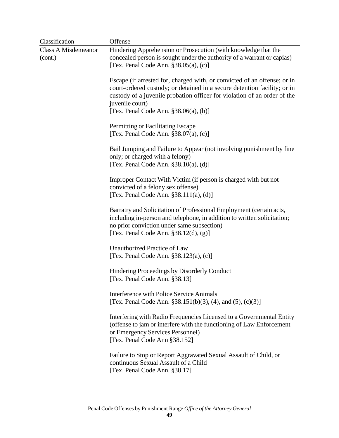| Classification                        | Offense                                                                                                                                                                                                                                                                                         |
|---------------------------------------|-------------------------------------------------------------------------------------------------------------------------------------------------------------------------------------------------------------------------------------------------------------------------------------------------|
| <b>Class A Misdemeanor</b><br>(cont.) | Hindering Apprehension or Prosecution (with knowledge that the<br>concealed person is sought under the authority of a warrant or capias)<br>[Tex. Penal Code Ann. $$38.05(a), (c)]$                                                                                                             |
|                                       | Escape (if arrested for, charged with, or convicted of an offense; or in<br>court-ordered custody; or detained in a secure detention facility; or in<br>custody of a juvenile probation officer for violation of an order of the<br>juvenile court)<br>[Tex. Penal Code Ann. $§38.06(a)$ , (b)] |
|                                       | Permitting or Facilitating Escape<br>[Tex. Penal Code Ann. $§38.07(a)$ , (c)]                                                                                                                                                                                                                   |
|                                       | Bail Jumping and Failure to Appear (not involving punishment by fine<br>only; or charged with a felony)<br>[Tex. Penal Code Ann. §38.10(a), (d)]                                                                                                                                                |
|                                       | Improper Contact With Victim (if person is charged with but not<br>convicted of a felony sex offense)<br>[Tex. Penal Code Ann. $§ 38.111(a), (d)]$                                                                                                                                              |
|                                       | Barratry and Solicitation of Professional Employment (certain acts,<br>including in-person and telephone, in addition to written solicitation;<br>no prior conviction under same subsection)<br>[Tex. Penal Code Ann. $$38.12(d), (g)]$                                                         |
|                                       | Unauthorized Practice of Law<br>[Tex. Penal Code Ann. §38.123(a), (c)]                                                                                                                                                                                                                          |
|                                       | Hindering Proceedings by Disorderly Conduct<br>[Tex. Penal Code Ann. §38.13]                                                                                                                                                                                                                    |
|                                       | Interference with Police Service Animals<br>[Tex. Penal Code Ann. §38.151(b)(3), (4), and (5), (c)(3)]                                                                                                                                                                                          |
|                                       | Interfering with Radio Frequencies Licensed to a Governmental Entity<br>(offense to jam or interfere with the functioning of Law Enforcement<br>or Emergency Services Personnel)<br>[Tex. Penal Code Ann §38.152]                                                                               |
|                                       | Failure to Stop or Report Aggravated Sexual Assault of Child, or<br>continuous Sexual Assault of a Child<br>[Tex. Penal Code Ann. §38.17]                                                                                                                                                       |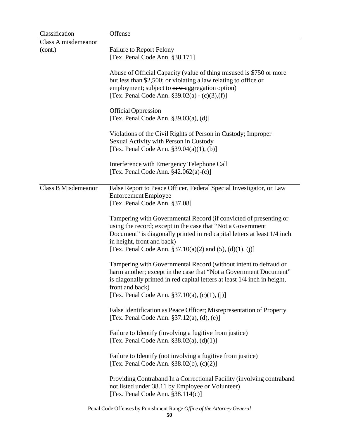| Classification             | Offense                                                                                                                                                                                                                                                                                                              |
|----------------------------|----------------------------------------------------------------------------------------------------------------------------------------------------------------------------------------------------------------------------------------------------------------------------------------------------------------------|
| Class A misdemeanor        |                                                                                                                                                                                                                                                                                                                      |
| (cont.)                    | <b>Failure to Report Felony</b><br>[Tex. Penal Code Ann. §38.171]                                                                                                                                                                                                                                                    |
|                            | Abuse of Official Capacity (value of thing misused is \$750 or more<br>but less than \$2,500; or violating a law relating to office or<br>employment; subject to new-aggregation option)<br>[Tex. Penal Code Ann. $$39.02(a) - (c)(3),(f)]$                                                                          |
|                            | <b>Official Oppression</b><br>[Tex. Penal Code Ann. $\S 39.03(a)$ , (d)]                                                                                                                                                                                                                                             |
|                            | Violations of the Civil Rights of Person in Custody; Improper<br>Sexual Activity with Person in Custody<br>[Tex. Penal Code Ann. $\S 39.04(a)(1)$ , (b)]                                                                                                                                                             |
|                            | Interference with Emergency Telephone Call<br>[Tex. Penal Code Ann. $§42.062(a)-(c)$ ]                                                                                                                                                                                                                               |
| <b>Class B Misdemeanor</b> | False Report to Peace Officer, Federal Special Investigator, or Law<br><b>Enforcement Employee</b><br>[Tex. Penal Code Ann. §37.08]                                                                                                                                                                                  |
|                            | Tampering with Governmental Record (if convicted of presenting or<br>using the record; except in the case that "Not a Government"<br>Document" is diagonally printed in red capital letters at least 1/4 inch<br>in height, front and back)<br>[Tex. Penal Code Ann. $\S 37.10(a)(2)$ and $(5)$ , $(d)(1)$ , $(i)$ ] |
|                            | Tampering with Governmental Record (without intent to defraud or<br>harm another; except in the case that "Not a Government Document"<br>is diagonally printed in red capital letters at least 1/4 inch in height,<br>front and back)<br>[Tex. Penal Code Ann. §37.10(a), (c)(1), (j)]                               |
|                            | False Identification as Peace Officer; Misrepresentation of Property<br>[Tex. Penal Code Ann. $\S 37.12(a)$ , (d), (e)]                                                                                                                                                                                              |
|                            | Failure to Identify (involving a fugitive from justice)<br>[Tex. Penal Code Ann. $$38.02(a), (d)(1)]$                                                                                                                                                                                                                |
|                            | Failure to Identify (not involving a fugitive from justice)<br>[Tex. Penal Code Ann. §38.02(b), (c)(2)]                                                                                                                                                                                                              |
|                            | Providing Contraband In a Correctional Facility (involving contraband<br>not listed under 38.11 by Employee or Volunteer)<br>[Tex. Penal Code Ann. $§38.114(c)$ ]                                                                                                                                                    |
|                            | Penal Code Offenses by Punishment Range Office of the Attorney General                                                                                                                                                                                                                                               |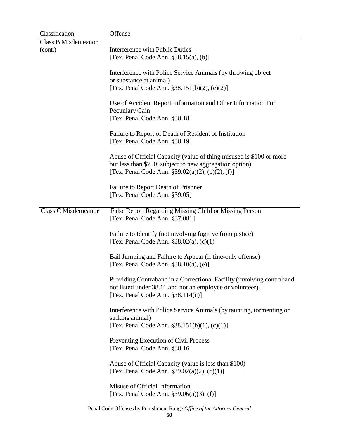| Classification             | Offense                                                                                                                                                                                 |
|----------------------------|-----------------------------------------------------------------------------------------------------------------------------------------------------------------------------------------|
| <b>Class B Misdemeanor</b> |                                                                                                                                                                                         |
| (cont.)                    | <b>Interference with Public Duties</b><br>[Tex. Penal Code Ann. $§38.15(a)$ , (b)]                                                                                                      |
|                            | Interference with Police Service Animals (by throwing object<br>or substance at animal)                                                                                                 |
|                            | [Tex. Penal Code Ann. $§ 38.151(b)(2)$ , (c)(2)]                                                                                                                                        |
|                            | Use of Accident Report Information and Other Information For<br>Pecuniary Gain<br>[Tex. Penal Code Ann. §38.18]                                                                         |
|                            | Failure to Report of Death of Resident of Institution<br>[Tex. Penal Code Ann. §38.19]                                                                                                  |
|                            | Abuse of Official Capacity (value of thing misused is \$100 or more<br>but less than \$750; subject to new aggregation option)<br>[Tex. Penal Code Ann. $\S 39.02(a)(2)$ , (c)(2), (f)] |
|                            | Failure to Report Death of Prisoner<br>[Tex. Penal Code Ann. §39.05]                                                                                                                    |
| <b>Class C Misdemeanor</b> | False Report Regarding Missing Child or Missing Person<br>[Tex. Penal Code Ann. §37.081]                                                                                                |
|                            | Failure to Identify (not involving fugitive from justice)<br>[Tex. Penal Code Ann. $$38.02(a), (c)(1)]$                                                                                 |
|                            | Bail Jumping and Failure to Appear (if fine-only offense)<br>[Tex. Penal Code Ann. $$38.10(a), (e)]$                                                                                    |
|                            | Providing Contraband in a Correctional Facility (involving contraband<br>not listed under 38.11 and not an employee or volunteer)<br>[Tex. Penal Code Ann. $§38.114(c)$ ]               |
|                            | Interference with Police Service Animals (by taunting, tormenting or<br>striking animal)<br>[Tex. Penal Code Ann. $§ 38.151(b)(1), (c)(1)]$                                             |
|                            | Preventing Execution of Civil Process<br>[Tex. Penal Code Ann. §38.16]                                                                                                                  |
|                            | Abuse of Official Capacity (value is less than \$100)<br>[Tex. Penal Code Ann. $\S 39.02(a)(2)$ , (c)(1)]                                                                               |
|                            | Misuse of Official Information<br>[Tex. Penal Code Ann. $§39.06(a)(3)$ , (f)]                                                                                                           |
|                            | Penal Code Offenses by Punishment Range Office of the Attorney General                                                                                                                  |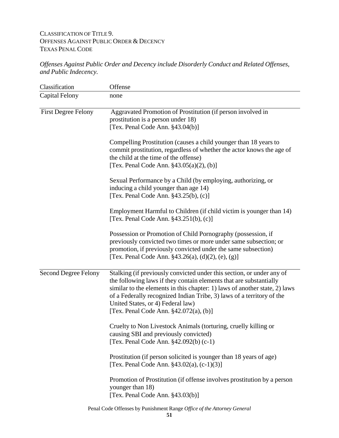# CLASSIFICATION OF TITLE 9. OFFENSES AGAINST PUBLIC ORDER & DECENCY TEXAS PENAL CODE

*Offenses Against Public Order and Decency include Disorderly Conduct and Related Offenses, and Public Indecency.*

| Classification              | Offense                                                                                                                                                                                                                                                                                                                                                                              |
|-----------------------------|--------------------------------------------------------------------------------------------------------------------------------------------------------------------------------------------------------------------------------------------------------------------------------------------------------------------------------------------------------------------------------------|
| <b>Capital Felony</b>       | none                                                                                                                                                                                                                                                                                                                                                                                 |
| <b>First Degree Felony</b>  | Aggravated Promotion of Prostitution (if person involved in<br>prostitution is a person under 18)<br>[Tex. Penal Code Ann. $§43.04(b)$ ]                                                                                                                                                                                                                                             |
|                             | Compelling Prostitution (causes a child younger than 18 years to<br>commit prostitution, regardless of whether the actor knows the age of<br>the child at the time of the offense)<br>[Tex. Penal Code Ann. $§43.05(a)(2)$ , (b)]                                                                                                                                                    |
|                             | Sexual Performance by a Child (by employing, authorizing, or<br>inducing a child younger than age 14)<br>[Tex. Penal Code Ann. $§43.25(b)$ , (c)]                                                                                                                                                                                                                                    |
|                             | Employment Harmful to Children (if child victim is younger than 14)<br>[Tex. Penal Code Ann. §43.251(b), (c)]                                                                                                                                                                                                                                                                        |
|                             | Possession or Promotion of Child Pornography (possession, if<br>previously convicted two times or more under same subsection; or<br>promotion, if previously convicted under the same subsection)<br>[Tex. Penal Code Ann. $\S 43.26(a)$ , (d)(2), (e), (g)]                                                                                                                         |
| <b>Second Degree Felony</b> | Stalking (if previously convicted under this section, or under any of<br>the following laws if they contain elements that are substantially<br>similar to the elements in this chapter: 1) laws of another state, 2) laws<br>of a Federally recognized Indian Tribe, 3) laws of a territory of the<br>United States, or 4) Federal law)<br>[Tex. Penal Code Ann. $§42.072(a)$ , (b)] |
|                             | Cruelty to Non Livestock Animals (torturing, cruelly killing or<br>causing SBI and previously convicted)<br>[Tex. Penal Code Ann. §42.092(b) (c-1)                                                                                                                                                                                                                                   |
|                             | Prostitution (if person solicited is younger than 18 years of age)<br>[Tex. Penal Code Ann. $§43.02(a)$ , (c-1)(3)]                                                                                                                                                                                                                                                                  |
|                             | Promotion of Prostitution (if offense involves prostitution by a person<br>younger than 18)<br>[Tex. Penal Code Ann. §43.03(b)]                                                                                                                                                                                                                                                      |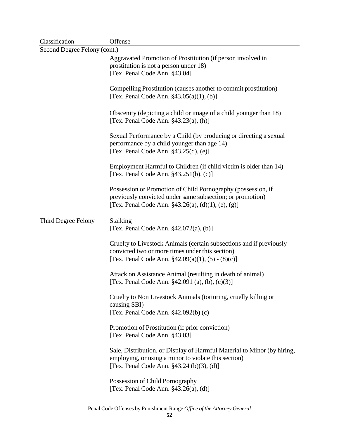| Classification               | Offense                                                                                                                                                                              |  |
|------------------------------|--------------------------------------------------------------------------------------------------------------------------------------------------------------------------------------|--|
| Second Degree Felony (cont.) |                                                                                                                                                                                      |  |
|                              | Aggravated Promotion of Prostitution (if person involved in<br>prostitution is not a person under 18)<br>[Tex. Penal Code Ann. §43.04]                                               |  |
|                              | Compelling Prostitution (causes another to commit prostitution)<br>[Tex. Penal Code Ann. $§43.05(a)(1), (b)]$                                                                        |  |
|                              | Obscenity (depicting a child or image of a child younger than 18)<br>[Tex. Penal Code Ann. $§43.23(a)$ , (h)]                                                                        |  |
|                              | Sexual Performance by a Child (by producing or directing a sexual<br>performance by a child younger than age 14)<br>[Tex. Penal Code Ann. $§43.25(d)$ , (e)]                         |  |
|                              | Employment Harmful to Children (if child victim is older than 14)<br>[Tex. Penal Code Ann. $§43.251(b)$ , (c)]                                                                       |  |
|                              | Possession or Promotion of Child Pornography (possession, if<br>previously convicted under same subsection; or promotion)<br>[Tex. Penal Code Ann. $\S 43.26(a)$ , (d)(1), (e), (g)] |  |
| Third Degree Felony          | Stalking<br>[Tex. Penal Code Ann. $§42.072(a)$ , (b)]                                                                                                                                |  |
|                              | Cruelty to Livestock Animals (certain subsections and if previously<br>convicted two or more times under this section)<br>[Tex. Penal Code Ann. $\S 42.09(a)(1)$ , (5) - (8)(c)]     |  |
|                              | Attack on Assistance Animal (resulting in death of animal)<br>[Tex. Penal Code Ann. §42.091 (a), (b), (c)(3)]                                                                        |  |
|                              | Cruelty to Non Livestock Animals (torturing, cruelly killing or<br>causing SBI)<br>[Tex. Penal Code Ann. §42.092(b) (c)                                                              |  |
|                              | Promotion of Prostitution (if prior conviction)<br>[Tex. Penal Code Ann. §43.03]                                                                                                     |  |
|                              | Sale, Distribution, or Display of Harmful Material to Minor (by hiring,<br>employing, or using a minor to violate this section)<br>[Tex. Penal Code Ann. §43.24 (b)(3), (d)]         |  |
|                              | Possession of Child Pornography<br>[Tex. Penal Code Ann. $§43.26(a)$ , (d)]                                                                                                          |  |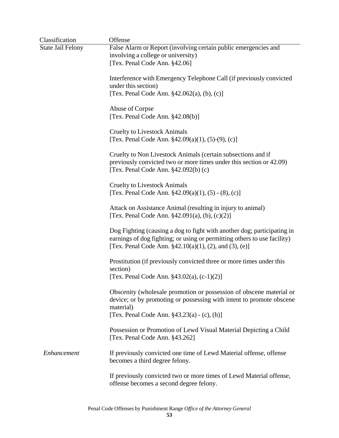| Classification           | Offense                                                                                                                                                                                                            |
|--------------------------|--------------------------------------------------------------------------------------------------------------------------------------------------------------------------------------------------------------------|
| <b>State Jail Felony</b> | False Alarm or Report (involving certain public emergencies and<br>involving a college or university)<br>[Tex. Penal Code Ann. §42.06]                                                                             |
|                          | Interference with Emergency Telephone Call (if previously convicted<br>under this section)<br>[Tex. Penal Code Ann. $§42.062(a)$ , (b), (c)]                                                                       |
|                          | Abuse of Corpse<br>[Tex. Penal Code Ann. $§42.08(b)$ ]                                                                                                                                                             |
|                          | <b>Cruelty to Livestock Animals</b><br>[Tex. Penal Code Ann. $§42.09(a)(1), (5)-(9), (c)]$                                                                                                                         |
|                          | Cruelty to Non Livestock Animals (certain subsections and if<br>previously convicted two or more times under this section or 42.09)<br>[Tex. Penal Code Ann. §42.092(b) (c)                                        |
|                          | <b>Cruelty to Livestock Animals</b><br>[Tex. Penal Code Ann. §42.09(a)(1), (5) - (8), (c)]                                                                                                                         |
|                          | Attack on Assistance Animal (resulting in injury to animal)<br>[Tex. Penal Code Ann. $§42.091(a)$ , (b), (c)(2)]                                                                                                   |
|                          | Dog Fighting (causing a dog to fight with another dog; participating in<br>earnings of dog fighting; or using or permitting others to use facility)<br>[Tex. Penal Code Ann. $\S 42.10(a)(1)$ , (2), and (3), (e)] |
|                          | Prostitution (if previously convicted three or more times under this<br>section)<br>[Tex. Penal Code Ann. $§43.02(a)$ , (c-1)(2)]                                                                                  |
|                          | Obscenity (wholesale promotion or possession of obscene material or<br>device; or by promoting or possessing with intent to promote obscene<br>material)<br>[Tex. Penal Code Ann. $§43.23(a) - (c), (h)]$          |
|                          | Possession or Promotion of Lewd Visual Material Depicting a Child<br>[Tex. Penal Code Ann. §43.262]                                                                                                                |
| Enhancement              | If previously convicted one time of Lewd Material offense, offense<br>becomes a third degree felony.                                                                                                               |
|                          | If previously convicted two or more times of Lewd Material offense,<br>offense becomes a second degree felony.                                                                                                     |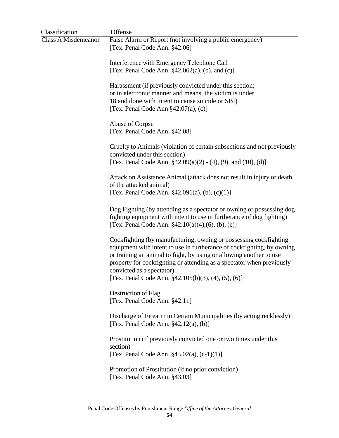| Classification             | Offense                                                                                                                                     |
|----------------------------|---------------------------------------------------------------------------------------------------------------------------------------------|
| <b>Class A Misdemeanor</b> | False Alarm or Report (not involving a public emergency)                                                                                    |
|                            | [Tex. Penal Code Ann. §42.06]                                                                                                               |
|                            |                                                                                                                                             |
|                            | Interference with Emergency Telephone Call<br>[Tex. Penal Code Ann. $\S$ 42.062(a), (b), and (c)]                                           |
|                            |                                                                                                                                             |
|                            | Harassment (if previously convicted under this section;                                                                                     |
|                            | or in electronic manner and means, the victim is under                                                                                      |
|                            | 18 and done with intent to cause suicide or SBI)                                                                                            |
|                            | [Tex. Penal Code Ann $\S$ 42.07(a), (c)]                                                                                                    |
|                            |                                                                                                                                             |
|                            | Abuse of Corpse                                                                                                                             |
|                            | [Tex. Penal Code Ann. §42.08]                                                                                                               |
|                            | Cruelty to Animals (violation of certain subsections and not previously                                                                     |
|                            | convicted under this section)                                                                                                               |
|                            | [Tex. Penal Code Ann. $$42.09(a)(2) - (4), (9), and (10), (d)]$                                                                             |
|                            |                                                                                                                                             |
|                            | Attack on Assistance Animal (attack does not result in injury or death<br>of the attacked animal)                                           |
|                            | [Tex. Penal Code Ann. §42.091(a), (b), (c)(1)]                                                                                              |
|                            |                                                                                                                                             |
|                            | Dog Fighting (by attending as a spectator or owning or possessing dog                                                                       |
|                            | fighting equipment with intent to use in furtherance of dog fighting)                                                                       |
|                            | [Tex. Penal Code Ann. $\S 42.10(a)(4)$ , (6), (b), (e)]                                                                                     |
|                            |                                                                                                                                             |
|                            | Cockfighting (by manufacturing, owning or possessing cockfighting<br>equipment with intent to use in furtherance of cockfighting, by owning |
|                            | or training an animal to fight, by using or allowing another to use                                                                         |
|                            | property for cockfighting or attending as a spectator when previously                                                                       |
|                            | convicted as a spectator)                                                                                                                   |
|                            | [Tex. Penal Code Ann. $\S$ 42.105(b)(3), (4), (5), (6)]                                                                                     |
|                            |                                                                                                                                             |
|                            | Destruction of Flag                                                                                                                         |
|                            | [Tex. Penal Code Ann. §42.11]                                                                                                               |
|                            | Discharge of Firearm in Certain Municipalities (by acting recklessly)                                                                       |
|                            | [Tex. Penal Code Ann. $\S$ 42.12(a), (b)]                                                                                                   |
|                            |                                                                                                                                             |
|                            | Prostitution (if previously convicted one or two times under this                                                                           |
|                            | section)                                                                                                                                    |
|                            | [Tex. Penal Code Ann. $§43.02(a)$ , $(c-1)(1)$ ]                                                                                            |
|                            | Promotion of Prostitution (if no prior conviction)                                                                                          |
|                            | [Tex. Penal Code Ann. §43.03]                                                                                                               |
|                            |                                                                                                                                             |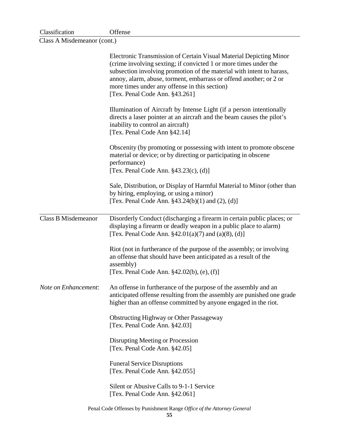| Classification | Offense |
|----------------|---------|
|----------------|---------|

Class A Misdemeanor (cont.)

|                            | Electronic Transmission of Certain Visual Material Depicting Minor<br>(crime involving sexting; if convicted 1 or more times under the<br>subsection involving promotion of the material with intent to harass,<br>annoy, alarm, abuse, torment, embarrass or offend another; or 2 or<br>more times under any offense in this section)<br>[Tex. Penal Code Ann. §43.261] |
|----------------------------|--------------------------------------------------------------------------------------------------------------------------------------------------------------------------------------------------------------------------------------------------------------------------------------------------------------------------------------------------------------------------|
|                            | Illumination of Aircraft by Intense Light (if a person intentionally<br>directs a laser pointer at an aircraft and the beam causes the pilot's<br>inability to control an aircraft)<br>[Tex. Penal Code Ann §42.14]                                                                                                                                                      |
|                            | Obscenity (by promoting or possessing with intent to promote obscene<br>material or device; or by directing or participating in obscene<br>performance)<br>[Tex. Penal Code Ann. $§43.23(c)$ , (d)]                                                                                                                                                                      |
|                            | Sale, Distribution, or Display of Harmful Material to Minor (other than<br>by hiring, employing, or using a minor)<br>[Tex. Penal Code Ann. $\S 43.24(b)(1)$ and $(2)$ , $(d)$ ]                                                                                                                                                                                         |
| <b>Class B Misdemeanor</b> | Disorderly Conduct (discharging a firearm in certain public places; or<br>displaying a firearm or deadly weapon in a public place to alarm)<br>[Tex. Penal Code Ann. $\S 42.01(a)(7)$ and $(a)(8)$ , $(d)$ ]                                                                                                                                                             |
|                            | Riot (not in furtherance of the purpose of the assembly; or involving<br>an offense that should have been anticipated as a result of the<br>assembly)<br>[Tex. Penal Code Ann. §42.02(b), (e), (f)]                                                                                                                                                                      |
| Note on Enhancement:       | An offense in furtherance of the purpose of the assembly and an<br>anticipated offense resulting from the assembly are punished one grade<br>higher than an offense committed by anyone engaged in the riot.                                                                                                                                                             |
|                            | <b>Obstructing Highway or Other Passageway</b><br>[Tex. Penal Code Ann. §42.03]                                                                                                                                                                                                                                                                                          |
|                            | Disrupting Meeting or Procession<br>[Tex. Penal Code Ann. §42.05]                                                                                                                                                                                                                                                                                                        |
|                            | <b>Funeral Service Disruptions</b><br>[Tex. Penal Code Ann. §42.055]                                                                                                                                                                                                                                                                                                     |
|                            | Silent or Abusive Calls to 9-1-1 Service<br>[Tex. Penal Code Ann. §42.061]                                                                                                                                                                                                                                                                                               |
|                            | Penal Code Offenses by Punishment Range Office of the Attorney General                                                                                                                                                                                                                                                                                                   |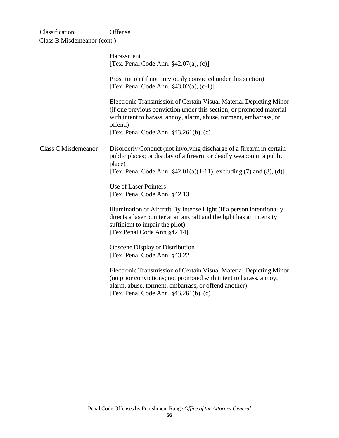| Offense                                                                                                                                                                                                                                                                                                                                                                                                                                                                                                                                                                                                                                                                                                                                                                                                                                 |
|-----------------------------------------------------------------------------------------------------------------------------------------------------------------------------------------------------------------------------------------------------------------------------------------------------------------------------------------------------------------------------------------------------------------------------------------------------------------------------------------------------------------------------------------------------------------------------------------------------------------------------------------------------------------------------------------------------------------------------------------------------------------------------------------------------------------------------------------|
| Class B Misdemeanor (cont.)                                                                                                                                                                                                                                                                                                                                                                                                                                                                                                                                                                                                                                                                                                                                                                                                             |
| Harassment<br>[Tex. Penal Code Ann. $§42.07(a)$ , (c)]                                                                                                                                                                                                                                                                                                                                                                                                                                                                                                                                                                                                                                                                                                                                                                                  |
| Prostitution (if not previously convicted under this section)<br>[Tex. Penal Code Ann. $§43.02(a)$ , (c-1)]                                                                                                                                                                                                                                                                                                                                                                                                                                                                                                                                                                                                                                                                                                                             |
| Electronic Transmission of Certain Visual Material Depicting Minor<br>(if one previous conviction under this section; or promoted material<br>with intent to harass, annoy, alarm, abuse, torment, embarrass, or<br>offend)<br>[Tex. Penal Code Ann. $§43.261(b)$ , (c)]                                                                                                                                                                                                                                                                                                                                                                                                                                                                                                                                                                |
| Disorderly Conduct (not involving discharge of a firearm in certain<br>public places; or display of a firearm or deadly weapon in a public<br>place)<br>[Tex. Penal Code Ann. $\S 42.01(a)(1-11)$ , excluding (7) and (8), (d)]<br>Use of Laser Pointers<br>[Tex. Penal Code Ann. §42.13]<br>Illumination of Aircraft By Intense Light (if a person intentionally<br>directs a laser pointer at an aircraft and the light has an intensity<br>sufficient to impair the pilot)<br>[Tex Penal Code Ann §42.14]<br><b>Obscene Display or Distribution</b><br>[Tex. Penal Code Ann. §43.22]<br>Electronic Transmission of Certain Visual Material Depicting Minor<br>(no prior convictions; not promoted with intent to harass, annoy,<br>alarm, abuse, torment, embarrass, or offend another)<br>[Tex. Penal Code Ann. $§43.261(b)$ , (c)] |
|                                                                                                                                                                                                                                                                                                                                                                                                                                                                                                                                                                                                                                                                                                                                                                                                                                         |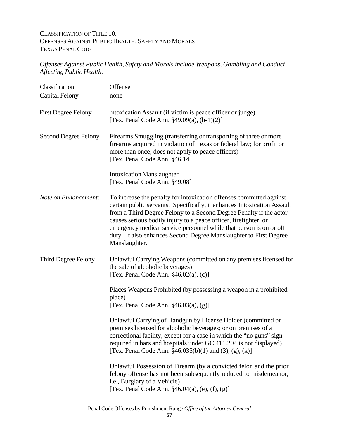# CLASSIFICATION OF TITLE 10. OFFENSES AGAINST PUBLIC HEALTH, SAFETY AND MORALS TEXAS PENAL CODE

## *Offenses Against Public Health, Safety and Morals include Weapons, Gambling and Conduct Affecting Public Health.*

| Classification              | Offense                                                                                                                                                                                                                                                                                                                                                                                                                                              |
|-----------------------------|------------------------------------------------------------------------------------------------------------------------------------------------------------------------------------------------------------------------------------------------------------------------------------------------------------------------------------------------------------------------------------------------------------------------------------------------------|
| <b>Capital Felony</b>       | none                                                                                                                                                                                                                                                                                                                                                                                                                                                 |
| <b>First Degree Felony</b>  | Intoxication Assault (if victim is peace officer or judge)<br>[Tex. Penal Code Ann. §49.09(a), (b-1)(2)]                                                                                                                                                                                                                                                                                                                                             |
| <b>Second Degree Felony</b> | Firearms Smuggling (transferring or transporting of three or more<br>firearms acquired in violation of Texas or federal law; for profit or<br>more than once; does not apply to peace officers)<br>[Tex. Penal Code Ann. §46.14]<br><b>Intoxication Manslaughter</b>                                                                                                                                                                                 |
|                             | [Tex. Penal Code Ann. §49.08]                                                                                                                                                                                                                                                                                                                                                                                                                        |
| Note on Enhancement:        | To increase the penalty for intoxication offenses committed against<br>certain public servants. Specifically, it enhances Intoxication Assault<br>from a Third Degree Felony to a Second Degree Penalty if the actor<br>causes serious bodily injury to a peace officer, firefighter, or<br>emergency medical service personnel while that person is on or off<br>duty. It also enhances Second Degree Manslaughter to First Degree<br>Manslaughter. |
| Third Degree Felony         | Unlawful Carrying Weapons (committed on any premises licensed for<br>the sale of alcoholic beverages)<br>[Tex. Penal Code Ann. $§46.02(a)$ , (c)]                                                                                                                                                                                                                                                                                                    |
|                             | Places Weapons Prohibited (by possessing a weapon in a prohibited<br>place)<br>[Tex. Penal Code Ann. $§46.03(a)$ , $(g)$ ]                                                                                                                                                                                                                                                                                                                           |
|                             | Unlawful Carrying of Handgun by License Holder (committed on<br>premises licensed for alcoholic beverages; or on premises of a<br>correctional facility, except for a case in which the "no guns" sign<br>required in bars and hospitals under GC 411.204 is not displayed)<br>[Tex. Penal Code Ann. $§46.035(b)(1)$ and (3), (g), (k)]                                                                                                              |
|                             | Unlawful Possession of Firearm (by a convicted felon and the prior<br>felony offense has not been subsequently reduced to misdemeanor,<br>i.e., Burglary of a Vehicle)<br>[Tex. Penal Code Ann. $§46.04(a)$ , (e), (f), (g)]                                                                                                                                                                                                                         |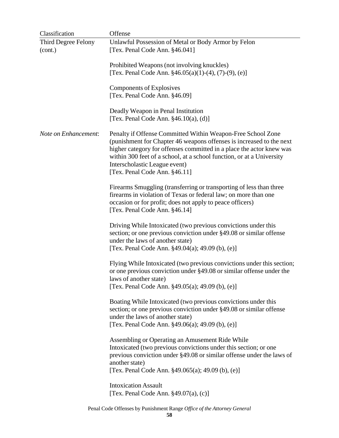| Classification                 | Offense                                                                                                                                                                                                                                                                                                                                                |
|--------------------------------|--------------------------------------------------------------------------------------------------------------------------------------------------------------------------------------------------------------------------------------------------------------------------------------------------------------------------------------------------------|
| Third Degree Felony<br>(cont.) | Unlawful Possession of Metal or Body Armor by Felon<br>[Tex. Penal Code Ann. §46.041]                                                                                                                                                                                                                                                                  |
|                                | Prohibited Weapons (not involving knuckles)<br>[Tex. Penal Code Ann. $\S 46.05(a)(1)-(4)$ , (7)-(9), (e)]                                                                                                                                                                                                                                              |
|                                | Components of Explosives<br>[Tex. Penal Code Ann. §46.09]                                                                                                                                                                                                                                                                                              |
|                                | Deadly Weapon in Penal Institution<br>[Tex. Penal Code Ann. $§46.10(a)$ , (d)]                                                                                                                                                                                                                                                                         |
| Note on Enhancement:           | Penalty if Offense Committed Within Weapon-Free School Zone<br>(punishment for Chapter 46 weapons offenses is increased to the next<br>higher category for offenses committed in a place the actor knew was<br>within 300 feet of a school, at a school function, or at a University<br>Interscholastic League event)<br>[Tex. Penal Code Ann. §46.11] |
|                                | Firearms Smuggling (transferring or transporting of less than three<br>firearms in violation of Texas or federal law; on more than one<br>occasion or for profit; does not apply to peace officers)<br>[Tex. Penal Code Ann. §46.14]                                                                                                                   |
|                                | Driving While Intoxicated (two previous convictions under this<br>section; or one previous conviction under §49.08 or similar offense<br>under the laws of another state)<br>[Tex. Penal Code Ann. §49.04(a); 49.09 (b), (e)]                                                                                                                          |
|                                | Flying While Intoxicated (two previous convictions under this section;<br>or one previous conviction under §49.08 or similar offense under the<br>laws of another state)<br>[Tex. Penal Code Ann. $§49.05(a)$ ; 49.09 (b), (e)]                                                                                                                        |
|                                | Boating While Intoxicated (two previous convictions under this<br>section; or one previous conviction under §49.08 or similar offense<br>under the laws of another state)<br>[Tex. Penal Code Ann. §49.06(a); 49.09 (b), (e)]                                                                                                                          |
|                                | Assembling or Operating an Amusement Ride While<br>Intoxicated (two previous convictions under this section; or one<br>previous conviction under §49.08 or similar offense under the laws of<br>another state)<br>[Tex. Penal Code Ann. §49.065(a); 49.09 (b), (e)]                                                                                    |
|                                | <b>Intoxication Assault</b><br>[Tex. Penal Code Ann. $\S$ 49.07(a), (c)]                                                                                                                                                                                                                                                                               |

Penal Code Offenses by Punishment Range *Office of the Attorney General*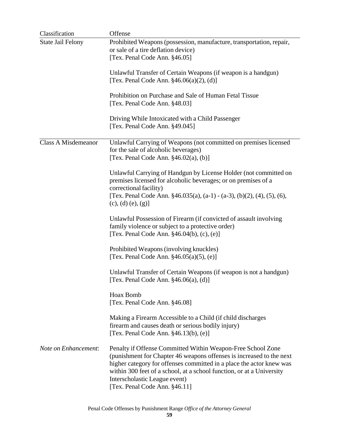| Classification             | Offense                                                                                                                                                                                                                                                                                                                                                |
|----------------------------|--------------------------------------------------------------------------------------------------------------------------------------------------------------------------------------------------------------------------------------------------------------------------------------------------------------------------------------------------------|
| <b>State Jail Felony</b>   | Prohibited Weapons (possession, manufacture, transportation, repair,<br>or sale of a tire deflation device)                                                                                                                                                                                                                                            |
|                            | [Tex. Penal Code Ann. §46.05]                                                                                                                                                                                                                                                                                                                          |
|                            | Unlawful Transfer of Certain Weapons (if weapon is a handgun)                                                                                                                                                                                                                                                                                          |
|                            | [Tex. Penal Code Ann. $§46.06(a)(2)$ , (d)]                                                                                                                                                                                                                                                                                                            |
|                            | Prohibition on Purchase and Sale of Human Fetal Tissue<br>[Tex. Penal Code Ann. §48.03]                                                                                                                                                                                                                                                                |
|                            | Driving While Intoxicated with a Child Passenger<br>[Tex. Penal Code Ann. §49.045]                                                                                                                                                                                                                                                                     |
| <b>Class A Misdemeanor</b> | Unlawful Carrying of Weapons (not committed on premises licensed<br>for the sale of alcoholic beverages)<br>[Tex. Penal Code Ann. $§46.02(a)$ , (b)]                                                                                                                                                                                                   |
|                            | Unlawful Carrying of Handgun by License Holder (not committed on<br>premises licensed for alcoholic beverages; or on premises of a<br>correctional facility)<br>[Tex. Penal Code Ann. $\frac{246.035(a)}{a-1}$ - (a-3), (b)(2), (4), (5), (6),                                                                                                         |
|                            | $(c), (d) (e), (g)$ ]                                                                                                                                                                                                                                                                                                                                  |
|                            | Unlawful Possession of Firearm (if convicted of assault involving<br>family violence or subject to a protective order)<br>[Tex. Penal Code Ann. $§46.04(b)$ , (c), (e)]                                                                                                                                                                                |
|                            | Prohibited Weapons (involving knuckles)<br>[Tex. Penal Code Ann. $§46.05(a)(5)$ , (e)]                                                                                                                                                                                                                                                                 |
|                            | Unlawful Transfer of Certain Weapons (if weapon is not a handgun)<br>[Tex. Penal Code Ann. $§46.06(a)$ , (d)]                                                                                                                                                                                                                                          |
|                            | Hoax Bomb<br>[Tex. Penal Code Ann. §46.08]                                                                                                                                                                                                                                                                                                             |
|                            | Making a Firearm Accessible to a Child (if child discharges<br>firearm and causes death or serious bodily injury)<br>[Tex. Penal Code Ann. §46.13(b), (e)]                                                                                                                                                                                             |
| Note on Enhancement:       | Penalty if Offense Committed Within Weapon-Free School Zone<br>(punishment for Chapter 46 weapons offenses is increased to the next<br>higher category for offenses committed in a place the actor knew was<br>within 300 feet of a school, at a school function, or at a University<br>Interscholastic League event)<br>[Tex. Penal Code Ann. §46.11] |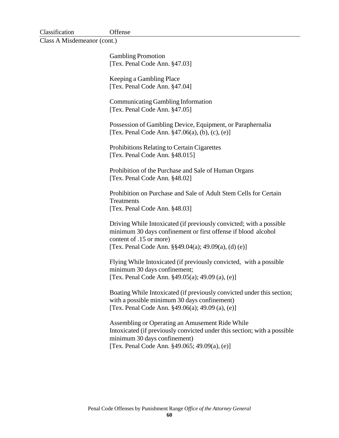| Classification | Offense |
|----------------|---------|
|----------------|---------|

Class A Misdemeanor (cont.)

Gambling Promotion [Tex. Penal Code Ann. §47.03]

 Keeping a Gambling Place [Tex. Penal Code Ann. §47.04]

Communicating Gambling Information [Tex. Penal Code Ann. §47.05]

Possession of Gambling Device, Equipment, or Paraphernalia [Tex. Penal Code Ann. §47.06(a), (b), (c), (e)]

Prohibitions Relating to Certain Cigarettes [Tex. Penal Code Ann. §48.015]

Prohibition of the Purchase and Sale of Human Organs [Tex. Penal Code Ann. §48.02]

Prohibition on Purchase and Sale of Adult Stem Cells for Certain **Treatments** [Tex. Penal Code Ann. §48.03]

Driving While Intoxicated (if previously convicted; with a possible minimum 30 days confinement or first offense if blood alcohol content of .15 or more) [Tex. Penal Code Ann. §§49.04(a); 49.09(a), (d) (e)]

Flying While Intoxicated (if previously convicted, with a possible minimum 30 days confinement; [Tex. Penal Code Ann. §49.05(a); 49.09 (a), (e)]

Boating While Intoxicated (if previously convicted under this section; with a possible minimum 30 days confinement) [Tex. Penal Code Ann. §49.06(a); 49.09 (a), (e)]

Assembling or Operating an Amusement Ride While Intoxicated (if previously convicted under this section; with a possible minimum 30 days confinement) [Tex. Penal Code Ann. §49.065; 49.09(a), (e)]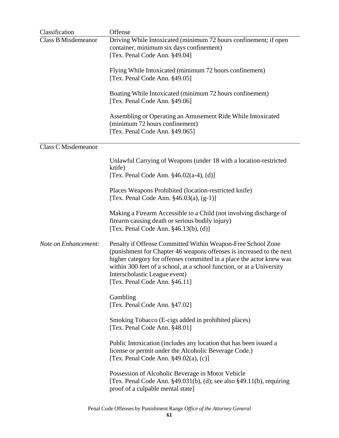| Classification             | Offense                                                                                                                                                                                                                                                                                                                                                |
|----------------------------|--------------------------------------------------------------------------------------------------------------------------------------------------------------------------------------------------------------------------------------------------------------------------------------------------------------------------------------------------------|
| <b>Class B Misdemeanor</b> | Driving While Intoxicated (minimum 72 hours confinement; if open<br>container, minimum six days confinement)                                                                                                                                                                                                                                           |
|                            | [Tex. Penal Code Ann. §49.04]                                                                                                                                                                                                                                                                                                                          |
|                            | Flying While Intoxicated (minimum 72 hours confinement)<br>[Tex. Penal Code Ann. §49.05]                                                                                                                                                                                                                                                               |
|                            |                                                                                                                                                                                                                                                                                                                                                        |
|                            | Boating While Intoxicated (minimum 72 hours confinement)<br>[Tex. Penal Code Ann. §49.06]                                                                                                                                                                                                                                                              |
|                            | Assembling or Operating an Amusement Ride While Intoxicated<br>(minimum 72 hours confinement)                                                                                                                                                                                                                                                          |
|                            | [Tex. Penal Code Ann. §49.065]                                                                                                                                                                                                                                                                                                                         |
| <b>Class C Misdemeanor</b> |                                                                                                                                                                                                                                                                                                                                                        |
|                            | Unlawful Carrying of Weapons (under 18 with a location-restricted<br>knife)                                                                                                                                                                                                                                                                            |
|                            | [Tex. Penal Code Ann. $§46.02(a-4)$ , (d)]                                                                                                                                                                                                                                                                                                             |
|                            | Places Weapons Prohibited (location-restricted knife)<br>[Tex. Penal Code Ann. $§46.03(a)$ , $(g-1)$ ]                                                                                                                                                                                                                                                 |
|                            | Making a Firearm Accessible to a Child (not involving discharge of<br>firearm causing death or serious bodily injury)<br>[Tex. Penal Code Ann. $\S 46.13(b)$ , (d)]                                                                                                                                                                                    |
| Note on Enhancement:       | Penalty if Offense Committed Within Weapon-Free School Zone<br>(punishment for Chapter 46 weapons offenses is increased to the next<br>higher category for offenses committed in a place the actor knew was<br>within 300 feet of a school, at a school function, or at a University<br>Interscholastic League event)<br>[Tex. Penal Code Ann. §46.11] |
|                            | Gambling<br>[Tex. Penal Code Ann. §47.02]                                                                                                                                                                                                                                                                                                              |
|                            | Smoking Tobacco (E-cigs added in prohibited places)<br>[Tex. Penal Code Ann. §48.01]                                                                                                                                                                                                                                                                   |
|                            | Public Intoxication (includes any location that has been issued a<br>license or permit under the Alcoholic Beverage Code.)<br>[Tex. Penal Code Ann. $§49.02(a)$ , (c)]                                                                                                                                                                                 |
|                            | Possession of Alcoholic Beverage in Motor Vehicle<br>[Tex. Penal Code Ann. $\S$ 49.031(b), (d); see also $\S$ 49.11(b), requiring<br>proof of a culpable mental state]                                                                                                                                                                                 |
|                            |                                                                                                                                                                                                                                                                                                                                                        |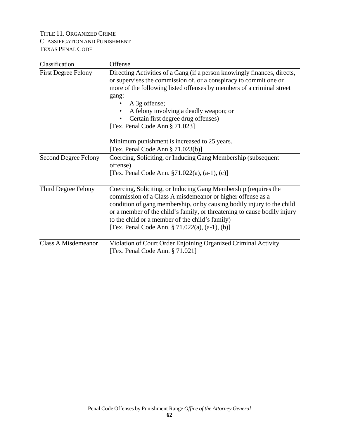## TITLE 11. ORGANIZED CRIME CLASSIFICATION AND PUNISHMENT TEXAS PENAL CODE

| Classification              | Offense                                                                                                                                                                                                                                                                                                                                                                                                                                                           |
|-----------------------------|-------------------------------------------------------------------------------------------------------------------------------------------------------------------------------------------------------------------------------------------------------------------------------------------------------------------------------------------------------------------------------------------------------------------------------------------------------------------|
| <b>First Degree Felony</b>  | Directing Activities of a Gang (if a person knowingly finances, directs,<br>or supervises the commission of, or a conspiracy to commit one or<br>more of the following listed offenses by members of a criminal street<br>gang:<br>A 3g offense;<br>٠<br>A felony involving a deadly weapon; or<br>Certain first degree drug offenses)<br>[Tex. Penal Code Ann § 71.023]<br>Minimum punishment is increased to 25 years.<br>[Tex. Penal Code Ann $\S 71.023(b)$ ] |
| <b>Second Degree Felony</b> | Coercing, Soliciting, or Inducing Gang Membership (subsequent                                                                                                                                                                                                                                                                                                                                                                                                     |
|                             | offense)                                                                                                                                                                                                                                                                                                                                                                                                                                                          |
|                             | [Tex. Penal Code Ann. $\S71.022(a)$ , $(a-1)$ , $(c)$ ]                                                                                                                                                                                                                                                                                                                                                                                                           |
| Third Degree Felony         | Coercing, Soliciting, or Inducing Gang Membership (requires the<br>commission of a Class A misdemeanor or higher offense as a<br>condition of gang membership, or by causing bodily injury to the child<br>or a member of the child's family, or threatening to cause bodily injury<br>to the child or a member of the child's family)<br>[Tex. Penal Code Ann. § 71.022(a), (a-1), (b)]                                                                          |
| <b>Class A Misdemeanor</b>  | Violation of Court Order Enjoining Organized Criminal Activity<br>[Tex. Penal Code Ann. § 71.021]                                                                                                                                                                                                                                                                                                                                                                 |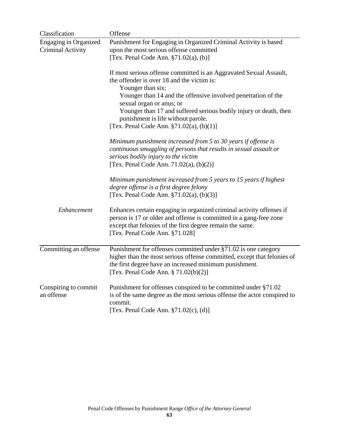| Classification                                           | Offense                                                                                                                                                                                                                                     |
|----------------------------------------------------------|---------------------------------------------------------------------------------------------------------------------------------------------------------------------------------------------------------------------------------------------|
| <b>Engaging in Organized</b><br><b>Criminal Activity</b> | Punishment for Engaging in Organized Criminal Activity is based<br>upon the most serious offense committed<br>[Tex. Penal Code Ann. $\S71.02(a)$ , (b)]                                                                                     |
|                                                          |                                                                                                                                                                                                                                             |
|                                                          | If most serious offense committed is an Aggravated Sexual Assault,<br>the offender is over 18 and the victim is:<br>Younger than six;                                                                                                       |
|                                                          | Younger than 14 and the offensive involved penetration of the<br>sexual organ or anus; or                                                                                                                                                   |
|                                                          | Younger than 17 and suffered serious bodily injury or death, then<br>punishment is life without parole.                                                                                                                                     |
|                                                          | [Tex. Penal Code Ann. $\S71.02(a)$ , (b)(1)]                                                                                                                                                                                                |
|                                                          | Minimum punishment increased from 5 to 30 years if offense is<br>continuous smuggling of persons that results in sexual assault or<br>serious bodily injury to the victim<br>[Tex. Penal Code Ann. $71.02(a)$ , $(b)(2)$ ]                  |
|                                                          | Minimum punishment increased from 5 years to 15 years if highest<br>degree offense is a first degree felony<br>[Tex. Penal Code Ann. $\S71.02(a)$ , (b)(3)]                                                                                 |
| Enhancement                                              | Enhances certain engaging in organized criminal activity offenses if<br>person is 17 or older and offense is committed in a gang-free zone<br>except that felonies of the first degree remain the same.<br>[Tex. Penal Code Ann. §71.028]   |
| Committing an offense                                    | Punishment for offenses committed under §71.02 is one category<br>higher than the most serious offense committed, except that felonies of<br>the first degree have an increased minimum punishment.<br>[Tex. Penal Code Ann. § 71.02(b)(2)] |
| Conspiring to commit<br>an offense                       | Punishment for offenses conspired to be committed under §71.02<br>is of the same degree as the most serious offense the actor conspired to<br>commit.<br>[Tex. Penal Code Ann. $\S71.02(c)$ , (d)]                                          |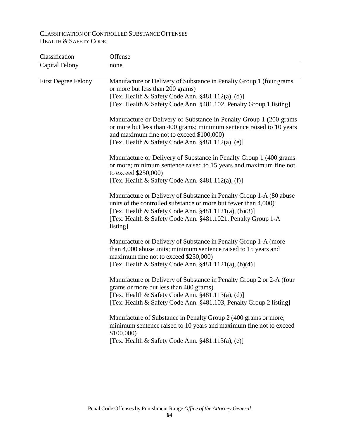# CLASSIFICATION OF CONTROLLED SUBSTANCE OFFENSES HEALTH & SAFETY CODE

| none                                                                                                                                                                                                                                                                             |
|----------------------------------------------------------------------------------------------------------------------------------------------------------------------------------------------------------------------------------------------------------------------------------|
| Manufacture or Delivery of Substance in Penalty Group 1 (four grams<br>or more but less than 200 grams)<br>[Tex. Health & Safety Code Ann. §481.112(a), (d)]                                                                                                                     |
| [Tex. Health & Safety Code Ann. §481.102, Penalty Group 1 listing]                                                                                                                                                                                                               |
| Manufacture or Delivery of Substance in Penalty Group 1 (200 grams<br>or more but less than 400 grams; minimum sentence raised to 10 years<br>and maximum fine not to exceed \$100,000)<br>[Tex. Health & Safety Code Ann. $§481.112(a)$ , (e)]                                  |
| Manufacture or Delivery of Substance in Penalty Group 1 (400 grams)<br>or more; minimum sentence raised to 15 years and maximum fine not<br>to exceed \$250,000)<br>[Tex. Health & Safety Code Ann. §481.112(a), (f)]                                                            |
| Manufacture or Delivery of Substance in Penalty Group 1-A (80 abuse<br>units of the controlled substance or more but fewer than 4,000)<br>[Tex. Health & Safety Code Ann. $\S 481.1121(a)$ , (b)(3)]<br>[Tex. Health & Safety Code Ann. §481.1021, Penalty Group 1-A<br>listing] |
| Manufacture or Delivery of Substance in Penalty Group 1-A (more<br>than 4,000 abuse units; minimum sentence raised to 15 years and<br>maximum fine not to exceed \$250,000)<br>[Tex. Health & Safety Code Ann. $\S 481.1121(a)$ , (b)(4)]                                        |
| Manufacture or Delivery of Substance in Penalty Group 2 or 2-A (four<br>grams or more but less than 400 grams)<br>[Tex. Health & Safety Code Ann. §481.113(a), (d)]<br>[Tex. Health & Safety Code Ann. §481.103, Penalty Group 2 listing]                                        |
| Manufacture of Substance in Penalty Group 2 (400 grams or more;<br>minimum sentence raised to 10 years and maximum fine not to exceed<br>\$100,000)<br>[Tex. Health & Safety Code Ann. $§481.113(a)$ , (e)]                                                                      |
|                                                                                                                                                                                                                                                                                  |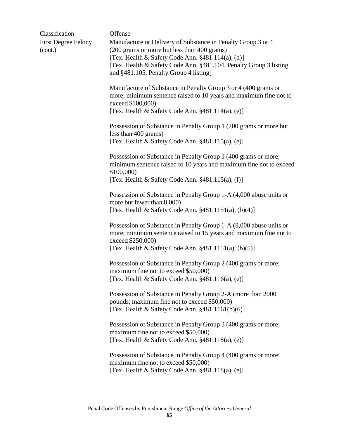| Classification             | Offense                                                                                                                                                             |
|----------------------------|---------------------------------------------------------------------------------------------------------------------------------------------------------------------|
| <b>First Degree Felony</b> | Manufacture or Delivery of Substance in Penalty Group 3 or 4                                                                                                        |
| (cont.)                    | (200 grams or more but less than 400 grams)                                                                                                                         |
|                            | [Tex. Health & Safety Code Ann. $§481.114(a)$ , (d)]                                                                                                                |
|                            | [Tex. Health & Safety Code Ann. §481.104, Penalty Group 3 listing                                                                                                   |
|                            | and §481.105, Penalty Group 4 listing]                                                                                                                              |
|                            | Manufacture of Substance in Penalty Group 3 or 4 (400 grams or                                                                                                      |
|                            | more; minimum sentence raised to 10 years and maximum fine not to<br>exceed \$100,000)                                                                              |
|                            | [Tex. Health & Safety Code Ann. $§481.114(a)$ , (e)]                                                                                                                |
|                            | Possession of Substance in Penalty Group 1 (200 grams or more but                                                                                                   |
|                            | less than 400 grams)<br>[Tex. Health & Safety Code Ann. $§481.115(a)$ , (e)]                                                                                        |
|                            | Possession of Substance in Penalty Group 1 (400 grams or more;                                                                                                      |
|                            | minimum sentence raised to 10 years and maximum fine not to exceed<br>\$100,000                                                                                     |
|                            | [Tex. Health & Safety Code Ann. $\S 481.115(a)$ , (f)]                                                                                                              |
|                            | Possession of Substance in Penalty Group 1-A (4,000 abuse units or<br>more but fewer than 8,000)                                                                    |
|                            | [Tex. Health & Safety Code Ann. $\S 481.1151(a)$ , (b)(4)]                                                                                                          |
|                            | Possession of Substance in Penalty Group 1-A (8,000 abuse units or<br>more; minimum sentence raised to 15 years and maximum fine not to<br>exceed \$250,000)        |
|                            | [Tex. Health & Safety Code Ann. $§481.1151(a)$ , $(b)(5)$ ]                                                                                                         |
|                            | Possession of Substance in Penalty Group 2 (400 grams or more;<br>maximum fine not to exceed \$50,000)                                                              |
|                            | [Tex. Health & Safety Code Ann. §481.116(a), (e)]                                                                                                                   |
|                            | Possession of Substance in Penalty Group 2-A (more than 2000)<br>pounds; maximum fine not to exceed \$50,000)<br>[Tex. Health & Safety Code Ann. $§481.1161(b)(6)]$ |
|                            |                                                                                                                                                                     |
|                            | Possession of Substance in Penalty Group 3 (400 grams or more;                                                                                                      |
|                            | maximum fine not to exceed \$50,000)<br>[Tex. Health & Safety Code Ann. §481.118(a), (e)]                                                                           |
|                            | Possession of Substance in Penalty Group 4 (400 grams or more;<br>maximum fine not to exceed \$50,000)                                                              |
|                            | [Tex. Health & Safety Code Ann. $§481.118(a)$ , (e)]                                                                                                                |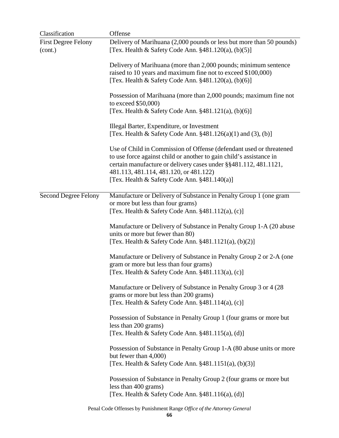| Classification                        | Offense                                                                                                                                                                                                                                                                                                     |
|---------------------------------------|-------------------------------------------------------------------------------------------------------------------------------------------------------------------------------------------------------------------------------------------------------------------------------------------------------------|
| <b>First Degree Felony</b><br>(cont.) | Delivery of Marihuana (2,000 pounds or less but more than 50 pounds)<br>[Tex. Health & Safety Code Ann. $§481.120(a)$ , $(b)(5)$ ]                                                                                                                                                                          |
|                                       | Delivery of Marihuana (more than 2,000 pounds; minimum sentence<br>raised to 10 years and maximum fine not to exceed \$100,000)<br>[Tex. Health & Safety Code Ann. $§481.120(a), (b)(6)]$                                                                                                                   |
|                                       | Possession of Marihuana (more than 2,000 pounds; maximum fine not<br>to exceed $$50,000$<br>[Tex. Health & Safety Code Ann. $§481.121(a)$ , $(b)(6)$ ]                                                                                                                                                      |
|                                       |                                                                                                                                                                                                                                                                                                             |
|                                       | Illegal Barter, Expenditure, or Investment<br>[Tex. Health & Safety Code Ann. $§481.126(a)(1)$ and (3), (b)]                                                                                                                                                                                                |
|                                       | Use of Child in Commission of Offense (defendant used or threatened<br>to use force against child or another to gain child's assistance in<br>certain manufacture or delivery cases under §§481.112, 481.1121,<br>481.113, 481.114, 481.120, or 481.122)<br>[Tex. Health & Safety Code Ann. $§481.140(a)$ ] |
|                                       |                                                                                                                                                                                                                                                                                                             |
| <b>Second Degree Felony</b>           | Manufacture or Delivery of Substance in Penalty Group 1 (one gram<br>or more but less than four grams)<br>[Tex. Health & Safety Code Ann. $§481.112(a)$ , (c)]                                                                                                                                              |
|                                       | Manufacture or Delivery of Substance in Penalty Group 1-A (20 abuse)<br>units or more but fewer than 80)<br>[Tex. Health & Safety Code Ann. §481.1121(a), (b)(2)]                                                                                                                                           |
|                                       | Manufacture or Delivery of Substance in Penalty Group 2 or 2-A (one<br>gram or more but less than four grams)<br>[Tex. Health & Safety Code Ann. $§481.113(a)$ , (c)]                                                                                                                                       |
|                                       | Manufacture or Delivery of Substance in Penalty Group 3 or 4 (28)<br>grams or more but less than 200 grams)<br>[Tex. Health & Safety Code Ann. $§481.114(a)$ , (c)]                                                                                                                                         |
|                                       | Possession of Substance in Penalty Group 1 (four grams or more but<br>less than 200 grams)<br>[Tex. Health & Safety Code Ann. $§481.115(a)$ , (d)]                                                                                                                                                          |
|                                       | Possession of Substance in Penalty Group 1-A (80 abuse units or more<br>but fewer than 4,000)<br>[Tex. Health & Safety Code Ann. $§481.1151(a)$ , $(b)(3)$ ]                                                                                                                                                |
|                                       | Possession of Substance in Penalty Group 2 (four grams or more but<br>less than 400 grams)<br>[Tex. Health & Safety Code Ann. §481.116(a), (d)]                                                                                                                                                             |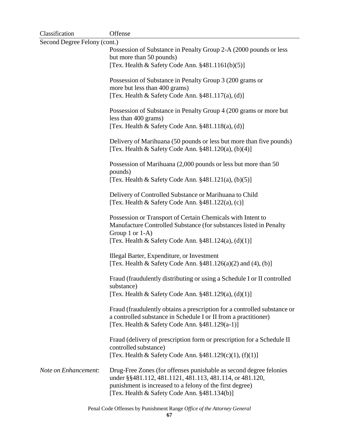| Classification               | Offense                                                                                                                                                                                                                                    |  |
|------------------------------|--------------------------------------------------------------------------------------------------------------------------------------------------------------------------------------------------------------------------------------------|--|
| Second Degree Felony (cont.) |                                                                                                                                                                                                                                            |  |
|                              | Possession of Substance in Penalty Group 2-A (2000 pounds or less<br>but more than 50 pounds)                                                                                                                                              |  |
|                              | [Tex. Health & Safety Code Ann. $§481.1161(b)(5)]$                                                                                                                                                                                         |  |
|                              | Possession of Substance in Penalty Group 3 (200 grams or<br>more but less than 400 grams)                                                                                                                                                  |  |
|                              | [Tex. Health & Safety Code Ann. §481.117(a), (d)]                                                                                                                                                                                          |  |
|                              | Possession of Substance in Penalty Group 4 (200 grams or more but<br>less than 400 grams)                                                                                                                                                  |  |
|                              | [Tex. Health & Safety Code Ann. §481.118(a), (d)]                                                                                                                                                                                          |  |
|                              | Delivery of Marihuana (50 pounds or less but more than five pounds)<br>[Tex. Health & Safety Code Ann. $§481.120(a)$ , (b)(4)]                                                                                                             |  |
|                              | Possession of Marihuana (2,000 pounds or less but more than 50<br>pounds)                                                                                                                                                                  |  |
|                              | [Tex. Health & Safety Code Ann. $§481.121(a)$ , $(b)(5)$ ]                                                                                                                                                                                 |  |
|                              | Delivery of Controlled Substance or Marihuana to Child<br>[Tex. Health & Safety Code Ann. $§481.122(a)$ , (c)]                                                                                                                             |  |
|                              | Possession or Transport of Certain Chemicals with Intent to<br>Manufacture Controlled Substance (for substances listed in Penalty<br>Group 1 or 1-A)<br>[Tex. Health & Safety Code Ann. $\S 481.124(a)$ , (d)(1)]                          |  |
|                              |                                                                                                                                                                                                                                            |  |
|                              | Illegal Barter, Expenditure, or Investment<br>[Tex. Health & Safety Code Ann. $\S 481.126(a)(2)$ and (4), (b)]                                                                                                                             |  |
|                              | Fraud (fraudulently distributing or using a Schedule I or II controlled<br>substance)<br>[Tex. Health & Safety Code Ann. $§481.129(a)$ , (d)(1)]                                                                                           |  |
|                              |                                                                                                                                                                                                                                            |  |
|                              | Fraud (fraudulently obtains a prescription for a controlled substance or<br>a controlled substance in Schedule I or II from a practitioner)<br>[Tex. Health & Safety Code Ann. §481.129(a-1)]                                              |  |
|                              | Fraud (delivery of prescription form or prescription for a Schedule II<br>controlled substance)<br>[Tex. Health & Safety Code Ann. §481.129(c)(1), (f)(1)]                                                                                 |  |
| Note on Enhancement:         | Drug-Free Zones (for offenses punishable as second degree felonies<br>under §§481.112, 481.1121, 481.113, 481.114, or 481.120,<br>punishment is increased to a felony of the first degree)<br>[Tex. Health & Safety Code Ann. §481.134(b)] |  |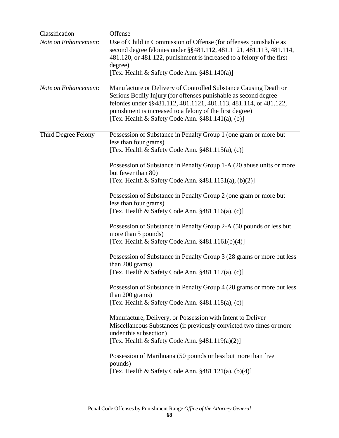| Classification       | Offense                                                                                                                                                                                                                                                                                                                      |
|----------------------|------------------------------------------------------------------------------------------------------------------------------------------------------------------------------------------------------------------------------------------------------------------------------------------------------------------------------|
| Note on Enhancement: | Use of Child in Commission of Offense (for offenses punishable as<br>second degree felonies under §§481.112, 481.1121, 481.113, 481.114,<br>481.120, or 481.122, punishment is increased to a felony of the first<br>degree)<br>[Tex. Health & Safety Code Ann. §481.140(a)]                                                 |
| Note on Enhancement: | Manufacture or Delivery of Controlled Substance Causing Death or<br>Serious Bodily Injury (for offenses punishable as second degree<br>felonies under §§481.112, 481.1121, 481.113, 481.114, or 481.122,<br>punishment is increased to a felony of the first degree)<br>[Tex. Health & Safety Code Ann. $§481.141(a)$ , (b)] |
| Third Degree Felony  | Possession of Substance in Penalty Group 1 (one gram or more but<br>less than four grams)<br>[Tex. Health & Safety Code Ann. §481.115(a), (c)]                                                                                                                                                                               |
|                      | Possession of Substance in Penalty Group 1-A (20 abuse units or more<br>but fewer than 80)<br>[Tex. Health & Safety Code Ann. $\S 481.1151(a)$ , (b)(2)]                                                                                                                                                                     |
|                      | Possession of Substance in Penalty Group 2 (one gram or more but<br>less than four grams)<br>[Tex. Health & Safety Code Ann. $§481.116(a)$ , (c)]                                                                                                                                                                            |
|                      | Possession of Substance in Penalty Group 2-A (50 pounds or less but<br>more than 5 pounds)<br>[Tex. Health & Safety Code Ann. $§481.1161(b)(4)]$                                                                                                                                                                             |
|                      | Possession of Substance in Penalty Group 3 (28 grams or more but less<br>than 200 grams)<br>[Tex. Health & Safety Code Ann. $§481.117(a)$ , (c)]                                                                                                                                                                             |
|                      | Possession of Substance in Penalty Group 4 (28 grams or more but less<br>than 200 grams)<br>[Tex. Health & Safety Code Ann. §481.118(a), (c)]                                                                                                                                                                                |
|                      | Manufacture, Delivery, or Possession with Intent to Deliver<br>Miscellaneous Substances (if previously convicted two times or more<br>under this subsection)<br>[Tex. Health & Safety Code Ann. $§481.119(a)(2)]$                                                                                                            |
|                      | Possession of Marihuana (50 pounds or less but more than five<br>pounds)<br>[Tex. Health & Safety Code Ann. $§481.121(a)$ , $(b)(4)]$                                                                                                                                                                                        |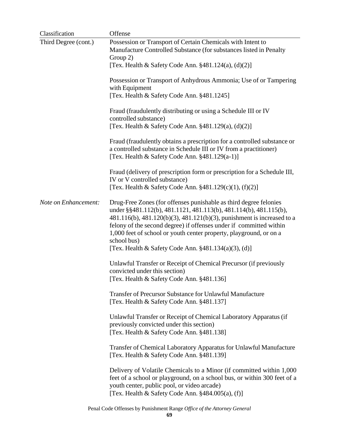| Classification       | Offense                                                                                                                                                                                                                                                                                                                                                                                                                                                                                                                                                                                                                                                                                            |
|----------------------|----------------------------------------------------------------------------------------------------------------------------------------------------------------------------------------------------------------------------------------------------------------------------------------------------------------------------------------------------------------------------------------------------------------------------------------------------------------------------------------------------------------------------------------------------------------------------------------------------------------------------------------------------------------------------------------------------|
| Third Degree (cont.) | Possession or Transport of Certain Chemicals with Intent to<br>Manufacture Controlled Substance (for substances listed in Penalty<br>Group 2)<br>[Tex. Health & Safety Code Ann. $§481.124(a), (d)(2)]$<br>Possession or Transport of Anhydrous Ammonia; Use of or Tampering<br>with Equipment<br>[Tex. Health & Safety Code Ann. §481.1245]<br>Fraud (fraudulently distributing or using a Schedule III or IV<br>controlled substance)<br>[Tex. Health & Safety Code Ann. §481.129(a), (d)(2)]<br>Fraud (fraudulently obtains a prescription for a controlled substance or<br>a controlled substance in Schedule III or IV from a practitioner)<br>[Tex. Health & Safety Code Ann. §481.129(a-1)] |
|                      | Fraud (delivery of prescription form or prescription for a Schedule III,<br>IV or V controlled substance)<br>[Tex. Health & Safety Code Ann. $§481.129(c)(1)$ , (f)(2)]                                                                                                                                                                                                                                                                                                                                                                                                                                                                                                                            |
| Note on Enhancement: | Drug-Free Zones (for offenses punishable as third degree felonies<br>under §§481.112(b), 481.1121, 481.113(b), 481.114(b), 481.115(b),<br>481.116(b), 481.120(b)(3), 481.121(b)(3), punishment is increased to a<br>felony of the second degree) if offenses under if committed within<br>1,000 feet of school or youth center property, playground, or on a<br>school bus)<br>[Tex. Health & Safety Code Ann. $\S 481.134(a)(3)$ , (d)]                                                                                                                                                                                                                                                           |
|                      | Unlawful Transfer or Receipt of Chemical Precursor (if previously<br>convicted under this section)<br>[Tex. Health & Safety Code Ann. §481.136]                                                                                                                                                                                                                                                                                                                                                                                                                                                                                                                                                    |
|                      | <b>Transfer of Precursor Substance for Unlawful Manufacture</b><br>[Tex. Health & Safety Code Ann. §481.137]                                                                                                                                                                                                                                                                                                                                                                                                                                                                                                                                                                                       |
|                      | Unlawful Transfer or Receipt of Chemical Laboratory Apparatus (if<br>previously convicted under this section)<br>[Tex. Health & Safety Code Ann. §481.138]                                                                                                                                                                                                                                                                                                                                                                                                                                                                                                                                         |
|                      | Transfer of Chemical Laboratory Apparatus for Unlawful Manufacture<br>[Tex. Health & Safety Code Ann. §481.139]                                                                                                                                                                                                                                                                                                                                                                                                                                                                                                                                                                                    |
|                      | Delivery of Volatile Chemicals to a Minor (if committed within 1,000)<br>feet of a school or playground, on a school bus, or within 300 feet of a<br>youth center, public pool, or video arcade)<br>[Tex. Health & Safety Code Ann. $§484.005(a)$ , (f)]                                                                                                                                                                                                                                                                                                                                                                                                                                           |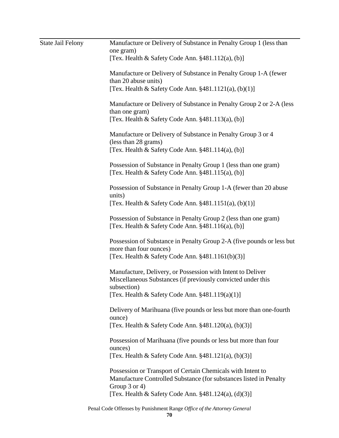| <b>State Jail Felony</b> | Manufacture or Delivery of Substance in Penalty Group 1 (less than<br>one gram)                                                              |
|--------------------------|----------------------------------------------------------------------------------------------------------------------------------------------|
|                          | [Tex. Health & Safety Code Ann. $§481.112(a)$ , (b)]                                                                                         |
|                          | Manufacture or Delivery of Substance in Penalty Group 1-A (fewer<br>than 20 abuse units)                                                     |
|                          | [Tex. Health & Safety Code Ann. $§481.1121(a), (b)(1)]$                                                                                      |
|                          | Manufacture or Delivery of Substance in Penalty Group 2 or 2-A (less<br>than one gram)                                                       |
|                          | [Tex. Health & Safety Code Ann. $§481.113(a)$ , (b)]                                                                                         |
|                          | Manufacture or Delivery of Substance in Penalty Group 3 or 4<br>(less than 28 grams)<br>[Tex. Health & Safety Code Ann. $§481.114(a)$ , (b)] |
|                          |                                                                                                                                              |
|                          | Possession of Substance in Penalty Group 1 (less than one gram)<br>[Tex. Health & Safety Code Ann. $§481.115(a)$ , (b)]                      |
|                          | Possession of Substance in Penalty Group 1-A (fewer than 20 abuse)<br>units)                                                                 |
|                          | [Tex. Health & Safety Code Ann. $§481.1151(a), (b)(1)]$ ]                                                                                    |
|                          | Possession of Substance in Penalty Group 2 (less than one gram)<br>[Tex. Health & Safety Code Ann. $§481.116(a)$ , (b)]                      |
|                          | Possession of Substance in Penalty Group 2-A (five pounds or less but<br>more than four ounces)                                              |
|                          | [Tex. Health & Safety Code Ann. $§481.1161(b)(3)]$ ]                                                                                         |
|                          | Manufacture, Delivery, or Possession with Intent to Deliver<br>Miscellaneous Substances (if previously convicted under this                  |
|                          | subsection)<br>[Tex. Health & Safety Code Ann. $§481.119(a)(1)]$                                                                             |
|                          | Delivery of Marihuana (five pounds or less but more than one-fourth<br>ounce)                                                                |
|                          | [Tex. Health & Safety Code Ann. $§481.120(a)$ , $(b)(3)$ ]                                                                                   |
|                          | Possession of Marihuana (five pounds or less but more than four<br>ounces)                                                                   |
|                          | [Tex. Health & Safety Code Ann. $§481.121(a), (b)(3)]$                                                                                       |
|                          | Possession or Transport of Certain Chemicals with Intent to<br>Manufacture Controlled Substance (for substances listed in Penalty            |
|                          | Group 3 or 4)<br>[Tex. Health & Safety Code Ann. $\S 481.124(a)$ , (d)(3)]                                                                   |
|                          | Penal Code Offenses by Punishment Range Office of the Attorney General                                                                       |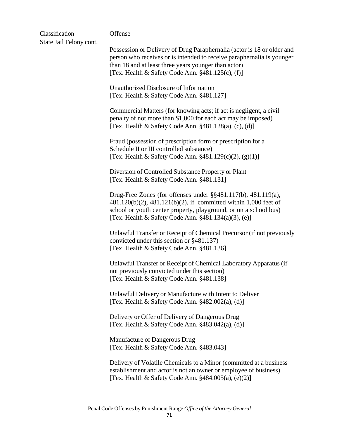| Classification          | Offense                                                                                                                                                                                                                                                          |
|-------------------------|------------------------------------------------------------------------------------------------------------------------------------------------------------------------------------------------------------------------------------------------------------------|
| State Jail Felony cont. | Possession or Delivery of Drug Paraphernalia (actor is 18 or older and<br>person who receives or is intended to receive paraphernalia is younger<br>than 18 and at least three years younger than actor)<br>[Tex. Health & Safety Code Ann. $§481.125(c)$ , (f)] |
|                         | Unauthorized Disclosure of Information<br>[Tex. Health & Safety Code Ann. §481.127]                                                                                                                                                                              |
|                         | Commercial Matters (for knowing acts; if act is negligent, a civil<br>penalty of not more than \$1,000 for each act may be imposed)<br>[Tex. Health & Safety Code Ann. $§481.128(a)$ , (c), (d)]                                                                 |
|                         | Fraud (possession of prescription form or prescription for a<br>Schedule II or III controlled substance)<br>[Tex. Health & Safety Code Ann. $§481.129(c)(2), (g)(1)]$                                                                                            |
|                         | Diversion of Controlled Substance Property or Plant<br>[Tex. Health & Safety Code Ann. §481.131]                                                                                                                                                                 |
|                         | Drug-Free Zones (for offenses under §§481.117(b), 481.119(a),<br>481.120(b)(2), 481.121(b)(2), if committed within 1,000 feet of<br>school or youth center property, playground, or on a school bus)<br>[Tex. Health & Safety Code Ann. §481.134(a)(3), (e)]     |
|                         | Unlawful Transfer or Receipt of Chemical Precursor (if not previously<br>convicted under this section or §481.137)<br>[Tex. Health & Safety Code Ann. §481.136]                                                                                                  |
|                         | Unlawful Transfer or Receipt of Chemical Laboratory Apparatus (if<br>not previously convicted under this section)<br>[Tex. Health & Safety Code Ann. §481.138]                                                                                                   |
|                         | Unlawful Delivery or Manufacture with Intent to Deliver<br>[Tex. Health & Safety Code Ann. $§482.002(a)$ , (d)]                                                                                                                                                  |
|                         | Delivery or Offer of Delivery of Dangerous Drug<br>[Tex. Health & Safety Code Ann. $§483.042(a)$ , (d)]                                                                                                                                                          |
|                         | Manufacture of Dangerous Drug<br>[Tex. Health & Safety Code Ann. §483.043]                                                                                                                                                                                       |
|                         | Delivery of Volatile Chemicals to a Minor (committed at a business<br>establishment and actor is not an owner or employee of business)<br>[Tex. Health & Safety Code Ann. $§484.005(a)$ , (e)(2)]                                                                |
|                         |                                                                                                                                                                                                                                                                  |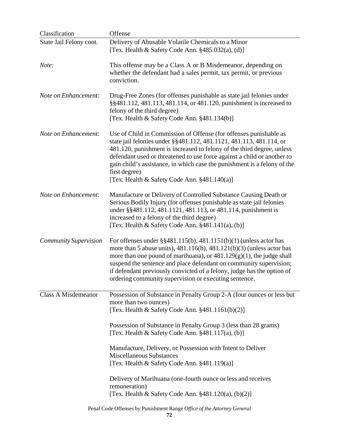| Classification               | Offense                                                                                                                                                                                                                                                                                                                                                                                                                                       |
|------------------------------|-----------------------------------------------------------------------------------------------------------------------------------------------------------------------------------------------------------------------------------------------------------------------------------------------------------------------------------------------------------------------------------------------------------------------------------------------|
| State Jail Felony cont.      | Delivery of Abusable Volatile Chemicals to a Minor<br>[Tex. Health & Safety Code Ann. $§485.032(a)$ , (d)]                                                                                                                                                                                                                                                                                                                                    |
| Note:                        | This offense may be a Class A or B Misdemeanor, depending on<br>whether the defendant had a sales permit, tax permit, or previous<br>conviction.                                                                                                                                                                                                                                                                                              |
| Note on Enhancement:         | Drug-Free Zones (for offenses punishable as state jail felonies under<br>§§481.112, 481.113, 481.114, or 481.120, punishment is increased to<br>felony of the third degree)<br>[Tex. Health & Safety Code Ann. §481.134(b)]                                                                                                                                                                                                                   |
| Note on Enhancement:         | Use of Child in Commission of Offense (for offenses punishable as<br>state jail felonies under §§481.112, 481.1121, 481.113, 481.114, or<br>481.120, punishment is increased to felony of the third degree, unless<br>defendant used or threatened to use force against a child or another to<br>gain child's assistance, in which case the punishment is a felony of the<br>first degree)<br>[Tex. Health & Safety Code Ann. $§481.140(a)$ ] |
| Note on Enhancement:         | Manufacture or Delivery of Controlled Substance Causing Death or<br>Serious Bodily Injury (for offenses punishable as state jail felonies<br>under §§481.112, 481.1121, 481.113, or 481.114, punishment is<br>increased to a felony of the third degree)<br>[Tex. Health & Safety Code Ann. $§481.141(a)$ , (b)]                                                                                                                              |
| <b>Community Supervision</b> | For offenses under $\S$ §481.115(b), 481.1151(b)(1) (unless actor has<br>more than 5 abuse units), $481.116(b)$ , $481.121(b)(3)$ (unless actor has<br>more than one pound of marihuana), or $481.129(g)(1)$ , the judge shall<br>suspend the sentence and place defendant on community supervision;<br>if defendant previously convicted of a felony, judge has the option of<br>ordering community supervision or executing sentence.       |
| <b>Class A Misdemeanor</b>   | Possession of Substance in Penalty Group 2-A (four ounces or less but<br>more than two ounces)<br>[Tex. Health & Safety Code Ann. $§481.1161(b)(2)]$                                                                                                                                                                                                                                                                                          |
|                              | Possession of Substance in Penalty Group 3 (less than 28 grams)<br>[Tex. Health & Safety Code Ann. $§481.117(a)$ , (b)]                                                                                                                                                                                                                                                                                                                       |
|                              | Manufacture, Delivery, or Possession with Intent to Deliver<br><b>Miscellaneous Substances</b><br>[Tex. Health & Safety Code Ann. §481.119(a)]                                                                                                                                                                                                                                                                                                |
|                              | Delivery of Marihuana (one-fourth ounce or less and receives<br>remuneration)<br>[Tex. Health & Safety Code Ann. $§481.120(a), (b)(2)]$                                                                                                                                                                                                                                                                                                       |
|                              |                                                                                                                                                                                                                                                                                                                                                                                                                                               |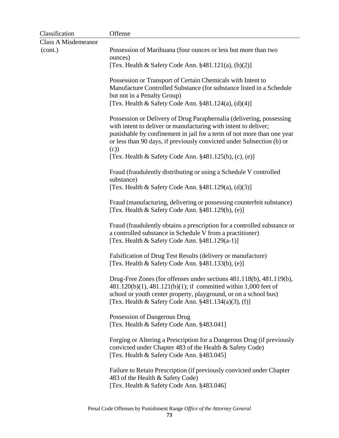| Classification             | Offense                                                                                                                                                                                                                                                                                           |
|----------------------------|---------------------------------------------------------------------------------------------------------------------------------------------------------------------------------------------------------------------------------------------------------------------------------------------------|
| <b>Class A Misdemeanor</b> |                                                                                                                                                                                                                                                                                                   |
| (cont.)                    | Possession of Marihuana (four ounces or less but more than two<br>ounces)                                                                                                                                                                                                                         |
|                            | [Tex. Health & Safety Code Ann. $§481.121(a), (b)(2)]$                                                                                                                                                                                                                                            |
|                            | Possession or Transport of Certain Chemicals with Intent to<br>Manufacture Controlled Substance (for substance listed in a Schedule<br>but not in a Penalty Group)<br>[Tex. Health & Safety Code Ann. $§481.124(a), (d)(4)]$                                                                      |
|                            | Possession or Delivery of Drug Paraphernalia (delivering, possessing<br>with intent to deliver or manufacturing with intent to deliver;<br>punishable by confinement in jail for a term of not more than one year<br>or less than 90 days, if previously convicted under Subsection (b) or<br>(c) |
|                            | [Tex. Health & Safety Code Ann. $§481.125(b)$ , (c), (e)]                                                                                                                                                                                                                                         |
|                            | Fraud (fraudulently distributing or using a Schedule V controlled<br>substance)<br>[Tex. Health & Safety Code Ann. $\S 481.129(a)$ , (d)(3)]                                                                                                                                                      |
|                            | Fraud (manufacturing, delivering or possessing counterfeit substance)<br>[Tex. Health & Safety Code Ann. §481.129(b), (e)]                                                                                                                                                                        |
|                            | Fraud (fraudulently obtains a prescription for a controlled substance or<br>a controlled substance in Schedule V from a practitioner)<br>[Tex. Health & Safety Code Ann. $§481.129(a-1)]$ ]                                                                                                       |
|                            | Falsification of Drug Test Results (delivery or manufacture)<br>[Tex. Health & Safety Code Ann. §481.133(b), (e)]                                                                                                                                                                                 |
|                            | Drug-Free Zones (for offenses under sections 481.118(b), 481.119(b),<br>481.120(b)(1), 481.121(b)(1); if committed within 1,000 feet of<br>school or youth center property, playground, or on a school bus)<br>[Tex. Health & Safety Code Ann. $\S 481.134(a)(3)$ , (f)]                          |
|                            | Possession of Dangerous Drug<br>[Tex. Health & Safety Code Ann. §483.041]                                                                                                                                                                                                                         |
|                            | Forging or Altering a Prescription for a Dangerous Drug (if previously<br>convicted under Chapter 483 of the Health & Safety Code)<br>[Tex. Health & Safety Code Ann. §483.045]                                                                                                                   |
|                            | Failure to Retain Prescription (if previously convicted under Chapter<br>483 of the Health & Safety Code)<br>[Tex. Health & Safety Code Ann. §483.046]                                                                                                                                            |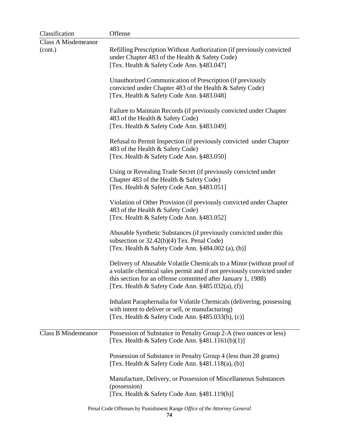| Classification             | Offense                                                                                                                                                                                                                                                                |
|----------------------------|------------------------------------------------------------------------------------------------------------------------------------------------------------------------------------------------------------------------------------------------------------------------|
| <b>Class A Misdemeanor</b> |                                                                                                                                                                                                                                                                        |
| (cont.)                    | Refilling Prescription Without Authorization (if previously convicted<br>under Chapter 483 of the Health & Safety Code)                                                                                                                                                |
|                            | [Tex. Health & Safety Code Ann. §483.047]                                                                                                                                                                                                                              |
|                            | Unauthorized Communication of Prescription (if previously<br>convicted under Chapter 483 of the Health & Safety Code)                                                                                                                                                  |
|                            | [Tex. Health & Safety Code Ann. §483.048]                                                                                                                                                                                                                              |
|                            | Failure to Maintain Records (if previously convicted under Chapter<br>483 of the Health & Safety Code)<br>[Tex. Health & Safety Code Ann. §483.049]                                                                                                                    |
|                            |                                                                                                                                                                                                                                                                        |
|                            | Refusal to Permit Inspection (if previously convicted under Chapter<br>483 of the Health & Safety Code)                                                                                                                                                                |
|                            | [Tex. Health & Safety Code Ann. §483.050]                                                                                                                                                                                                                              |
|                            | Using or Revealing Trade Secret (if previously convicted under<br>Chapter 483 of the Health & Safety Code)<br>[Tex. Health & Safety Code Ann. §483.051]                                                                                                                |
|                            | Violation of Other Provision (if previously convicted under Chapter                                                                                                                                                                                                    |
|                            | 483 of the Health & Safety Code)<br>[Tex. Health & Safety Code Ann. §483.052]                                                                                                                                                                                          |
|                            | Abusable Synthetic Substances (if previously convicted under this<br>subsection or $32.42(b)(4)$ Tex. Penal Code)<br>[Tex. Health $\&$ Safety Code Ann. $§484.002$ (a), (b)]                                                                                           |
|                            | Delivery of Abusable Volatile Chemicals to a Minor (without proof of<br>a volatile chemical sales permit and if not previously convicted under<br>this section for an offense committed after January 1, 1988)<br>[Tex. Health & Safety Code Ann. $§485.032(a)$ , (f)] |
|                            | Inhalant Paraphernalia for Volatile Chemicals (delivering, possessing<br>with intent to deliver or sell, or manufacturing)<br>[Tex. Health & Safety Code Ann. §485.033(b), (c)]                                                                                        |
|                            |                                                                                                                                                                                                                                                                        |
| <b>Class B Misdemeanor</b> | Possession of Substance in Penalty Group 2-A (two ounces or less)<br>[Tex. Health & Safety Code Ann. $§481.1161(b)(1)]$                                                                                                                                                |
|                            | Possession of Substance in Penalty Group 4 (less than 28 grams)<br>[Tex. Health & Safety Code Ann. §481.118(a), (b)]                                                                                                                                                   |
|                            | Manufacture, Delivery, or Possession of Miscellaneous Substances<br>(possession)                                                                                                                                                                                       |
|                            | [Tex. Health & Safety Code Ann. §481.119(b)]                                                                                                                                                                                                                           |

Penal Code Offenses by Punishment Range *Office of the Attorney General* **74**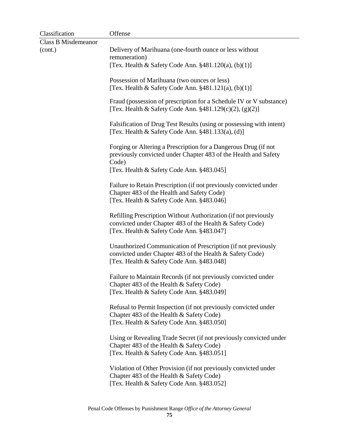| Classification             | Offense                                                                                                                                                                  |
|----------------------------|--------------------------------------------------------------------------------------------------------------------------------------------------------------------------|
| <b>Class B Misdemeanor</b> |                                                                                                                                                                          |
| (cont.)                    | Delivery of Marihuana (one-fourth ounce or less without<br>remuneration)                                                                                                 |
|                            | [Tex. Health & Safety Code Ann. $§481.120(a), (b)(1)]$                                                                                                                   |
|                            | Possession of Marihuana (two ounces or less)<br>[Tex. Health & Safety Code Ann. $\S 481.121(a)$ , (b)(1)]                                                                |
|                            | Fraud (possession of prescription for a Schedule IV or V substance)<br>[Tex. Health & Safety Code Ann. §481.129(c)(2), (g)(2)]                                           |
|                            | Falsification of Drug Test Results (using or possessing with intent)<br>[Tex. Health & Safety Code Ann. $§481.133(a), (d)]$                                              |
|                            | Forging or Altering a Prescription for a Dangerous Drug (if not<br>previously convicted under Chapter 483 of the Health and Safety<br>Code)                              |
|                            | [Tex. Health & Safety Code Ann. §483.045]                                                                                                                                |
|                            | Failure to Retain Prescription (if not previously convicted under<br>Chapter 483 of the Health and Safety Code)<br>[Tex. Health & Safety Code Ann. §483.046]             |
|                            | Refilling Prescription Without Authorization (if not previously<br>convicted under Chapter 483 of the Health & Safety Code)<br>[Tex. Health & Safety Code Ann. §483.047] |
|                            | Unauthorized Communication of Prescription (if not previously<br>convicted under Chapter 483 of the Health & Safety Code)<br>[Tex. Health & Safety Code Ann. §483.048]   |
|                            | Failure to Maintain Records (if not previously convicted under<br>Chapter 483 of the Health & Safety Code)<br>[Tex. Health & Safety Code Ann. §483.049]                  |
|                            | Refusal to Permit Inspection (if not previously convicted under<br>Chapter 483 of the Health & Safety Code)<br>[Tex. Health & Safety Code Ann. §483.050]                 |
|                            | Using or Revealing Trade Secret (if not previously convicted under<br>Chapter 483 of the Health & Safety Code)<br>[Tex. Health & Safety Code Ann. §483.051]              |
|                            | Violation of Other Provision (if not previously convicted under<br>Chapter 483 of the Health & Safety Code)<br>[Tex. Health & Safety Code Ann. §483.052]                 |
|                            |                                                                                                                                                                          |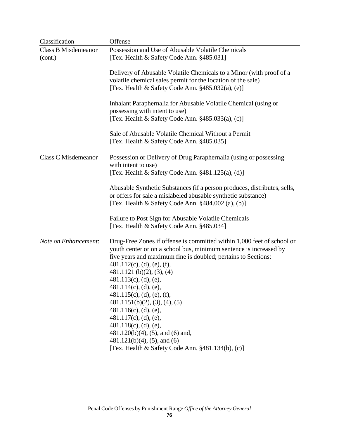| Offense                                                                                                                                                                                                                                                                                                                                                                                                                                                                                                                                                                                                                     |
|-----------------------------------------------------------------------------------------------------------------------------------------------------------------------------------------------------------------------------------------------------------------------------------------------------------------------------------------------------------------------------------------------------------------------------------------------------------------------------------------------------------------------------------------------------------------------------------------------------------------------------|
| Possession and Use of Abusable Volatile Chemicals                                                                                                                                                                                                                                                                                                                                                                                                                                                                                                                                                                           |
| [Tex. Health & Safety Code Ann. §485.031]                                                                                                                                                                                                                                                                                                                                                                                                                                                                                                                                                                                   |
| Delivery of Abusable Volatile Chemicals to a Minor (with proof of a<br>volatile chemical sales permit for the location of the sale)<br>[Tex. Health & Safety Code Ann. $§485.032(a)$ , (e)]                                                                                                                                                                                                                                                                                                                                                                                                                                 |
| Inhalant Paraphernalia for Abusable Volatile Chemical (using or<br>possessing with intent to use)<br>[Tex. Health & Safety Code Ann. $§485.033(a)$ , (c)]                                                                                                                                                                                                                                                                                                                                                                                                                                                                   |
| Sale of Abusable Volatile Chemical Without a Permit<br>[Tex. Health & Safety Code Ann. §485.035]                                                                                                                                                                                                                                                                                                                                                                                                                                                                                                                            |
| Possession or Delivery of Drug Paraphernalia (using or possessing<br>with intent to use)<br>[Tex. Health & Safety Code Ann. $§481.125(a)$ , (d)]                                                                                                                                                                                                                                                                                                                                                                                                                                                                            |
| Abusable Synthetic Substances (if a person produces, distributes, sells,<br>or offers for sale a mislabeled abusable synthetic substance)<br>[Tex. Health & Safety Code Ann. §484.002 (a), (b)]                                                                                                                                                                                                                                                                                                                                                                                                                             |
| Failure to Post Sign for Abusable Volatile Chemicals<br>[Tex. Health & Safety Code Ann. §485.034]                                                                                                                                                                                                                                                                                                                                                                                                                                                                                                                           |
| Drug-Free Zones if offense is committed within 1,000 feet of school or<br>youth center or on a school bus, minimum sentence is increased by<br>five years and maximum fine is doubled; pertains to Sections:<br>$481.112(c)$ , (d), (e), (f),<br>481.1121 (b)(2), (3), (4)<br>$481.113(c)$ , (d), (e),<br>$481.114(c)$ , (d), (e),<br>$481.115(c)$ , (d), (e), (f),<br>481.1151(b)(2), (3), (4), (5)<br>$481.116(c)$ , (d), (e),<br>$481.117(c)$ , (d), (e),<br>$481.118(c)$ , (d), (e),<br>$481.120(b)(4)$ , (5), and (6) and,<br>$481.121(b)(4)$ , $(5)$ , and $(6)$<br>[Tex. Health & Safety Code Ann. §481.134(b), (c)] |
|                                                                                                                                                                                                                                                                                                                                                                                                                                                                                                                                                                                                                             |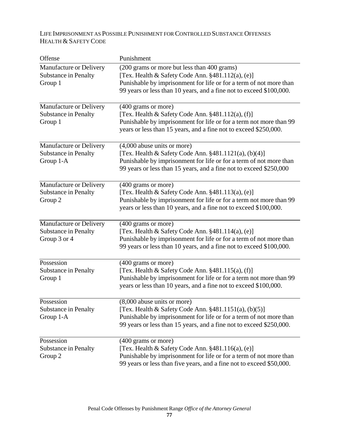# LIFE IMPRISONMENT AS POSSIBLE PUNISHMENT FOR CONTROLLED SUBSTANCE OFFENSES HEALTH & SAFETY CODE

| Offense                                                                | Punishment                                                                                                                                                                                                                                    |
|------------------------------------------------------------------------|-----------------------------------------------------------------------------------------------------------------------------------------------------------------------------------------------------------------------------------------------|
| Manufacture or Delivery<br><b>Substance in Penalty</b><br>Group 1      | (200 grams or more but less than 400 grams)<br>[Tex. Health & Safety Code Ann. §481.112(a), (e)]<br>Punishable by imprisonment for life or for a term of not more than<br>99 years or less than 10 years, and a fine not to exceed \$100,000. |
| Manufacture or Delivery<br><b>Substance in Penalty</b><br>Group 1      | (400 grams or more)<br>[Tex. Health & Safety Code Ann. §481.112(a), (f)]<br>Punishable by imprisonment for life or for a term not more than 99<br>years or less than 15 years, and a fine not to exceed \$250,000.                            |
| Manufacture or Delivery<br><b>Substance in Penalty</b><br>Group 1-A    | $(4,000$ abuse units or more)<br>[Tex. Health & Safety Code Ann. $\S 481.1121(a)$ , (b)(4)]<br>Punishable by imprisonment for life or for a term of not more than<br>99 years or less than 15 years, and a fine not to exceed \$250,000       |
| Manufacture or Delivery<br><b>Substance in Penalty</b><br>Group 2      | (400 grams or more)<br>[Tex. Health & Safety Code Ann. $§481.113(a)$ , (e)]<br>Punishable by imprisonment for life or for a term not more than 99<br>years or less than 10 years, and a fine not to exceed \$100,000.                         |
| Manufacture or Delivery<br><b>Substance in Penalty</b><br>Group 3 or 4 | (400 grams or more)<br>[Tex. Health & Safety Code Ann. §481.114(a), (e)]<br>Punishable by imprisonment for life or for a term of not more than<br>99 years or less than 10 years, and a fine not to exceed \$100,000.                         |
| Possession<br><b>Substance in Penalty</b><br>Group 1                   | (400 grams or more)<br>[Tex. Health & Safety Code Ann. §481.115(a), (f)]<br>Punishable by imprisonment for life or for a term not more than 99<br>years or less than 10 years, and a fine not to exceed \$100,000.                            |
| Possession<br><b>Substance in Penalty</b><br>Group 1-A                 | (8,000 abuse units or more)<br>[Tex. Health & Safety Code Ann. $§481.1151(a)$ , $(b)(5)$ ]<br>Punishable by imprisonment for life or for a term of not more than<br>99 years or less than 15 years, and a fine not to exceed \$250,000.       |
| Possession<br><b>Substance in Penalty</b><br>Group 2                   | (400 grams or more)<br>[Tex. Health & Safety Code Ann. $§481.116(a)$ , (e)]<br>Punishable by imprisonment for life or for a term of not more than<br>99 years or less than five years, and a fine not to exceed \$50,000.                     |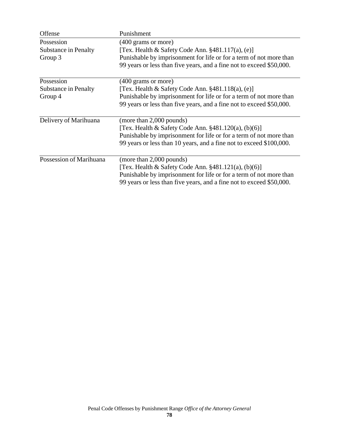| Offense                     | Punishment                                                           |
|-----------------------------|----------------------------------------------------------------------|
| Possession                  | (400 grams or more)                                                  |
| <b>Substance in Penalty</b> | [Tex. Health $\&$ Safety Code Ann. $\S 481.117(a)$ , (e)]            |
| Group 3                     | Punishable by imprisonment for life or for a term of not more than   |
|                             | 99 years or less than five years, and a fine not to exceed \$50,000. |
| Possession                  | (400 grams or more)                                                  |
| <b>Substance in Penalty</b> | [Tex. Health & Safety Code Ann. §481.118(a), (e)]                    |
| Group 4                     | Punishable by imprisonment for life or for a term of not more than   |
|                             | 99 years or less than five years, and a fine not to exceed \$50,000. |
| Delivery of Marihuana       | (more than 2,000 pounds)                                             |
|                             | [Tex. Health & Safety Code Ann. $\S 481.120(a)$ , (b)(6)]            |
|                             | Punishable by imprisonment for life or for a term of not more than   |
|                             | 99 years or less than 10 years, and a fine not to exceed \$100,000.  |
| Possession of Marihuana     | (more than 2,000 pounds)                                             |
|                             | [Tex. Health & Safety Code Ann. $§481.121(a)$ , $(b)(6)$ ]           |
|                             | Punishable by imprisonment for life or for a term of not more than   |
|                             | 99 years or less than five years, and a fine not to exceed \$50,000. |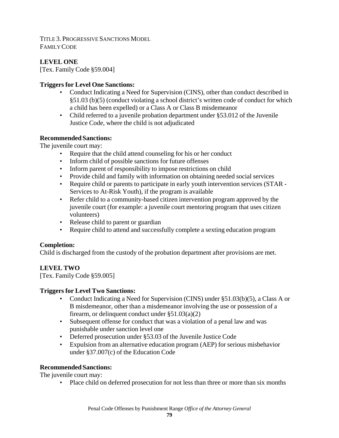TITLE 3. PROGRESSIVE SANCTIONS MODEL FAMILY CODE

# **LEVEL ONE**

[Tex. Family Code §59.004]

## **Triggers for Level One Sanctions:**

- Conduct Indicating a Need for Supervision (CINS), other than conduct described in §51.03 (b)(5) (conduct violating a school district's written code of conduct for which a child has been expelled) or a Class A or Class B misdemeanor
- Child referred to a juvenile probation department under §53.012 of the Juvenile Justice Code, where the child is not adjudicated

## **Recommended Sanctions:**

The juvenile court may:

- Require that the child attend counseling for his or her conduct
- Inform child of possible sanctions for future offenses
- Inform parent of responsibility to impose restrictions on child
- Provide child and family with information on obtaining needed social services
- Require child or parents to participate in early youth intervention services (STAR Services to At-Risk Youth), if the program is available
- Refer child to a community-based citizen intervention program approved by the juvenile court (for example: a juvenile court mentoring program that uses citizen volunteers)
- Release child to parent or guardian
- Require child to attend and successfully complete a sexting education program

# **Completion:**

Child is discharged from the custody of the probation department after provisions are met.

# **LEVEL TWO**

[Tex. Family Code §59.005]

## **Triggers for Level Two Sanctions:**

- Conduct Indicating a Need for Supervision (CINS) under §51.03(b)(5), a Class A or B misdemeanor, other than a misdemeanor involving the use or possession of a firearm, or delinquent conduct under  $\S 51.03(a)(2)$
- Subsequent offense for conduct that was a violation of a penal law and was punishable under sanction level one
- Deferred prosecution under §53.03 of the Juvenile Justice Code
- Expulsion from an alternative education program (AEP) for serious misbehavior under §37.007(c) of the Education Code

# **Recommended Sanctions:**

The juvenile court may:

• Place child on deferred prosecution for not less than three or more than six months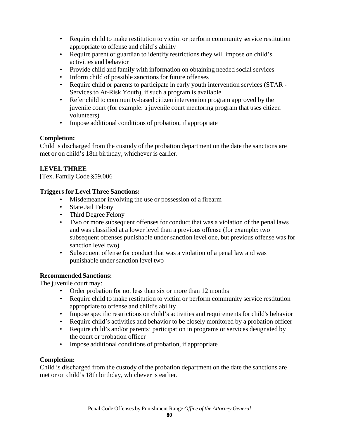- Require child to make restitution to victim or perform community service restitution appropriate to offense and child's ability
- Require parent or guardian to identify restrictions they will impose on child's activities and behavior
- Provide child and family with information on obtaining needed social services
- Inform child of possible sanctions for future offenses
- Require child or parents to participate in early youth intervention services (STAR Services to At-Risk Youth), if such a program is available
- Refer child to community-based citizen intervention program approved by the juvenile court (for example: a juvenile court mentoring program that uses citizen volunteers)
- Impose additional conditions of probation, if appropriate

## **Completion:**

Child is discharged from the custody of the probation department on the date the sanctions are met or on child's 18th birthday, whichever is earlier.

# **LEVEL THREE**

[Tex. Family Code §59.006]

## **Triggers for Level Three Sanctions:**

- Misdemeanor involving the use or possession of a firearm
- State Jail Felony
- Third Degree Felony
- Two or more subsequent offenses for conduct that was a violation of the penal laws and was classified at a lower level than a previous offense (for example: two subsequent offenses punishable under sanction level one, but previous offense was for sanction level two)
- Subsequent offense for conduct that was a violation of a penal law and was punishable under sanction level two

## **Recommended Sanctions:**

The juvenile court may:

- Order probation for not less than six or more than 12 months
- Require child to make restitution to victim or perform community service restitution appropriate to offense and child's ability
- Impose specific restrictions on child's activities and requirements for child's behavior
- Require child's activities and behavior to be closely monitored by a probation officer
- Require child's and/or parents' participation in programs or services designated by the court or probation officer
- Impose additional conditions of probation, if appropriate

# **Completion:**

Child is discharged from the custody of the probation department on the date the sanctions are met or on child's 18th birthday, whichever is earlier.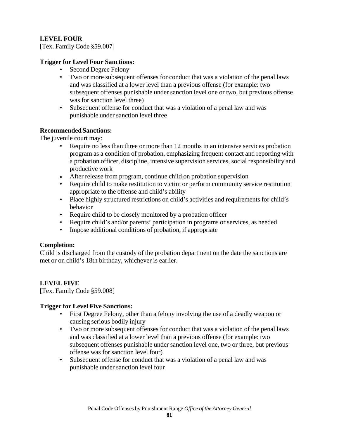## **LEVEL FOUR**

[Tex. Family Code §59.007]

### **Trigger for Level Four Sanctions:**

- Second Degree Felony
- Two or more subsequent offenses for conduct that was a violation of the penal laws and was classified at a lower level than a previous offense (for example: two subsequent offenses punishable under sanction level one or two, but previous offense was for sanction level three)
- Subsequent offense for conduct that was a violation of a penal law and was punishable under sanction level three

### **Recommended Sanctions:**

The juvenile court may:

- Require no less than three or more than 12 months in an intensive services probation program as a condition of probation, emphasizing frequent contact and reporting with a probation officer, discipline, intensive supervision services, social responsibility and productive work
- After release from program, continue child on probation supervision
- Require child to make restitution to victim or perform community service restitution appropriate to the offense and child's ability
- Place highly structured restrictions on child's activities and requirements for child's behavior
- Require child to be closely monitored by a probation officer
- Require child's and/or parents' participation in programs or services, as needed
- Impose additional conditions of probation, if appropriate

## **Completion:**

Child is discharged from the custody of the probation department on the date the sanctions are met or on child's 18th birthday, whichever is earlier.

## **LEVEL FIVE**

[Tex. Family Code §59.008]

## **Trigger for Level Five Sanctions:**

- First Degree Felony, other than a felony involving the use of a deadly weapon or causing serious bodily injury
- Two or more subsequent offenses for conduct that was a violation of the penal laws and was classified at a lower level than a previous offense (for example: two subsequent offenses punishable under sanction level one, two or three, but previous offense was for sanction level four)
- Subsequent offense for conduct that was a violation of a penal law and was punishable under sanction level four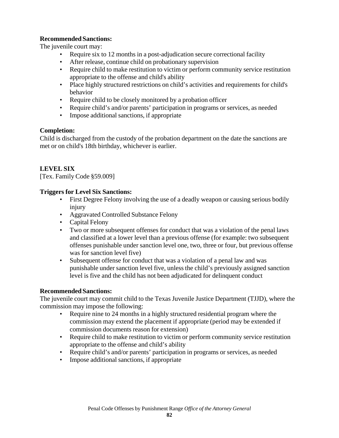### **Recommended Sanctions:**

The juvenile court may:

- Require six to 12 months in a post-adjudication secure correctional facility
- After release, continue child on probationary supervision
- Require child to make restitution to victim or perform community service restitution appropriate to the offense and child's ability
- Place highly structured restrictions on child's activities and requirements for child's behavior
- Require child to be closely monitored by a probation officer
- Require child's and/or parents' participation in programs or services, as needed
- Impose additional sanctions, if appropriate

### **Completion:**

Child is discharged from the custody of the probation department on the date the sanctions are met or on child's 18th birthday, whichever is earlier.

## **LEVEL SIX**

[Tex. Family Code §59.009]

### **Triggers for Level Six Sanctions:**

- First Degree Felony involving the use of a deadly weapon or causing serious bodily injury
- Aggravated Controlled Substance Felony
- Capital Felony
- Two or more subsequent offenses for conduct that was a violation of the penal laws and classified at a lower level than a previous offense (for example: two subsequent offenses punishable under sanction level one, two, three or four, but previous offense was for sanction level five)
- Subsequent offense for conduct that was a violation of a penal law and was punishable under sanction level five, unless the child's previously assigned sanction level is five and the child has not been adjudicated for delinquent conduct

#### **Recommended Sanctions:**

The juvenile court may commit child to the Texas Juvenile Justice Department (TJJD), where the commission may impose the following:

- Require nine to 24 months in a highly structured residential program where the commission may extend the placement if appropriate (period may be extended if commission documents reason for extension)
- Require child to make restitution to victim or perform community service restitution appropriate to the offense and child's ability
- Require child's and/or parents' participation in programs or services, as needed
- Impose additional sanctions, if appropriate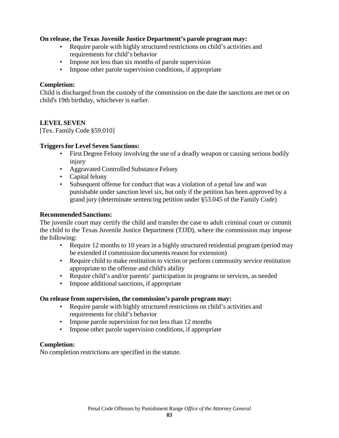### **On release, the Texas Juvenile Justice Department's parole program may:**

- Require parole with highly structured restrictions on child's activities and requirements for child's behavior
- Impose not less than six months of parole supervision
- Impose other parole supervision conditions, if appropriate

### **Completion:**

Child is discharged from the custody of the commission on the date the sanctions are met or on child's 19th birthday, whichever is earlier.

### **LEVEL SEVEN**

[Tex. Family Code §59.010]

### **Triggers for Level Seven Sanctions:**

- First Degree Felony involving the use of a deadly weapon or causing serious bodily injury
- Aggravated Controlled Substance Felony
- Capital felony
- Subsequent offense for conduct that was a violation of a penal law and was punishable under sanction level six, but only if the petition has been approved by a grand jury (determinate sentencing petition under §53.045 of the Family Code)

#### **Recommended Sanctions:**

The juvenile court may certify the child and transfer the case to adult criminal court or commit the child to the Texas Juvenile Justice Department (TJJD), where the commission may impose the following:

- Require 12 months to 10 years in a highly structured residential program (period may be extended if commission documents reason for extension)
- Require child to make restitution to victim or perform community service restitution appropriate to the offense and child's ability
- Require child's and/or parents' participation in programs or services, as needed
- Impose additional sanctions, if appropriate

#### **On release from supervision, the commission's parole program may:**

- Require parole with highly structured restrictions on child's activities and requirements for child's behavior
- Impose parole supervision for not less than 12 months
- Impose other parole supervision conditions, if appropriate

#### **Completion:**

No completion restrictions are specified in the statute.